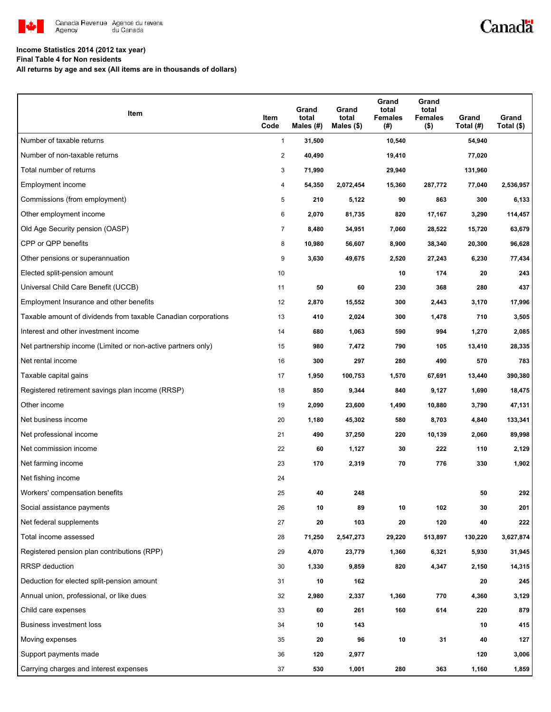

# Canadä

### **Income Statistics 2014 (2012 tax year)**

**Final Table 4 for Non residents**

**All returns by age and sex (All items are in thousands of dollars)**

| Item                                                           | Item<br>Code   | Grand<br>total<br>Males (#) | Grand<br>total<br>Males (\$) | Grand<br>total<br>Females<br>(#) | Grand<br>total<br><b>Females</b><br>$($ \$) | Grand<br>Total (#) | Grand<br>Total $($)$ |
|----------------------------------------------------------------|----------------|-----------------------------|------------------------------|----------------------------------|---------------------------------------------|--------------------|----------------------|
| Number of taxable returns                                      | $\mathbf{1}$   | 31,500                      |                              | 10,540                           |                                             | 54,940             |                      |
| Number of non-taxable returns                                  | 2              | 40,490                      |                              | 19,410                           |                                             | 77,020             |                      |
| Total number of returns                                        | 3              | 71,990                      |                              | 29,940                           |                                             | 131,960            |                      |
| Employment income                                              | 4              | 54,350                      | 2,072,454                    | 15,360                           | 287,772                                     | 77,040             | 2,536,957            |
| Commissions (from employment)                                  | 5              | 210                         | 5,122                        | 90                               | 863                                         | 300                | 6,133                |
| Other employment income                                        | 6              | 2,070                       | 81,735                       | 820                              | 17,167                                      | 3,290              | 114,457              |
| Old Age Security pension (OASP)                                | $\overline{7}$ | 8,480                       | 34,951                       | 7,060                            | 28,522                                      | 15,720             | 63,679               |
| CPP or QPP benefits                                            | 8              | 10,980                      | 56,607                       | 8,900                            | 38,340                                      | 20,300             | 96,628               |
| Other pensions or superannuation                               | 9              | 3,630                       | 49,675                       | 2,520                            | 27,243                                      | 6,230              | 77,434               |
| Elected split-pension amount                                   | 10             |                             |                              | 10                               | 174                                         | 20                 | 243                  |
| Universal Child Care Benefit (UCCB)                            | 11             | 50                          | 60                           | 230                              | 368                                         | 280                | 437                  |
| Employment Insurance and other benefits                        | 12             | 2,870                       | 15,552                       | 300                              | 2,443                                       | 3,170              | 17,996               |
| Taxable amount of dividends from taxable Canadian corporations | 13             | 410                         | 2,024                        | 300                              | 1,478                                       | 710                | 3,505                |
| Interest and other investment income                           | 14             | 680                         | 1,063                        | 590                              | 994                                         | 1,270              | 2,085                |
| Net partnership income (Limited or non-active partners only)   | 15             | 980                         | 7,472                        | 790                              | 105                                         | 13,410             | 28,335               |
| Net rental income                                              | 16             | 300                         | 297                          | 280                              | 490                                         | 570                | 783                  |
| Taxable capital gains                                          | 17             | 1,950                       | 100,753                      | 1,570                            | 67,691                                      | 13,440             | 390,380              |
| Registered retirement savings plan income (RRSP)               | 18             | 850                         | 9,344                        | 840                              | 9,127                                       | 1,690              | 18,475               |
| Other income                                                   | 19             | 2,090                       | 23,600                       | 1,490                            | 10,880                                      | 3,790              | 47,131               |
| Net business income                                            | 20             | 1,180                       | 45,302                       | 580                              | 8,703                                       | 4,840              | 133,341              |
| Net professional income                                        | 21             | 490                         | 37,250                       | 220                              | 10,139                                      | 2,060              | 89,998               |
| Net commission income                                          | 22             | 60                          | 1,127                        | 30                               | 222                                         | 110                | 2,129                |
| Net farming income                                             | 23             | 170                         | 2,319                        | 70                               | 776                                         | 330                | 1,902                |
| Net fishing income                                             | 24             |                             |                              |                                  |                                             |                    |                      |
| Workers' compensation benefits                                 | 25             | 40                          | 248                          |                                  |                                             | 50                 | 292                  |
| Social assistance payments                                     | 26             | 10                          | 89                           | 10                               | 102                                         | 30                 | 201                  |
| Net federal supplements                                        | 27             | 20                          | 103                          | 20                               | 120                                         | 40                 | 222                  |
| Total income assessed                                          | 28             | 71,250                      | 2,547,273                    | 29,220                           | 513,897                                     | 130,220            | 3,627,874            |
| Registered pension plan contributions (RPP)                    | 29             | 4,070                       | 23,779                       | 1,360                            | 6,321                                       | 5,930              | 31,945               |
| RRSP deduction                                                 | 30             | 1,330                       | 9,859                        | 820                              | 4,347                                       | 2,150              | 14,315               |
| Deduction for elected split-pension amount                     | 31             | 10                          | 162                          |                                  |                                             | 20                 | 245                  |
| Annual union, professional, or like dues                       | 32             | 2,980                       | 2,337                        | 1,360                            | 770                                         | 4,360              | 3,129                |
| Child care expenses                                            | 33             | 60                          | 261                          | 160                              | 614                                         | 220                | 879                  |
| Business investment loss                                       | 34             | 10                          | 143                          |                                  |                                             | 10                 | 415                  |
| Moving expenses                                                | 35             | 20                          | 96                           | 10                               | 31                                          | 40                 | 127                  |
| Support payments made                                          | 36             | 120                         | 2,977                        |                                  |                                             | 120                | 3,006                |
| Carrying charges and interest expenses                         | 37             | 530                         | 1,001                        | 280                              | 363                                         | 1,160              | 1,859                |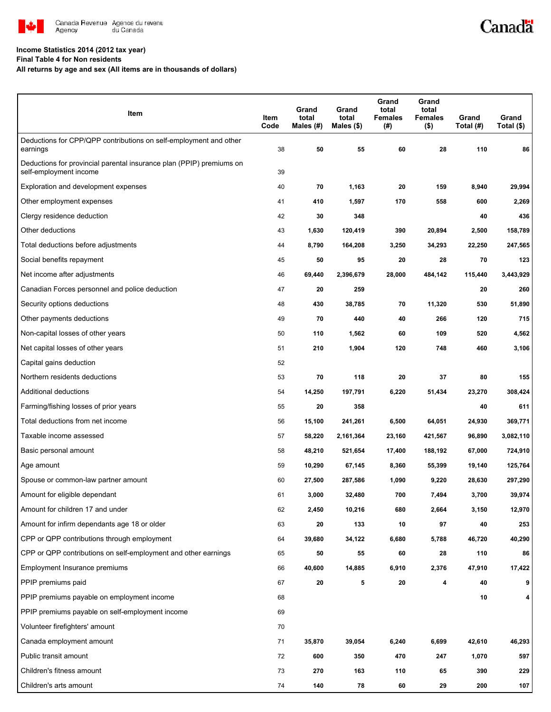

# Canadä

### **Income Statistics 2014 (2012 tax year)**

**Final Table 4 for Non residents**

**All returns by age and sex (All items are in thousands of dollars)**

| Item                                                                                           | Item<br>Code | Grand<br>total<br>Males (#) | Grand<br>total<br>Males $($)$ | Grand<br>total<br><b>Females</b><br>(#) | Grand<br>total<br><b>Females</b><br>$($ \$) | Grand<br>Total (#) | Grand<br>Total $($)$ |
|------------------------------------------------------------------------------------------------|--------------|-----------------------------|-------------------------------|-----------------------------------------|---------------------------------------------|--------------------|----------------------|
| Deductions for CPP/QPP contributions on self-employment and other<br>earnings                  | 38           | 50                          | 55                            | 60                                      | 28                                          | 110                | 86                   |
| Deductions for provincial parental insurance plan (PPIP) premiums on<br>self-employment income | 39           |                             |                               |                                         |                                             |                    |                      |
| Exploration and development expenses                                                           | 40           | 70                          | 1,163                         | 20                                      | 159                                         | 8,940              | 29,994               |
| Other employment expenses                                                                      | 41           | 410                         | 1,597                         | 170                                     | 558                                         | 600                | 2,269                |
| Clergy residence deduction                                                                     | 42           | 30                          | 348                           |                                         |                                             | 40                 | 436                  |
| Other deductions                                                                               | 43           | 1,630                       | 120,419                       | 390                                     | 20,894                                      | 2,500              | 158,789              |
| Total deductions before adjustments                                                            | 44           | 8,790                       | 164,208                       | 3,250                                   | 34,293                                      | 22,250             | 247,565              |
| Social benefits repayment                                                                      | 45           | 50                          | 95                            | 20                                      | 28                                          | 70                 | 123                  |
| Net income after adjustments                                                                   | 46           | 69,440                      | 2,396,679                     | 28,000                                  | 484,142                                     | 115,440            | 3,443,929            |
| Canadian Forces personnel and police deduction                                                 | 47           | 20                          | 259                           |                                         |                                             | 20                 | 260                  |
| Security options deductions                                                                    | 48           | 430                         | 38,785                        | 70                                      | 11,320                                      | 530                | 51,890               |
| Other payments deductions                                                                      | 49           | 70                          | 440                           | 40                                      | 266                                         | 120                | 715                  |
| Non-capital losses of other years                                                              | 50           | 110                         | 1,562                         | 60                                      | 109                                         | 520                | 4,562                |
| Net capital losses of other years                                                              | 51           | 210                         | 1,904                         | 120                                     | 748                                         | 460                | 3,106                |
| Capital gains deduction                                                                        | 52           |                             |                               |                                         |                                             |                    |                      |
| Northern residents deductions                                                                  | 53           | 70                          | 118                           | 20                                      | 37                                          | 80                 | 155                  |
| Additional deductions                                                                          | 54           | 14,250                      | 197,791                       | 6,220                                   | 51,434                                      | 23,270             | 308,424              |
| Farming/fishing losses of prior years                                                          | 55           | 20                          | 358                           |                                         |                                             | 40                 | 611                  |
| Total deductions from net income                                                               | 56           | 15,100                      | 241,261                       | 6,500                                   | 64,051                                      | 24,930             | 369,771              |
| Taxable income assessed                                                                        | 57           | 58,220                      | 2,161,364                     | 23,160                                  | 421,567                                     | 96,890             | 3,082,110            |
| Basic personal amount                                                                          | 58           | 48,210                      | 521,654                       | 17,400                                  | 188,192                                     | 67,000             | 724,910              |
| Age amount                                                                                     | 59           | 10,290                      | 67,145                        | 8,360                                   | 55,399                                      | 19,140             | 125,764              |
| Spouse or common-law partner amount                                                            | 60           | 27,500                      | 287,586                       | 1,090                                   | 9,220                                       | 28,630             | 297,290              |
| Amount for eligible dependant                                                                  | 61           | 3,000                       | 32,480                        | 700                                     | 7,494                                       | 3,700              | 39,974               |
| Amount for children 17 and under                                                               | 62           | 2,450                       | 10,216                        | 680                                     | 2,664                                       | 3,150              | 12,970               |
| Amount for infirm dependants age 18 or older                                                   | 63           | 20                          | 133                           | 10                                      | 97                                          | 40                 | 253                  |
| CPP or QPP contributions through employment                                                    | 64           | 39,680                      | 34,122                        | 6,680                                   | 5,788                                       | 46,720             | 40,290               |
| CPP or QPP contributions on self-employment and other earnings                                 | 65           | 50                          | 55                            | 60                                      | 28                                          | 110                | 86                   |
| Employment Insurance premiums                                                                  | 66           | 40,600                      | 14,885                        | 6,910                                   | 2,376                                       | 47,910             | 17,422               |
| PPIP premiums paid                                                                             | 67           | 20                          | 5                             | 20                                      | 4                                           | 40                 | 9                    |
| PPIP premiums payable on employment income                                                     | 68           |                             |                               |                                         |                                             | 10                 | 4                    |
| PPIP premiums payable on self-employment income                                                | 69           |                             |                               |                                         |                                             |                    |                      |
| Volunteer firefighters' amount                                                                 | 70           |                             |                               |                                         |                                             |                    |                      |
| Canada employment amount                                                                       | 71           | 35,870                      | 39,054                        | 6,240                                   | 6,699                                       | 42,610             | 46,293               |
| Public transit amount                                                                          | 72           | 600                         | 350                           | 470                                     | 247                                         | 1,070              | 597                  |
| Children's fitness amount                                                                      | 73           | 270                         | 163                           | 110                                     | 65                                          | 390                | 229                  |
| Children's arts amount                                                                         | 74           | 140                         | 78                            | 60                                      | 29                                          | 200                | 107                  |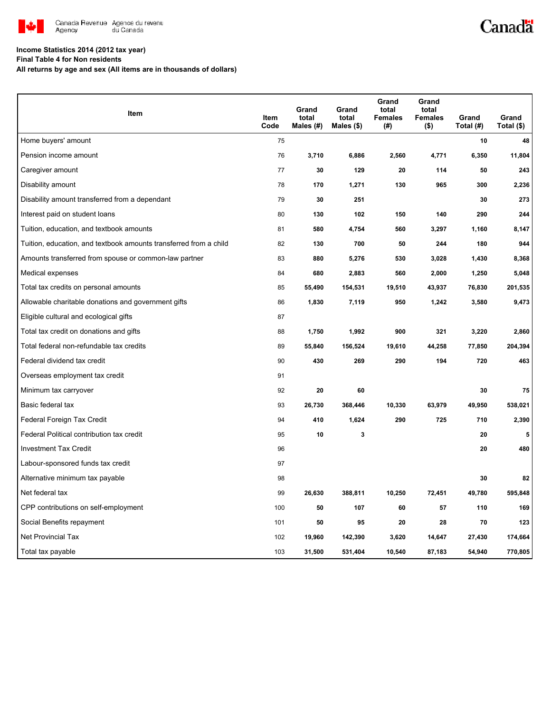

# Canadä

### **Income Statistics 2014 (2012 tax year)**

**Final Table 4 for Non residents**

**All returns by age and sex (All items are in thousands of dollars)**

| Item                                                              | Item<br>Code | Grand<br>total<br>Males (#) | Grand<br>total<br>Males (\$) | Grand<br>total<br><b>Females</b><br>(# ) | Grand<br>total<br><b>Females</b><br>$($ \$) | Grand<br>Total (#) | Grand<br>Total (\$) |
|-------------------------------------------------------------------|--------------|-----------------------------|------------------------------|------------------------------------------|---------------------------------------------|--------------------|---------------------|
| Home buyers' amount                                               | 75           |                             |                              |                                          |                                             | 10                 | 48                  |
| Pension income amount                                             | 76           | 3,710                       | 6,886                        | 2,560                                    | 4,771                                       | 6,350              | 11,804              |
| Caregiver amount                                                  | 77           | 30                          | 129                          | 20                                       | 114                                         | 50                 | 243                 |
| Disability amount                                                 | 78           | 170                         | 1,271                        | 130                                      | 965                                         | 300                | 2,236               |
| Disability amount transferred from a dependant                    | 79           | 30                          | 251                          |                                          |                                             | 30                 | 273                 |
| Interest paid on student loans                                    | 80           | 130                         | 102                          | 150                                      | 140                                         | 290                | 244                 |
| Tuition, education, and textbook amounts                          | 81           | 580                         | 4,754                        | 560                                      | 3,297                                       | 1,160              | 8,147               |
| Tuition, education, and textbook amounts transferred from a child | 82           | 130                         | 700                          | 50                                       | 244                                         | 180                | 944                 |
| Amounts transferred from spouse or common-law partner             | 83           | 880                         | 5,276                        | 530                                      | 3,028                                       | 1,430              | 8,368               |
| Medical expenses                                                  | 84           | 680                         | 2,883                        | 560                                      | 2,000                                       | 1,250              | 5,048               |
| Total tax credits on personal amounts                             | 85           | 55,490                      | 154,531                      | 19,510                                   | 43,937                                      | 76,830             | 201,535             |
| Allowable charitable donations and government gifts               | 86           | 1,830                       | 7,119                        | 950                                      | 1,242                                       | 3,580              | 9,473               |
| Eligible cultural and ecological gifts                            | 87           |                             |                              |                                          |                                             |                    |                     |
| Total tax credit on donations and gifts                           | 88           | 1,750                       | 1,992                        | 900                                      | 321                                         | 3,220              | 2,860               |
| Total federal non-refundable tax credits                          | 89           | 55,840                      | 156,524                      | 19,610                                   | 44,258                                      | 77,850             | 204,394             |
| Federal dividend tax credit                                       | 90           | 430                         | 269                          | 290                                      | 194                                         | 720                | 463                 |
| Overseas employment tax credit                                    | 91           |                             |                              |                                          |                                             |                    |                     |
| Minimum tax carryover                                             | 92           | 20                          | 60                           |                                          |                                             | 30                 | 75                  |
| Basic federal tax                                                 | 93           | 26,730                      | 368,446                      | 10,330                                   | 63,979                                      | 49,950             | 538,021             |
| Federal Foreign Tax Credit                                        | 94           | 410                         | 1,624                        | 290                                      | 725                                         | 710                | 2,390               |
| Federal Political contribution tax credit                         | 95           | 10                          | 3                            |                                          |                                             | 20                 | 5                   |
| <b>Investment Tax Credit</b>                                      | 96           |                             |                              |                                          |                                             | 20                 | 480                 |
| Labour-sponsored funds tax credit                                 | 97           |                             |                              |                                          |                                             |                    |                     |
| Alternative minimum tax payable                                   | 98           |                             |                              |                                          |                                             | 30                 | 82                  |
| Net federal tax                                                   | 99           | 26,630                      | 388,811                      | 10,250                                   | 72,451                                      | 49,780             | 595,848             |
| CPP contributions on self-employment                              | 100          | 50                          | 107                          | 60                                       | 57                                          | 110                | 169                 |
| Social Benefits repayment                                         | 101          | 50                          | 95                           | 20                                       | 28                                          | 70                 | 123                 |
| <b>Net Provincial Tax</b>                                         | 102          | 19,960                      | 142,390                      | 3,620                                    | 14,647                                      | 27,430             | 174,664             |
| Total tax payable                                                 | 103          | 31,500                      | 531,404                      | 10,540                                   | 87,183                                      | 54,940             | 770,805             |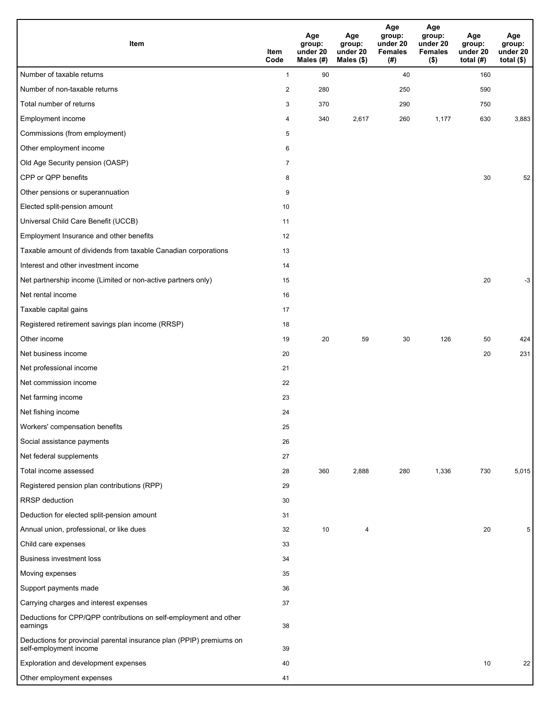| Item                                                                                           | Item<br>Code            | Age<br>group:<br>under 20<br>Males (#) | Age<br>group:<br>under 20<br>Males (\$) | Age<br>group:<br>under 20<br><b>Females</b><br>(# ) | Age<br>group:<br>under 20<br><b>Females</b><br>$($ \$) | Age<br>group:<br>under 20<br>total $(H)$ | Age<br>group:<br>under 20<br>total $($ \$) |
|------------------------------------------------------------------------------------------------|-------------------------|----------------------------------------|-----------------------------------------|-----------------------------------------------------|--------------------------------------------------------|------------------------------------------|--------------------------------------------|
| Number of taxable returns                                                                      | $\mathbf{1}$            | 90                                     |                                         | 40                                                  |                                                        | 160                                      |                                            |
| Number of non-taxable returns                                                                  | $\overline{\mathbf{c}}$ | 280                                    |                                         | 250                                                 |                                                        | 590                                      |                                            |
| Total number of returns                                                                        | 3                       | 370                                    |                                         | 290                                                 |                                                        | 750                                      |                                            |
| Employment income                                                                              | 4                       | 340                                    | 2,617                                   | 260                                                 | 1,177                                                  | 630                                      | 3,883                                      |
| Commissions (from employment)                                                                  | 5                       |                                        |                                         |                                                     |                                                        |                                          |                                            |
| Other employment income                                                                        | 6                       |                                        |                                         |                                                     |                                                        |                                          |                                            |
| Old Age Security pension (OASP)                                                                | $\overline{7}$          |                                        |                                         |                                                     |                                                        |                                          |                                            |
| CPP or QPP benefits                                                                            | 8                       |                                        |                                         |                                                     |                                                        | 30                                       | 52                                         |
| Other pensions or superannuation                                                               | 9                       |                                        |                                         |                                                     |                                                        |                                          |                                            |
| Elected split-pension amount                                                                   | 10                      |                                        |                                         |                                                     |                                                        |                                          |                                            |
| Universal Child Care Benefit (UCCB)                                                            | 11                      |                                        |                                         |                                                     |                                                        |                                          |                                            |
| Employment Insurance and other benefits                                                        | 12                      |                                        |                                         |                                                     |                                                        |                                          |                                            |
| Taxable amount of dividends from taxable Canadian corporations                                 | 13                      |                                        |                                         |                                                     |                                                        |                                          |                                            |
| Interest and other investment income                                                           | 14                      |                                        |                                         |                                                     |                                                        |                                          |                                            |
| Net partnership income (Limited or non-active partners only)                                   | 15                      |                                        |                                         |                                                     |                                                        | 20                                       | -3                                         |
| Net rental income                                                                              | 16                      |                                        |                                         |                                                     |                                                        |                                          |                                            |
| Taxable capital gains                                                                          | 17                      |                                        |                                         |                                                     |                                                        |                                          |                                            |
| Registered retirement savings plan income (RRSP)                                               | 18                      |                                        |                                         |                                                     |                                                        |                                          |                                            |
| Other income                                                                                   | 19                      | 20                                     | 59                                      | 30                                                  | 126                                                    | 50                                       | 424                                        |
| Net business income                                                                            | 20                      |                                        |                                         |                                                     |                                                        | 20                                       | 231                                        |
| Net professional income                                                                        | 21                      |                                        |                                         |                                                     |                                                        |                                          |                                            |
| Net commission income                                                                          | 22                      |                                        |                                         |                                                     |                                                        |                                          |                                            |
| Net farming income                                                                             | 23                      |                                        |                                         |                                                     |                                                        |                                          |                                            |
| Net fishing income                                                                             | 24                      |                                        |                                         |                                                     |                                                        |                                          |                                            |
| Workers' compensation benefits                                                                 | 25                      |                                        |                                         |                                                     |                                                        |                                          |                                            |
| Social assistance payments                                                                     | 26                      |                                        |                                         |                                                     |                                                        |                                          |                                            |
| Net federal supplements                                                                        | 27                      |                                        |                                         |                                                     |                                                        |                                          |                                            |
| Total income assessed                                                                          | 28                      | 360                                    | 2,888                                   | 280                                                 | 1,336                                                  | 730                                      | 5,015                                      |
| Registered pension plan contributions (RPP)                                                    | 29                      |                                        |                                         |                                                     |                                                        |                                          |                                            |
| RRSP deduction                                                                                 | 30                      |                                        |                                         |                                                     |                                                        |                                          |                                            |
| Deduction for elected split-pension amount                                                     | 31                      |                                        |                                         |                                                     |                                                        |                                          |                                            |
| Annual union, professional, or like dues                                                       | 32                      | 10                                     | 4                                       |                                                     |                                                        | 20                                       | 5                                          |
| Child care expenses                                                                            | 33                      |                                        |                                         |                                                     |                                                        |                                          |                                            |
| <b>Business investment loss</b>                                                                | 34                      |                                        |                                         |                                                     |                                                        |                                          |                                            |
| Moving expenses                                                                                | 35                      |                                        |                                         |                                                     |                                                        |                                          |                                            |
| Support payments made                                                                          | 36                      |                                        |                                         |                                                     |                                                        |                                          |                                            |
| Carrying charges and interest expenses                                                         | 37                      |                                        |                                         |                                                     |                                                        |                                          |                                            |
| Deductions for CPP/QPP contributions on self-employment and other<br>earnings                  | 38                      |                                        |                                         |                                                     |                                                        |                                          |                                            |
| Deductions for provincial parental insurance plan (PPIP) premiums on<br>self-employment income | 39                      |                                        |                                         |                                                     |                                                        |                                          |                                            |
| Exploration and development expenses                                                           | 40                      |                                        |                                         |                                                     |                                                        | 10                                       | 22                                         |
| Other employment expenses                                                                      | 41                      |                                        |                                         |                                                     |                                                        |                                          |                                            |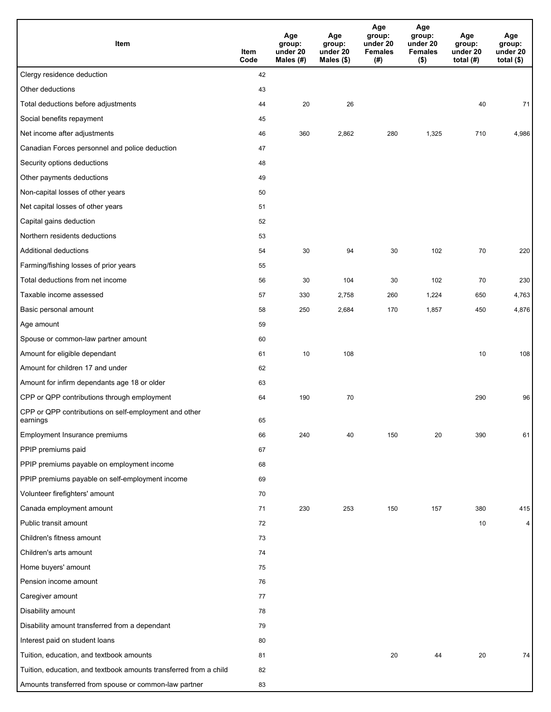| Item                                                              | Item<br>Code | Age<br>group:<br>under 20<br>Males (#) | Age<br>group:<br>under 20<br>Males (\$) | Age<br>group:<br>under 20<br><b>Females</b><br>(# ) | Age<br>group:<br>under 20<br><b>Females</b><br>$($ \$) | Age<br>group:<br>under 20<br>total $(H)$ | Age<br>group:<br>under 20<br>total $($)$ |
|-------------------------------------------------------------------|--------------|----------------------------------------|-----------------------------------------|-----------------------------------------------------|--------------------------------------------------------|------------------------------------------|------------------------------------------|
| Clergy residence deduction                                        | 42           |                                        |                                         |                                                     |                                                        |                                          |                                          |
| Other deductions                                                  | 43           |                                        |                                         |                                                     |                                                        |                                          |                                          |
| Total deductions before adjustments                               | 44           | 20                                     | 26                                      |                                                     |                                                        | 40                                       | 71                                       |
| Social benefits repayment                                         | 45           |                                        |                                         |                                                     |                                                        |                                          |                                          |
| Net income after adjustments                                      | 46           | 360                                    | 2,862                                   | 280                                                 | 1,325                                                  | 710                                      | 4,986                                    |
| Canadian Forces personnel and police deduction                    | 47           |                                        |                                         |                                                     |                                                        |                                          |                                          |
| Security options deductions                                       | 48           |                                        |                                         |                                                     |                                                        |                                          |                                          |
| Other payments deductions                                         | 49           |                                        |                                         |                                                     |                                                        |                                          |                                          |
| Non-capital losses of other years                                 | 50           |                                        |                                         |                                                     |                                                        |                                          |                                          |
| Net capital losses of other years                                 | 51           |                                        |                                         |                                                     |                                                        |                                          |                                          |
| Capital gains deduction                                           | 52           |                                        |                                         |                                                     |                                                        |                                          |                                          |
| Northern residents deductions                                     | 53           |                                        |                                         |                                                     |                                                        |                                          |                                          |
| Additional deductions                                             | 54           | 30                                     | 94                                      | 30                                                  | 102                                                    | 70                                       | 220                                      |
| Farming/fishing losses of prior years                             | 55           |                                        |                                         |                                                     |                                                        |                                          |                                          |
| Total deductions from net income                                  | 56           | 30                                     | 104                                     | 30                                                  | 102                                                    | 70                                       | 230                                      |
| Taxable income assessed                                           | 57           | 330                                    | 2,758                                   | 260                                                 | 1,224                                                  | 650                                      | 4,763                                    |
| Basic personal amount                                             | 58           | 250                                    | 2,684                                   | 170                                                 | 1,857                                                  | 450                                      | 4,876                                    |
| Age amount                                                        | 59           |                                        |                                         |                                                     |                                                        |                                          |                                          |
| Spouse or common-law partner amount                               | 60           |                                        |                                         |                                                     |                                                        |                                          |                                          |
| Amount for eligible dependant                                     | 61           | 10                                     | 108                                     |                                                     |                                                        | 10                                       | 108                                      |
| Amount for children 17 and under                                  | 62           |                                        |                                         |                                                     |                                                        |                                          |                                          |
| Amount for infirm dependants age 18 or older                      | 63           |                                        |                                         |                                                     |                                                        |                                          |                                          |
| CPP or QPP contributions through employment                       | 64           | 190                                    | 70                                      |                                                     |                                                        | 290                                      | 96                                       |
| CPP or QPP contributions on self-employment and other<br>earnings | 65           |                                        |                                         |                                                     |                                                        |                                          |                                          |
| Employment Insurance premiums                                     | 66           | 240                                    | 40                                      | 150                                                 | 20                                                     | 390                                      | 61                                       |
| PPIP premiums paid                                                | 67           |                                        |                                         |                                                     |                                                        |                                          |                                          |
| PPIP premiums payable on employment income                        | 68           |                                        |                                         |                                                     |                                                        |                                          |                                          |
| PPIP premiums payable on self-employment income                   | 69           |                                        |                                         |                                                     |                                                        |                                          |                                          |
| Volunteer firefighters' amount                                    | 70           |                                        |                                         |                                                     |                                                        |                                          |                                          |
| Canada employment amount                                          | 71           | 230                                    | 253                                     | 150                                                 | 157                                                    | 380                                      | 415                                      |
| Public transit amount                                             | 72           |                                        |                                         |                                                     |                                                        | 10                                       | 4                                        |
| Children's fitness amount                                         | 73           |                                        |                                         |                                                     |                                                        |                                          |                                          |
| Children's arts amount                                            | 74           |                                        |                                         |                                                     |                                                        |                                          |                                          |
| Home buyers' amount                                               | 75           |                                        |                                         |                                                     |                                                        |                                          |                                          |
| Pension income amount                                             | 76           |                                        |                                         |                                                     |                                                        |                                          |                                          |
| Caregiver amount                                                  | 77           |                                        |                                         |                                                     |                                                        |                                          |                                          |
| Disability amount                                                 | 78           |                                        |                                         |                                                     |                                                        |                                          |                                          |
| Disability amount transferred from a dependant                    | 79           |                                        |                                         |                                                     |                                                        |                                          |                                          |
| Interest paid on student loans                                    | 80           |                                        |                                         |                                                     |                                                        |                                          |                                          |
| Tuition, education, and textbook amounts                          | 81           |                                        |                                         | 20                                                  | 44                                                     | 20                                       | 74                                       |
| Tuition, education, and textbook amounts transferred from a child | 82           |                                        |                                         |                                                     |                                                        |                                          |                                          |
| Amounts transferred from spouse or common-law partner             | 83           |                                        |                                         |                                                     |                                                        |                                          |                                          |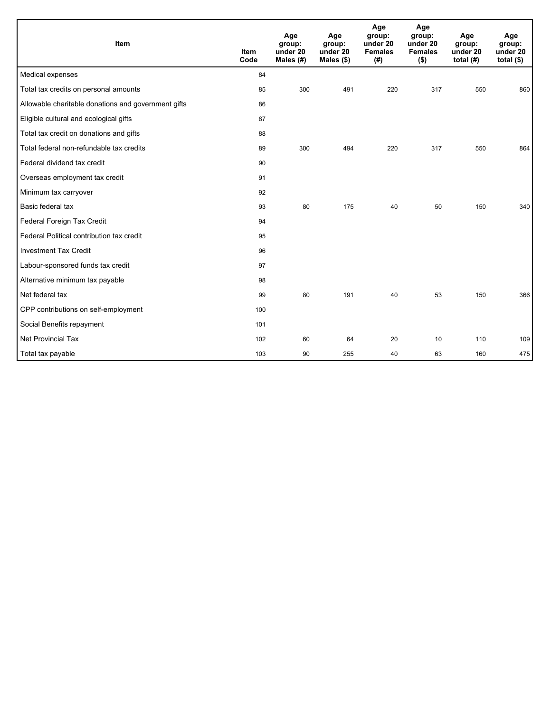| Item                                                | <b>Item</b><br>Code | Age<br>group:<br>under 20<br>Males (#) | Age<br>group:<br>under 20<br>Males $(\$)$ | Age<br>group:<br>under 20<br><b>Females</b><br>(# ) | Age<br>group:<br>under 20<br><b>Females</b><br>$($ \$) | Age<br>group:<br>under 20<br>total $(H)$ | Age<br>group:<br>under 20<br>total $($)$ |
|-----------------------------------------------------|---------------------|----------------------------------------|-------------------------------------------|-----------------------------------------------------|--------------------------------------------------------|------------------------------------------|------------------------------------------|
| Medical expenses                                    | 84                  |                                        |                                           |                                                     |                                                        |                                          |                                          |
| Total tax credits on personal amounts               | 85                  | 300                                    | 491                                       | 220                                                 | 317                                                    | 550                                      | 860                                      |
| Allowable charitable donations and government gifts | 86                  |                                        |                                           |                                                     |                                                        |                                          |                                          |
| Eligible cultural and ecological gifts              | 87                  |                                        |                                           |                                                     |                                                        |                                          |                                          |
| Total tax credit on donations and gifts             | 88                  |                                        |                                           |                                                     |                                                        |                                          |                                          |
| Total federal non-refundable tax credits            | 89                  | 300                                    | 494                                       | 220                                                 | 317                                                    | 550                                      | 864                                      |
| Federal dividend tax credit                         | 90                  |                                        |                                           |                                                     |                                                        |                                          |                                          |
| Overseas employment tax credit                      | 91                  |                                        |                                           |                                                     |                                                        |                                          |                                          |
| Minimum tax carryover                               | 92                  |                                        |                                           |                                                     |                                                        |                                          |                                          |
| Basic federal tax                                   | 93                  | 80                                     | 175                                       | 40                                                  | 50                                                     | 150                                      | 340                                      |
| Federal Foreign Tax Credit                          | 94                  |                                        |                                           |                                                     |                                                        |                                          |                                          |
| Federal Political contribution tax credit           | 95                  |                                        |                                           |                                                     |                                                        |                                          |                                          |
| <b>Investment Tax Credit</b>                        | 96                  |                                        |                                           |                                                     |                                                        |                                          |                                          |
| Labour-sponsored funds tax credit                   | 97                  |                                        |                                           |                                                     |                                                        |                                          |                                          |
| Alternative minimum tax payable                     | 98                  |                                        |                                           |                                                     |                                                        |                                          |                                          |
| Net federal tax                                     | 99                  | 80                                     | 191                                       | 40                                                  | 53                                                     | 150                                      | 366                                      |
| CPP contributions on self-employment                | 100                 |                                        |                                           |                                                     |                                                        |                                          |                                          |
| Social Benefits repayment                           | 101                 |                                        |                                           |                                                     |                                                        |                                          |                                          |
| <b>Net Provincial Tax</b>                           | 102                 | 60                                     | 64                                        | 20                                                  | 10                                                     | 110                                      | 109                                      |
| Total tax payable                                   | 103                 | 90                                     | 255                                       | 40                                                  | 63                                                     | 160                                      | 475                                      |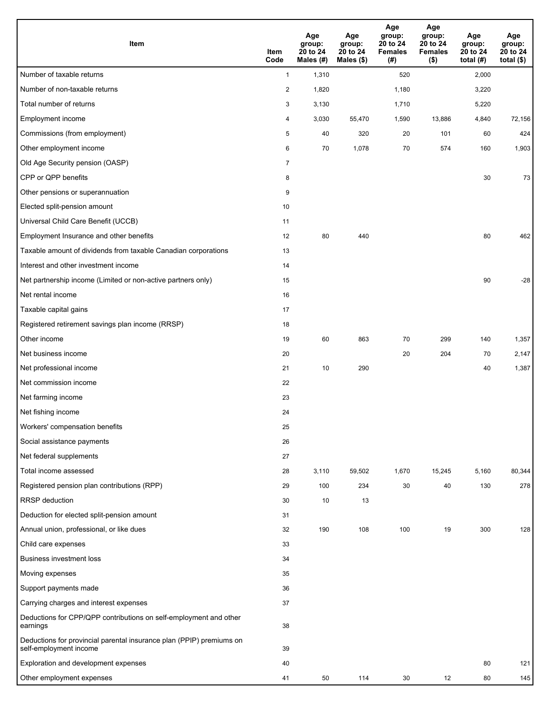| Item                                                                                           | Item<br>Code   | Age<br>group:<br>20 to 24<br>Males (#) | Age<br>group:<br>20 to 24<br>Males (\$) | Age<br>group:<br>20 to 24<br><b>Females</b><br>(# ) | Age<br>group:<br>20 to 24<br><b>Females</b><br>$($ \$) | Age<br>group:<br>20 to 24<br>total $(H)$ | Age<br>group:<br>20 to 24<br>total $($)$ |
|------------------------------------------------------------------------------------------------|----------------|----------------------------------------|-----------------------------------------|-----------------------------------------------------|--------------------------------------------------------|------------------------------------------|------------------------------------------|
| Number of taxable returns                                                                      | $\mathbf{1}$   | 1,310                                  |                                         | 520                                                 |                                                        | 2,000                                    |                                          |
| Number of non-taxable returns                                                                  | $\overline{2}$ | 1,820                                  |                                         | 1,180                                               |                                                        | 3,220                                    |                                          |
| Total number of returns                                                                        | 3              | 3,130                                  |                                         | 1,710                                               |                                                        | 5,220                                    |                                          |
| Employment income                                                                              | 4              | 3,030                                  | 55,470                                  | 1,590                                               | 13,886                                                 | 4,840                                    | 72,156                                   |
| Commissions (from employment)                                                                  | 5              | 40                                     | 320                                     | 20                                                  | 101                                                    | 60                                       | 424                                      |
| Other employment income                                                                        | 6              | 70                                     | 1,078                                   | 70                                                  | 574                                                    | 160                                      | 1,903                                    |
| Old Age Security pension (OASP)                                                                | $\overline{7}$ |                                        |                                         |                                                     |                                                        |                                          |                                          |
| CPP or QPP benefits                                                                            | 8              |                                        |                                         |                                                     |                                                        | 30                                       | 73                                       |
| Other pensions or superannuation                                                               | 9              |                                        |                                         |                                                     |                                                        |                                          |                                          |
| Elected split-pension amount                                                                   | 10             |                                        |                                         |                                                     |                                                        |                                          |                                          |
| Universal Child Care Benefit (UCCB)                                                            | 11             |                                        |                                         |                                                     |                                                        |                                          |                                          |
| Employment Insurance and other benefits                                                        | 12             | 80                                     | 440                                     |                                                     |                                                        | 80                                       | 462                                      |
| Taxable amount of dividends from taxable Canadian corporations                                 | 13             |                                        |                                         |                                                     |                                                        |                                          |                                          |
| Interest and other investment income                                                           | 14             |                                        |                                         |                                                     |                                                        |                                          |                                          |
| Net partnership income (Limited or non-active partners only)                                   | 15             |                                        |                                         |                                                     |                                                        | 90                                       | $-28$                                    |
| Net rental income                                                                              | 16             |                                        |                                         |                                                     |                                                        |                                          |                                          |
| Taxable capital gains                                                                          | 17             |                                        |                                         |                                                     |                                                        |                                          |                                          |
| Registered retirement savings plan income (RRSP)                                               | 18             |                                        |                                         |                                                     |                                                        |                                          |                                          |
| Other income                                                                                   | 19             | 60                                     | 863                                     | 70                                                  | 299                                                    | 140                                      | 1,357                                    |
| Net business income                                                                            | 20             |                                        |                                         | 20                                                  | 204                                                    | 70                                       | 2,147                                    |
| Net professional income                                                                        | 21             | 10                                     | 290                                     |                                                     |                                                        | 40                                       | 1,387                                    |
| Net commission income                                                                          | 22             |                                        |                                         |                                                     |                                                        |                                          |                                          |
| Net farming income                                                                             | 23             |                                        |                                         |                                                     |                                                        |                                          |                                          |
| Net fishing income                                                                             | 24             |                                        |                                         |                                                     |                                                        |                                          |                                          |
| Workers' compensation benefits                                                                 | 25             |                                        |                                         |                                                     |                                                        |                                          |                                          |
| Social assistance payments                                                                     | 26             |                                        |                                         |                                                     |                                                        |                                          |                                          |
| Net federal supplements                                                                        | 27             |                                        |                                         |                                                     |                                                        |                                          |                                          |
| Total income assessed                                                                          | 28             | 3,110                                  | 59,502                                  | 1,670                                               | 15,245                                                 | 5,160                                    | 80,344                                   |
| Registered pension plan contributions (RPP)                                                    | 29             | 100                                    | 234                                     | 30                                                  | 40                                                     | 130                                      | 278                                      |
| <b>RRSP</b> deduction                                                                          | 30             | 10                                     | 13                                      |                                                     |                                                        |                                          |                                          |
| Deduction for elected split-pension amount                                                     | 31             |                                        |                                         |                                                     |                                                        |                                          |                                          |
| Annual union, professional, or like dues                                                       | 32             | 190                                    | 108                                     | 100                                                 | 19                                                     | 300                                      | 128                                      |
| Child care expenses                                                                            | 33             |                                        |                                         |                                                     |                                                        |                                          |                                          |
| <b>Business investment loss</b>                                                                | 34             |                                        |                                         |                                                     |                                                        |                                          |                                          |
| Moving expenses                                                                                | 35             |                                        |                                         |                                                     |                                                        |                                          |                                          |
| Support payments made                                                                          | 36             |                                        |                                         |                                                     |                                                        |                                          |                                          |
| Carrying charges and interest expenses                                                         | 37             |                                        |                                         |                                                     |                                                        |                                          |                                          |
| Deductions for CPP/QPP contributions on self-employment and other<br>earnings                  | 38             |                                        |                                         |                                                     |                                                        |                                          |                                          |
| Deductions for provincial parental insurance plan (PPIP) premiums on<br>self-employment income | 39             |                                        |                                         |                                                     |                                                        |                                          |                                          |
| Exploration and development expenses                                                           | 40             |                                        |                                         |                                                     |                                                        | 80                                       | 121                                      |
| Other employment expenses                                                                      | 41             | 50                                     | 114                                     | 30                                                  | 12                                                     | 80                                       | 145                                      |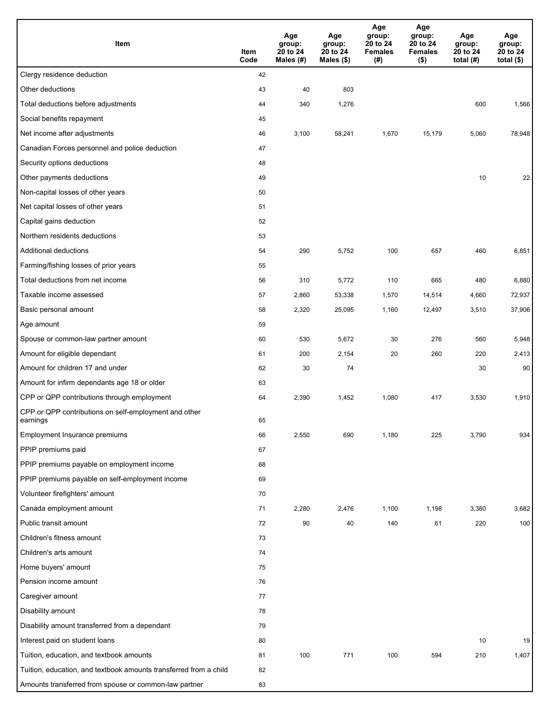| Item                                                              | Item<br>Code | Age<br>group:<br>20 to 24<br>Males (#) | Age<br>group:<br>20 to 24<br>Males $(\$)$ | Age<br>group:<br>20 to 24<br><b>Females</b><br>(# ) | Age<br>group:<br>20 to 24<br><b>Females</b><br>$($ \$) | Age<br>group:<br>20 to 24<br>total $(H)$ | Age<br>group:<br>20 to 24<br>total $($)$ |
|-------------------------------------------------------------------|--------------|----------------------------------------|-------------------------------------------|-----------------------------------------------------|--------------------------------------------------------|------------------------------------------|------------------------------------------|
| Clergy residence deduction                                        | 42           |                                        |                                           |                                                     |                                                        |                                          |                                          |
| Other deductions                                                  | 43           | 40                                     | 803                                       |                                                     |                                                        |                                          |                                          |
| Total deductions before adjustments                               | 44           | 340                                    | 1,276                                     |                                                     |                                                        | 600                                      | 1,566                                    |
| Social benefits repayment                                         | 45           |                                        |                                           |                                                     |                                                        |                                          |                                          |
| Net income after adjustments                                      | 46           | 3,100                                  | 58,241                                    | 1,670                                               | 15,179                                                 | 5,060                                    | 78,948                                   |
| Canadian Forces personnel and police deduction                    | 47           |                                        |                                           |                                                     |                                                        |                                          |                                          |
| Security options deductions                                       | 48           |                                        |                                           |                                                     |                                                        |                                          |                                          |
| Other payments deductions                                         | 49           |                                        |                                           |                                                     |                                                        | 10                                       | 22                                       |
| Non-capital losses of other years                                 | 50           |                                        |                                           |                                                     |                                                        |                                          |                                          |
| Net capital losses of other years                                 | 51           |                                        |                                           |                                                     |                                                        |                                          |                                          |
| Capital gains deduction                                           | 52           |                                        |                                           |                                                     |                                                        |                                          |                                          |
| Northern residents deductions                                     | 53           |                                        |                                           |                                                     |                                                        |                                          |                                          |
| Additional deductions                                             | 54           | 290                                    | 5,752                                     | 100                                                 | 657                                                    | 460                                      | 6,851                                    |
| Farming/fishing losses of prior years                             | 55           |                                        |                                           |                                                     |                                                        |                                          |                                          |
| Total deductions from net income                                  | 56           | 310                                    | 5,772                                     | 110                                                 | 665                                                    | 480                                      | 6,880                                    |
| Taxable income assessed                                           | 57           | 2,860                                  | 53,338                                    | 1,570                                               | 14,514                                                 | 4,660                                    | 72,937                                   |
| Basic personal amount                                             | 58           | 2,320                                  | 25,095                                    | 1,160                                               | 12,497                                                 | 3,510                                    | 37,906                                   |
| Age amount                                                        | 59           |                                        |                                           |                                                     |                                                        |                                          |                                          |
| Spouse or common-law partner amount                               | 60           | 530                                    | 5,672                                     | 30                                                  | 276                                                    | 560                                      | 5,948                                    |
| Amount for eligible dependant                                     | 61           | 200                                    | 2,154                                     | 20                                                  | 260                                                    | 220                                      | 2,413                                    |
| Amount for children 17 and under                                  | 62           | 30                                     | 74                                        |                                                     |                                                        | 30                                       | 90 <sub>1</sub>                          |
| Amount for infirm dependants age 18 or older                      | 63           |                                        |                                           |                                                     |                                                        |                                          |                                          |
| CPP or QPP contributions through employment                       | 64           | 2,390                                  | 1,452                                     | 1,080                                               | 417                                                    | 3,530                                    | 1,910                                    |
| CPP or QPP contributions on self-employment and other<br>earnings | 65           |                                        |                                           |                                                     |                                                        |                                          |                                          |
| Employment Insurance premiums                                     | 66           | 2,550                                  | 690                                       | 1,180                                               | 225                                                    | 3,790                                    | 934                                      |
| PPIP premiums paid                                                | 67           |                                        |                                           |                                                     |                                                        |                                          |                                          |
| PPIP premiums payable on employment income                        | 68           |                                        |                                           |                                                     |                                                        |                                          |                                          |
| PPIP premiums payable on self-employment income                   | 69           |                                        |                                           |                                                     |                                                        |                                          |                                          |
| Volunteer firefighters' amount                                    | 70           |                                        |                                           |                                                     |                                                        |                                          |                                          |
| Canada employment amount                                          | 71           | 2,280                                  | 2,476                                     | 1,100                                               | 1,198                                                  | 3,380                                    | 3,682                                    |
| Public transit amount                                             | 72           | 90                                     | 40                                        | 140                                                 | 61                                                     | 220                                      | 100                                      |
| Children's fitness amount                                         | 73           |                                        |                                           |                                                     |                                                        |                                          |                                          |
| Children's arts amount                                            | 74           |                                        |                                           |                                                     |                                                        |                                          |                                          |
| Home buyers' amount                                               | 75           |                                        |                                           |                                                     |                                                        |                                          |                                          |
| Pension income amount                                             | 76           |                                        |                                           |                                                     |                                                        |                                          |                                          |
| Caregiver amount                                                  | 77           |                                        |                                           |                                                     |                                                        |                                          |                                          |
| Disability amount                                                 | 78           |                                        |                                           |                                                     |                                                        |                                          |                                          |
| Disability amount transferred from a dependant                    | 79           |                                        |                                           |                                                     |                                                        |                                          |                                          |
| Interest paid on student loans                                    | 80           |                                        |                                           |                                                     |                                                        | 10                                       | 19                                       |
| Tuition, education, and textbook amounts                          | 81           | 100                                    | 771                                       | 100                                                 | 594                                                    | 210                                      | 1,407                                    |
| Tuition, education, and textbook amounts transferred from a child | 82           |                                        |                                           |                                                     |                                                        |                                          |                                          |
| Amounts transferred from spouse or common-law partner             | 83           |                                        |                                           |                                                     |                                                        |                                          |                                          |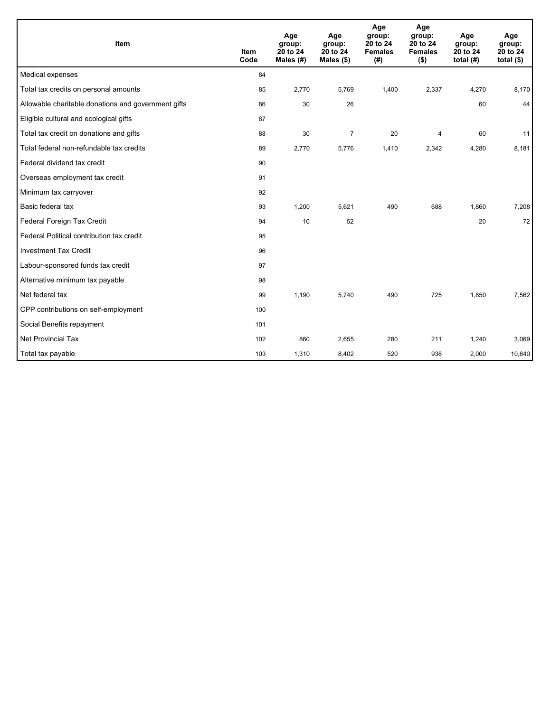| Item                                                | <b>Item</b><br>Code | Age<br>group:<br>20 to 24<br>Males (#) | Age<br>group:<br>20 to 24<br>Males $(\$)$ | Age<br>group:<br>20 to 24<br><b>Females</b><br>(# ) | Age<br>group:<br>20 to 24<br><b>Females</b><br>$($ \$) | Age<br>group:<br>20 to 24<br>total $(H)$ | Age<br>group:<br>20 to 24<br>total $(§)$ |
|-----------------------------------------------------|---------------------|----------------------------------------|-------------------------------------------|-----------------------------------------------------|--------------------------------------------------------|------------------------------------------|------------------------------------------|
| Medical expenses                                    | 84                  |                                        |                                           |                                                     |                                                        |                                          |                                          |
| Total tax credits on personal amounts               | 85                  | 2,770                                  | 5,769                                     | 1,400                                               | 2,337                                                  | 4,270                                    | 8,170                                    |
| Allowable charitable donations and government gifts | 86                  | 30                                     | 26                                        |                                                     |                                                        | 60                                       | 44                                       |
| Eligible cultural and ecological gifts              | 87                  |                                        |                                           |                                                     |                                                        |                                          |                                          |
| Total tax credit on donations and gifts             | 88                  | 30                                     | $\overline{7}$                            | 20                                                  | 4                                                      | 60                                       | 11                                       |
| Total federal non-refundable tax credits            | 89                  | 2,770                                  | 5,776                                     | 1,410                                               | 2,342                                                  | 4,280                                    | 8,181                                    |
| Federal dividend tax credit                         | 90                  |                                        |                                           |                                                     |                                                        |                                          |                                          |
| Overseas employment tax credit                      | 91                  |                                        |                                           |                                                     |                                                        |                                          |                                          |
| Minimum tax carryover                               | 92                  |                                        |                                           |                                                     |                                                        |                                          |                                          |
| Basic federal tax                                   | 93                  | 1,200                                  | 5,621                                     | 490                                                 | 688                                                    | 1,860                                    | 7,208                                    |
| Federal Foreign Tax Credit                          | 94                  | 10                                     | 52                                        |                                                     |                                                        | 20                                       | 72                                       |
| Federal Political contribution tax credit           | 95                  |                                        |                                           |                                                     |                                                        |                                          |                                          |
| <b>Investment Tax Credit</b>                        | 96                  |                                        |                                           |                                                     |                                                        |                                          |                                          |
| Labour-sponsored funds tax credit                   | 97                  |                                        |                                           |                                                     |                                                        |                                          |                                          |
| Alternative minimum tax payable                     | 98                  |                                        |                                           |                                                     |                                                        |                                          |                                          |
| Net federal tax                                     | 99                  | 1,190                                  | 5,740                                     | 490                                                 | 725                                                    | 1,850                                    | 7,562                                    |
| CPP contributions on self-employment                | 100                 |                                        |                                           |                                                     |                                                        |                                          |                                          |
| Social Benefits repayment                           | 101                 |                                        |                                           |                                                     |                                                        |                                          |                                          |
| <b>Net Provincial Tax</b>                           | 102                 | 860                                    | 2,655                                     | 280                                                 | 211                                                    | 1,240                                    | 3,069                                    |
| Total tax payable                                   | 103                 | 1,310                                  | 8,402                                     | 520                                                 | 938                                                    | 2,000                                    | 10,640                                   |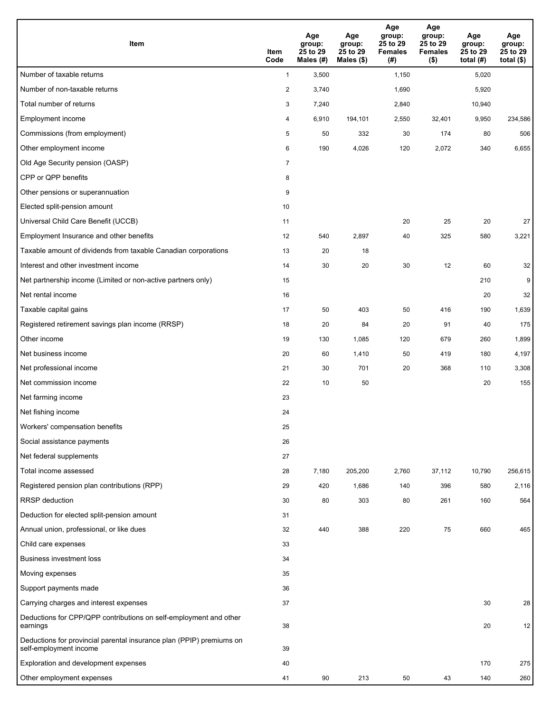| Item                                                                                           | Item<br>Code              | Age<br>group:<br>25 to 29<br>Males (#) | Age<br>group:<br>25 to 29<br>Males (\$) | Age<br>group:<br>25 to 29<br><b>Females</b><br>(# ) | Age<br>group:<br>25 to 29<br><b>Females</b><br>$($ \$) | Age<br>group:<br>25 to 29<br>total $(#)$ | Age<br>group:<br>25 to 29<br>total $(\$)$ |
|------------------------------------------------------------------------------------------------|---------------------------|----------------------------------------|-----------------------------------------|-----------------------------------------------------|--------------------------------------------------------|------------------------------------------|-------------------------------------------|
| Number of taxable returns                                                                      | $\mathbf{1}$              | 3,500                                  |                                         | 1,150                                               |                                                        | 5,020                                    |                                           |
| Number of non-taxable returns                                                                  | $\overline{2}$            | 3,740                                  |                                         | 1,690                                               |                                                        | 5,920                                    |                                           |
| Total number of returns                                                                        | $\ensuremath{\mathsf{3}}$ | 7,240                                  |                                         | 2,840                                               |                                                        | 10,940                                   |                                           |
| Employment income                                                                              | 4                         | 6,910                                  | 194,101                                 | 2,550                                               | 32,401                                                 | 9,950                                    | 234,586                                   |
| Commissions (from employment)                                                                  | 5                         | 50                                     | 332                                     | 30                                                  | 174                                                    | 80                                       | 506                                       |
| Other employment income                                                                        | 6                         | 190                                    | 4,026                                   | 120                                                 | 2,072                                                  | 340                                      | 6,655                                     |
| Old Age Security pension (OASP)                                                                | $\overline{7}$            |                                        |                                         |                                                     |                                                        |                                          |                                           |
| CPP or QPP benefits                                                                            | 8                         |                                        |                                         |                                                     |                                                        |                                          |                                           |
| Other pensions or superannuation                                                               | 9                         |                                        |                                         |                                                     |                                                        |                                          |                                           |
| Elected split-pension amount                                                                   | 10                        |                                        |                                         |                                                     |                                                        |                                          |                                           |
| Universal Child Care Benefit (UCCB)                                                            | 11                        |                                        |                                         | 20                                                  | 25                                                     | 20                                       | 27                                        |
| Employment Insurance and other benefits                                                        | 12                        | 540                                    | 2,897                                   | 40                                                  | 325                                                    | 580                                      | 3,221                                     |
| Taxable amount of dividends from taxable Canadian corporations                                 | 13                        | 20                                     | 18                                      |                                                     |                                                        |                                          |                                           |
| Interest and other investment income                                                           | 14                        | 30                                     | 20                                      | 30                                                  | 12                                                     | 60                                       | 32                                        |
| Net partnership income (Limited or non-active partners only)                                   | 15                        |                                        |                                         |                                                     |                                                        | 210                                      | 9                                         |
| Net rental income                                                                              | 16                        |                                        |                                         |                                                     |                                                        | 20                                       | 32                                        |
| Taxable capital gains                                                                          | 17                        | 50                                     | 403                                     | 50                                                  | 416                                                    | 190                                      | 1,639                                     |
| Registered retirement savings plan income (RRSP)                                               | 18                        | 20                                     | 84                                      | 20                                                  | 91                                                     | 40                                       | 175                                       |
| Other income                                                                                   | 19                        | 130                                    | 1,085                                   | 120                                                 | 679                                                    | 260                                      | 1,899                                     |
| Net business income                                                                            | 20                        | 60                                     | 1,410                                   | 50                                                  | 419                                                    | 180                                      | 4,197                                     |
| Net professional income                                                                        | 21                        | 30                                     | 701                                     | 20                                                  | 368                                                    | 110                                      | 3,308                                     |
| Net commission income                                                                          | 22                        | 10                                     | 50                                      |                                                     |                                                        | 20                                       | 155                                       |
| Net farming income                                                                             | 23                        |                                        |                                         |                                                     |                                                        |                                          |                                           |
| Net fishing income                                                                             | 24                        |                                        |                                         |                                                     |                                                        |                                          |                                           |
| Workers' compensation benefits                                                                 | 25                        |                                        |                                         |                                                     |                                                        |                                          |                                           |
| Social assistance payments                                                                     | 26                        |                                        |                                         |                                                     |                                                        |                                          |                                           |
| Net federal supplements                                                                        | 27                        |                                        |                                         |                                                     |                                                        |                                          |                                           |
| Total income assessed                                                                          | 28                        | 7,180                                  | 205,200                                 | 2,760                                               | 37,112                                                 | 10,790                                   | 256,615                                   |
| Registered pension plan contributions (RPP)                                                    | 29                        | 420                                    | 1,686                                   | 140                                                 | 396                                                    | 580                                      | 2,116                                     |
| <b>RRSP</b> deduction                                                                          | 30                        | 80                                     | 303                                     | 80                                                  | 261                                                    | 160                                      | 564                                       |
| Deduction for elected split-pension amount                                                     | 31                        |                                        |                                         |                                                     |                                                        |                                          |                                           |
| Annual union, professional, or like dues                                                       | 32                        | 440                                    | 388                                     | 220                                                 | 75                                                     | 660                                      | 465                                       |
| Child care expenses                                                                            | 33                        |                                        |                                         |                                                     |                                                        |                                          |                                           |
| <b>Business investment loss</b>                                                                | 34                        |                                        |                                         |                                                     |                                                        |                                          |                                           |
| Moving expenses                                                                                | 35                        |                                        |                                         |                                                     |                                                        |                                          |                                           |
| Support payments made                                                                          | 36                        |                                        |                                         |                                                     |                                                        |                                          |                                           |
| Carrying charges and interest expenses                                                         | 37                        |                                        |                                         |                                                     |                                                        | 30                                       | 28                                        |
| Deductions for CPP/QPP contributions on self-employment and other<br>earnings                  | 38                        |                                        |                                         |                                                     |                                                        | 20                                       | 12                                        |
| Deductions for provincial parental insurance plan (PPIP) premiums on<br>self-employment income | 39                        |                                        |                                         |                                                     |                                                        |                                          |                                           |
| Exploration and development expenses                                                           | 40                        |                                        |                                         |                                                     |                                                        | 170                                      | 275                                       |
| Other employment expenses                                                                      | 41                        | 90                                     | 213                                     | 50                                                  | 43                                                     | 140                                      | 260                                       |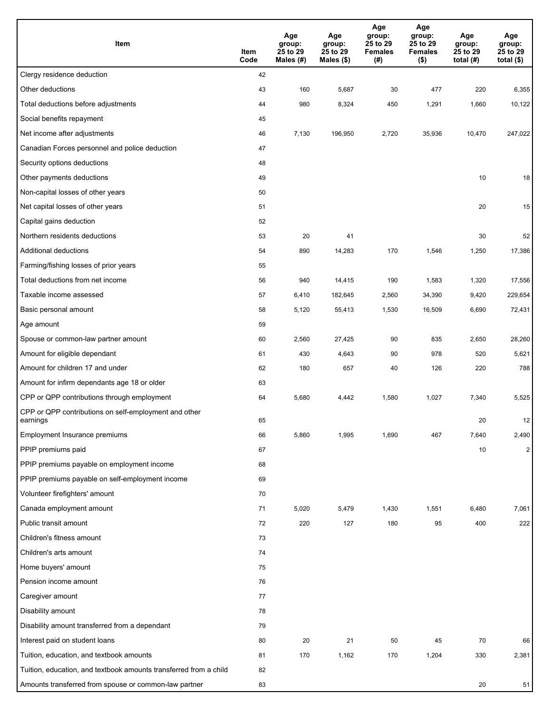| Item                                                              | Item<br>Code | Age<br>group:<br>25 to 29<br>Males $(H)$ | Age<br>group:<br>25 to 29<br>Males (\$) | Age<br>group:<br>25 to 29<br><b>Females</b><br>(#) | Age<br>group:<br>25 to 29<br><b>Females</b><br>$($ \$) | Age<br>group:<br>25 to 29<br>total $(H)$ | Age<br>group:<br>25 to 29<br>total $($)$ |
|-------------------------------------------------------------------|--------------|------------------------------------------|-----------------------------------------|----------------------------------------------------|--------------------------------------------------------|------------------------------------------|------------------------------------------|
| Clergy residence deduction                                        | 42           |                                          |                                         |                                                    |                                                        |                                          |                                          |
| Other deductions                                                  | 43           | 160                                      | 5,687                                   | 30                                                 | 477                                                    | 220                                      | 6,355                                    |
| Total deductions before adjustments                               | 44           | 980                                      | 8,324                                   | 450                                                | 1,291                                                  | 1,660                                    | 10,122                                   |
| Social benefits repayment                                         | 45           |                                          |                                         |                                                    |                                                        |                                          |                                          |
| Net income after adjustments                                      | 46           | 7,130                                    | 196,950                                 | 2,720                                              | 35,936                                                 | 10,470                                   | 247,022                                  |
| Canadian Forces personnel and police deduction                    | 47           |                                          |                                         |                                                    |                                                        |                                          |                                          |
| Security options deductions                                       | 48           |                                          |                                         |                                                    |                                                        |                                          |                                          |
| Other payments deductions                                         | 49           |                                          |                                         |                                                    |                                                        | 10                                       | 18                                       |
| Non-capital losses of other years                                 | 50           |                                          |                                         |                                                    |                                                        |                                          |                                          |
| Net capital losses of other years                                 | 51           |                                          |                                         |                                                    |                                                        | 20                                       | 15                                       |
| Capital gains deduction                                           | 52           |                                          |                                         |                                                    |                                                        |                                          |                                          |
| Northern residents deductions                                     | 53           | 20                                       | 41                                      |                                                    |                                                        | 30                                       | 52                                       |
| Additional deductions                                             | 54           | 890                                      | 14,283                                  | 170                                                | 1,546                                                  | 1,250                                    | 17,386                                   |
| Farming/fishing losses of prior years                             | 55           |                                          |                                         |                                                    |                                                        |                                          |                                          |
| Total deductions from net income                                  | 56           | 940                                      | 14,415                                  | 190                                                | 1,583                                                  | 1,320                                    | 17,556                                   |
| Taxable income assessed                                           | 57           | 6,410                                    | 182,645                                 | 2,560                                              | 34,390                                                 | 9,420                                    | 229,654                                  |
| Basic personal amount                                             | 58           | 5,120                                    | 55,413                                  | 1,530                                              | 16,509                                                 | 6,690                                    | 72,431                                   |
| Age amount                                                        | 59           |                                          |                                         |                                                    |                                                        |                                          |                                          |
| Spouse or common-law partner amount                               | 60           | 2,560                                    | 27,425                                  | 90                                                 | 835                                                    | 2,650                                    | 28,260                                   |
| Amount for eligible dependant                                     | 61           | 430                                      | 4,643                                   | 90                                                 | 978                                                    | 520                                      | 5,621                                    |
| Amount for children 17 and under                                  | 62           | 180                                      | 657                                     | 40                                                 | 126                                                    | 220                                      | 788                                      |
| Amount for infirm dependants age 18 or older                      | 63           |                                          |                                         |                                                    |                                                        |                                          |                                          |
| CPP or QPP contributions through employment                       | 64           | 5,680                                    | 4,442                                   | 1,580                                              | 1,027                                                  | 7,340                                    | 5,525                                    |
| CPP or QPP contributions on self-employment and other<br>earnings | 65           |                                          |                                         |                                                    |                                                        | 20                                       | 12                                       |
| Employment Insurance premiums                                     | 66           | 5,860                                    | 1,995                                   | 1,690                                              | 467                                                    | 7,640                                    | 2,490                                    |
| PPIP premiums paid                                                | 67           |                                          |                                         |                                                    |                                                        | 10                                       | $\overline{2}$                           |
| PPIP premiums payable on employment income                        | 68           |                                          |                                         |                                                    |                                                        |                                          |                                          |
| PPIP premiums payable on self-employment income                   | 69           |                                          |                                         |                                                    |                                                        |                                          |                                          |
| Volunteer firefighters' amount                                    | 70           |                                          |                                         |                                                    |                                                        |                                          |                                          |
| Canada employment amount                                          | 71           | 5,020                                    | 5,479                                   | 1,430                                              | 1,551                                                  | 6,480                                    | 7,061                                    |
| Public transit amount                                             | 72           | 220                                      | 127                                     | 180                                                | 95                                                     | 400                                      | 222                                      |
| Children's fitness amount                                         | 73           |                                          |                                         |                                                    |                                                        |                                          |                                          |
| Children's arts amount                                            | 74           |                                          |                                         |                                                    |                                                        |                                          |                                          |
| Home buyers' amount                                               | 75           |                                          |                                         |                                                    |                                                        |                                          |                                          |
| Pension income amount                                             | 76           |                                          |                                         |                                                    |                                                        |                                          |                                          |
| Caregiver amount                                                  | 77           |                                          |                                         |                                                    |                                                        |                                          |                                          |
| Disability amount                                                 | 78           |                                          |                                         |                                                    |                                                        |                                          |                                          |
| Disability amount transferred from a dependant                    | 79           |                                          |                                         |                                                    |                                                        |                                          |                                          |
| Interest paid on student loans                                    | 80           | 20                                       | 21                                      | 50                                                 | 45                                                     | 70                                       | 66                                       |
| Tuition, education, and textbook amounts                          | 81           | 170                                      | 1,162                                   | 170                                                | 1,204                                                  | 330                                      | 2,381                                    |
| Tuition, education, and textbook amounts transferred from a child | 82           |                                          |                                         |                                                    |                                                        |                                          |                                          |
| Amounts transferred from spouse or common-law partner             | 83           |                                          |                                         |                                                    |                                                        | $20\,$                                   | 51                                       |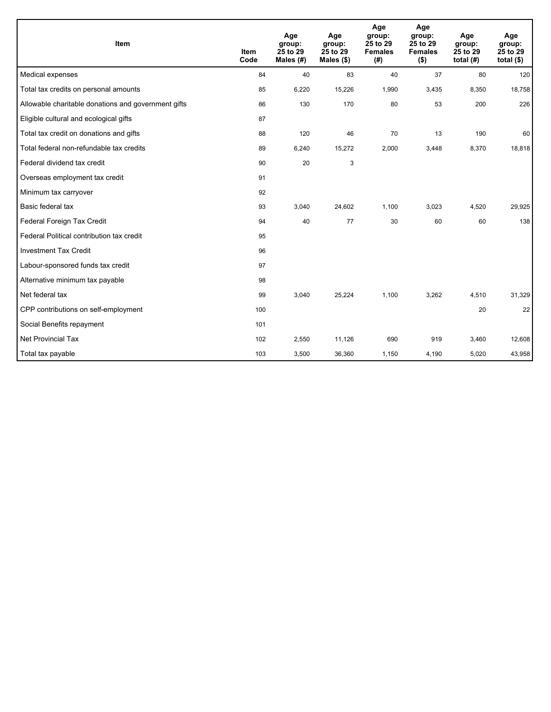| Item                                                | <b>Item</b><br>Code | Age<br>group:<br>25 to 29<br>Males (#) | Age<br>group:<br>25 to 29<br>Males $(\$)$ | Age<br>group:<br>25 to 29<br><b>Females</b><br>(#) | Age<br>group:<br>25 to 29<br><b>Females</b><br>$($ \$) | Age<br>group:<br>25 to 29<br>total $(H)$ | Age<br>group:<br>25 to 29<br>total $($ |
|-----------------------------------------------------|---------------------|----------------------------------------|-------------------------------------------|----------------------------------------------------|--------------------------------------------------------|------------------------------------------|----------------------------------------|
| Medical expenses                                    | 84                  | 40                                     | 83                                        | 40                                                 | 37                                                     | 80                                       | 120                                    |
| Total tax credits on personal amounts               | 85                  | 6,220                                  | 15,226                                    | 1,990                                              | 3,435                                                  | 8,350                                    | 18,758                                 |
| Allowable charitable donations and government gifts | 86                  | 130                                    | 170                                       | 80                                                 | 53                                                     | 200                                      | 226                                    |
| Eligible cultural and ecological gifts              | 87                  |                                        |                                           |                                                    |                                                        |                                          |                                        |
| Total tax credit on donations and gifts             | 88                  | 120                                    | 46                                        | 70                                                 | 13                                                     | 190                                      | 60                                     |
| Total federal non-refundable tax credits            | 89                  | 6,240                                  | 15,272                                    | 2,000                                              | 3,448                                                  | 8,370                                    | 18,818                                 |
| Federal dividend tax credit                         | 90                  | 20                                     | 3                                         |                                                    |                                                        |                                          |                                        |
| Overseas employment tax credit                      | 91                  |                                        |                                           |                                                    |                                                        |                                          |                                        |
| Minimum tax carryover                               | 92                  |                                        |                                           |                                                    |                                                        |                                          |                                        |
| Basic federal tax                                   | 93                  | 3,040                                  | 24,602                                    | 1,100                                              | 3,023                                                  | 4,520                                    | 29,925                                 |
| Federal Foreign Tax Credit                          | 94                  | 40                                     | 77                                        | 30                                                 | 60                                                     | 60                                       | 138                                    |
| Federal Political contribution tax credit           | 95                  |                                        |                                           |                                                    |                                                        |                                          |                                        |
| <b>Investment Tax Credit</b>                        | 96                  |                                        |                                           |                                                    |                                                        |                                          |                                        |
| Labour-sponsored funds tax credit                   | 97                  |                                        |                                           |                                                    |                                                        |                                          |                                        |
| Alternative minimum tax payable                     | 98                  |                                        |                                           |                                                    |                                                        |                                          |                                        |
| Net federal tax                                     | 99                  | 3,040                                  | 25,224                                    | 1,100                                              | 3,262                                                  | 4,510                                    | 31,329                                 |
| CPP contributions on self-employment                | 100                 |                                        |                                           |                                                    |                                                        | 20                                       | 22                                     |
| Social Benefits repayment                           | 101                 |                                        |                                           |                                                    |                                                        |                                          |                                        |
| Net Provincial Tax                                  | 102                 | 2,550                                  | 11,126                                    | 690                                                | 919                                                    | 3,460                                    | 12,608                                 |
| Total tax payable                                   | 103                 | 3,500                                  | 36,360                                    | 1,150                                              | 4,190                                                  | 5,020                                    | 43,958                                 |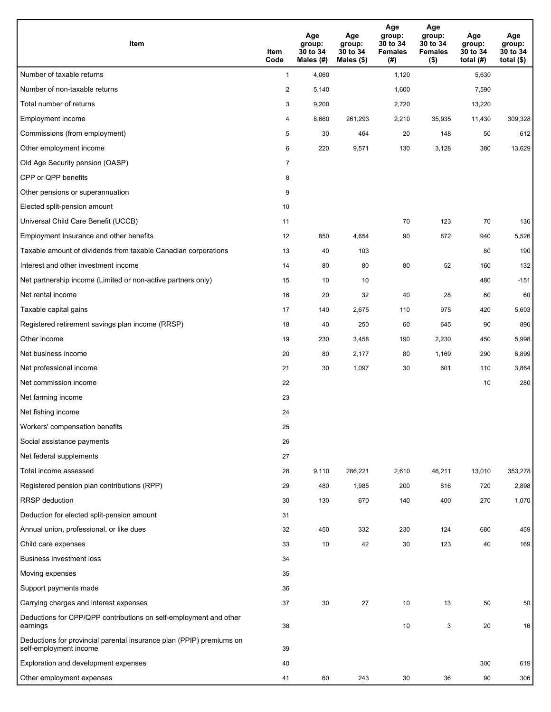| Item                                                                                           | Item<br>Code   | Age<br>group:<br>30 to 34<br>Males (#) | Age<br>group:<br>30 to 34<br>Males (\$) | Age<br>group:<br>30 to 34<br><b>Females</b><br>(# ) | Age<br>group:<br>30 to 34<br><b>Females</b><br>$($ \$) | Age<br>group:<br>30 to 34<br>total $(#)$ | Age<br>group:<br>30 to 34<br>total $($)$ |
|------------------------------------------------------------------------------------------------|----------------|----------------------------------------|-----------------------------------------|-----------------------------------------------------|--------------------------------------------------------|------------------------------------------|------------------------------------------|
| Number of taxable returns                                                                      | $\mathbf{1}$   | 4,060                                  |                                         | 1,120                                               |                                                        | 5,630                                    |                                          |
| Number of non-taxable returns                                                                  | $\overline{2}$ | 5,140                                  |                                         | 1,600                                               |                                                        | 7,590                                    |                                          |
| Total number of returns                                                                        | 3              | 9,200                                  |                                         | 2,720                                               |                                                        | 13,220                                   |                                          |
| Employment income                                                                              | 4              | 8,660                                  | 261,293                                 | 2,210                                               | 35,935                                                 | 11,430                                   | 309,328                                  |
| Commissions (from employment)                                                                  | 5              | 30                                     | 464                                     | 20                                                  | 148                                                    | 50                                       | 612                                      |
| Other employment income                                                                        | 6              | 220                                    | 9,571                                   | 130                                                 | 3,128                                                  | 380                                      | 13,629                                   |
| Old Age Security pension (OASP)                                                                | $\overline{7}$ |                                        |                                         |                                                     |                                                        |                                          |                                          |
| CPP or QPP benefits                                                                            | 8              |                                        |                                         |                                                     |                                                        |                                          |                                          |
| Other pensions or superannuation                                                               | 9              |                                        |                                         |                                                     |                                                        |                                          |                                          |
| Elected split-pension amount                                                                   | 10             |                                        |                                         |                                                     |                                                        |                                          |                                          |
| Universal Child Care Benefit (UCCB)                                                            | 11             |                                        |                                         | 70                                                  | 123                                                    | 70                                       | 136                                      |
| Employment Insurance and other benefits                                                        | 12             | 850                                    | 4,654                                   | 90                                                  | 872                                                    | 940                                      | 5,526                                    |
| Taxable amount of dividends from taxable Canadian corporations                                 | 13             | 40                                     | 103                                     |                                                     |                                                        | 80                                       | 190                                      |
| Interest and other investment income                                                           | 14             | 80                                     | 80                                      | 80                                                  | 52                                                     | 160                                      | 132                                      |
| Net partnership income (Limited or non-active partners only)                                   | 15             | 10                                     | 10                                      |                                                     |                                                        | 480                                      | $-151$                                   |
| Net rental income                                                                              | 16             | 20                                     | 32                                      | 40                                                  | 28                                                     | 60                                       | 60                                       |
| Taxable capital gains                                                                          | 17             | 140                                    | 2,675                                   | 110                                                 | 975                                                    | 420                                      | 5,603                                    |
| Registered retirement savings plan income (RRSP)                                               | 18             | 40                                     | 250                                     | 60                                                  | 645                                                    | 90                                       | 896                                      |
| Other income                                                                                   | 19             | 230                                    | 3,458                                   | 190                                                 | 2,230                                                  | 450                                      | 5,998                                    |
| Net business income                                                                            | 20             | 80                                     | 2,177                                   | 80                                                  | 1,169                                                  | 290                                      | 6,899                                    |
| Net professional income                                                                        | 21             | 30                                     | 1,097                                   | 30                                                  | 601                                                    | 110                                      | 3,864                                    |
| Net commission income                                                                          | 22             |                                        |                                         |                                                     |                                                        | 10                                       | 280                                      |
| Net farming income                                                                             | 23             |                                        |                                         |                                                     |                                                        |                                          |                                          |
| Net fishing income                                                                             | 24             |                                        |                                         |                                                     |                                                        |                                          |                                          |
| Workers' compensation benefits                                                                 | 25             |                                        |                                         |                                                     |                                                        |                                          |                                          |
| Social assistance payments                                                                     | 26             |                                        |                                         |                                                     |                                                        |                                          |                                          |
| Net federal supplements                                                                        | 27             |                                        |                                         |                                                     |                                                        |                                          |                                          |
| Total income assessed                                                                          | 28             | 9,110                                  | 286,221                                 | 2,610                                               | 46,211                                                 | 13,010                                   | 353,278                                  |
| Registered pension plan contributions (RPP)                                                    | 29             | 480                                    | 1,985                                   | 200                                                 | 816                                                    | 720                                      | 2,898                                    |
| <b>RRSP</b> deduction                                                                          | 30             | 130                                    | 670                                     | 140                                                 | 400                                                    | 270                                      | 1,070                                    |
| Deduction for elected split-pension amount                                                     | 31             |                                        |                                         |                                                     |                                                        |                                          |                                          |
| Annual union, professional, or like dues                                                       | 32             | 450                                    | 332                                     | 230                                                 | 124                                                    | 680                                      | 459                                      |
| Child care expenses                                                                            | 33             | 10                                     | 42                                      | 30                                                  | 123                                                    | 40                                       | 169                                      |
| <b>Business investment loss</b>                                                                | 34             |                                        |                                         |                                                     |                                                        |                                          |                                          |
| Moving expenses                                                                                | 35             |                                        |                                         |                                                     |                                                        |                                          |                                          |
| Support payments made                                                                          | 36             |                                        |                                         |                                                     |                                                        |                                          |                                          |
| Carrying charges and interest expenses                                                         | 37             | 30                                     | 27                                      | 10                                                  | 13                                                     | 50                                       | 50                                       |
| Deductions for CPP/QPP contributions on self-employment and other<br>earnings                  | 38             |                                        |                                         | 10                                                  | 3                                                      | 20                                       | 16                                       |
| Deductions for provincial parental insurance plan (PPIP) premiums on<br>self-employment income | 39             |                                        |                                         |                                                     |                                                        |                                          |                                          |
| Exploration and development expenses                                                           | 40             |                                        |                                         |                                                     |                                                        | 300                                      | 619                                      |
| Other employment expenses                                                                      | 41             | 60                                     | 243                                     | 30                                                  | 36                                                     | 90                                       | 306                                      |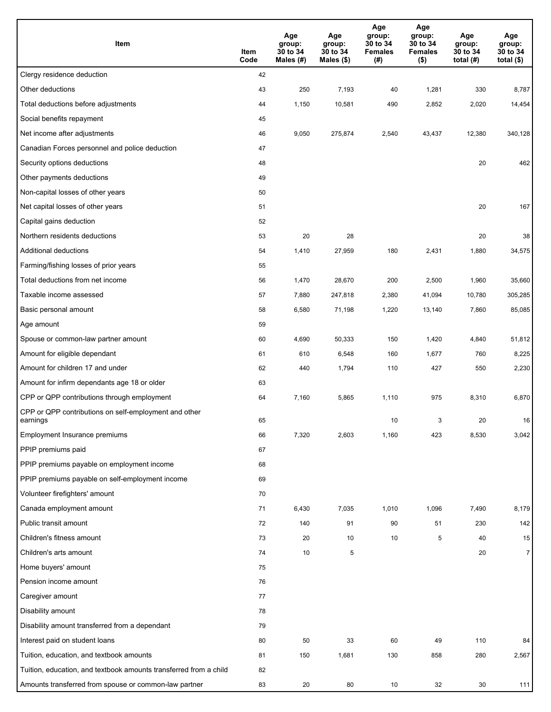| Item                                                              | Item<br>Code | Age<br>group:<br>30 to 34<br>Males (#) | Age<br>group:<br>30 to 34<br>Males (\$) | Age<br>group:<br>30 to 34<br><b>Females</b><br>(#) | Age<br>group:<br>30 to 34<br><b>Females</b><br>$($ \$) | Age<br>group:<br>30 to 34<br>total $(#)$ | Age<br>group:<br>30 to 34<br>total $($)$ |
|-------------------------------------------------------------------|--------------|----------------------------------------|-----------------------------------------|----------------------------------------------------|--------------------------------------------------------|------------------------------------------|------------------------------------------|
| Clergy residence deduction                                        | 42           |                                        |                                         |                                                    |                                                        |                                          |                                          |
| Other deductions                                                  | 43           | 250                                    | 7,193                                   | 40                                                 | 1,281                                                  | 330                                      | 8,787                                    |
| Total deductions before adjustments                               | 44           | 1,150                                  | 10,581                                  | 490                                                | 2,852                                                  | 2,020                                    | 14,454                                   |
| Social benefits repayment                                         | 45           |                                        |                                         |                                                    |                                                        |                                          |                                          |
| Net income after adjustments                                      | 46           | 9,050                                  | 275,874                                 | 2,540                                              | 43,437                                                 | 12,380                                   | 340,128                                  |
| Canadian Forces personnel and police deduction                    | 47           |                                        |                                         |                                                    |                                                        |                                          |                                          |
| Security options deductions                                       | 48           |                                        |                                         |                                                    |                                                        | 20                                       | 462                                      |
| Other payments deductions                                         | 49           |                                        |                                         |                                                    |                                                        |                                          |                                          |
| Non-capital losses of other years                                 | 50           |                                        |                                         |                                                    |                                                        |                                          |                                          |
| Net capital losses of other years                                 | 51           |                                        |                                         |                                                    |                                                        | 20                                       | 167                                      |
| Capital gains deduction                                           | 52           |                                        |                                         |                                                    |                                                        |                                          |                                          |
| Northern residents deductions                                     | 53           | 20                                     | 28                                      |                                                    |                                                        | 20                                       | 38                                       |
| Additional deductions                                             | 54           | 1,410                                  | 27,959                                  | 180                                                | 2,431                                                  | 1,880                                    | 34,575                                   |
| Farming/fishing losses of prior years                             | 55           |                                        |                                         |                                                    |                                                        |                                          |                                          |
| Total deductions from net income                                  | 56           | 1,470                                  | 28,670                                  | 200                                                | 2,500                                                  | 1,960                                    | 35,660                                   |
| Taxable income assessed                                           | 57           | 7,880                                  | 247,818                                 | 2,380                                              | 41,094                                                 | 10,780                                   | 305,285                                  |
| Basic personal amount                                             | 58           | 6,580                                  | 71,198                                  | 1,220                                              | 13,140                                                 | 7,860                                    | 85,085                                   |
| Age amount                                                        | 59           |                                        |                                         |                                                    |                                                        |                                          |                                          |
| Spouse or common-law partner amount                               | 60           | 4,690                                  | 50,333                                  | 150                                                | 1,420                                                  | 4,840                                    | 51,812                                   |
| Amount for eligible dependant                                     | 61           | 610                                    | 6,548                                   | 160                                                | 1,677                                                  | 760                                      | 8,225                                    |
| Amount for children 17 and under                                  | 62           | 440                                    | 1,794                                   | 110                                                | 427                                                    | 550                                      | 2,230                                    |
| Amount for infirm dependants age 18 or older                      | 63           |                                        |                                         |                                                    |                                                        |                                          |                                          |
| CPP or QPP contributions through employment                       | 64           | 7,160                                  | 5,865                                   | 1,110                                              | 975                                                    | 8,310                                    | 6,870                                    |
| CPP or QPP contributions on self-employment and other<br>earnings | 65           |                                        |                                         | 10                                                 | 3                                                      | 20                                       | 16                                       |
| Employment Insurance premiums                                     | 66           | 7,320                                  | 2,603                                   | 1,160                                              | 423                                                    | 8,530                                    | 3,042                                    |
| PPIP premiums paid                                                | 67           |                                        |                                         |                                                    |                                                        |                                          |                                          |
| PPIP premiums payable on employment income                        | 68           |                                        |                                         |                                                    |                                                        |                                          |                                          |
| PPIP premiums payable on self-employment income                   | 69           |                                        |                                         |                                                    |                                                        |                                          |                                          |
| Volunteer firefighters' amount                                    | 70           |                                        |                                         |                                                    |                                                        |                                          |                                          |
| Canada employment amount                                          | 71           | 6,430                                  | 7,035                                   | 1,010                                              | 1,096                                                  | 7,490                                    | 8,179                                    |
| Public transit amount                                             | 72           | 140                                    | 91                                      | 90                                                 | 51                                                     | 230                                      | 142                                      |
| Children's fitness amount                                         | 73           | 20                                     | 10                                      | 10                                                 | 5                                                      | 40                                       | 15                                       |
| Children's arts amount                                            | 74           | 10                                     | 5                                       |                                                    |                                                        | 20                                       | $\overline{7}$                           |
| Home buyers' amount                                               | 75           |                                        |                                         |                                                    |                                                        |                                          |                                          |
| Pension income amount                                             | 76           |                                        |                                         |                                                    |                                                        |                                          |                                          |
| Caregiver amount                                                  | 77           |                                        |                                         |                                                    |                                                        |                                          |                                          |
| Disability amount                                                 | 78           |                                        |                                         |                                                    |                                                        |                                          |                                          |
| Disability amount transferred from a dependant                    | 79           |                                        |                                         |                                                    |                                                        |                                          |                                          |
| Interest paid on student loans                                    | 80           | 50                                     | 33                                      | 60                                                 | 49                                                     | 110                                      | 84                                       |
| Tuition, education, and textbook amounts                          | 81           | 150                                    | 1,681                                   | 130                                                | 858                                                    | 280                                      | 2,567                                    |
| Tuition, education, and textbook amounts transferred from a child | 82           |                                        |                                         |                                                    |                                                        |                                          |                                          |
| Amounts transferred from spouse or common-law partner             | 83           | 20                                     | 80                                      | 10                                                 | 32                                                     | 30                                       | 111                                      |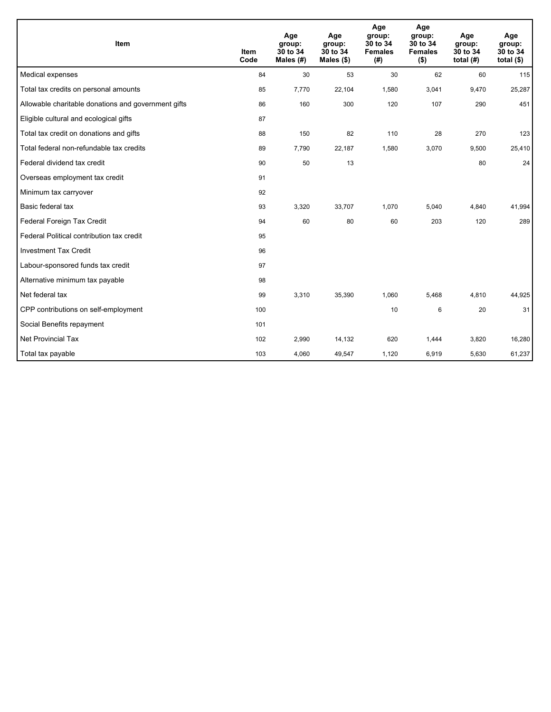| Item                                                | <b>Item</b><br>Code | Age<br>group:<br>30 to 34<br>Males $(H)$ | Age<br>group:<br>30 to 34<br>Males $(\$)$ | Age<br>group:<br>30 to 34<br><b>Females</b><br>(#) | Age<br>group:<br>30 to 34<br><b>Females</b><br>$($ \$) | Age<br>group:<br>30 to 34<br>total $(H)$ | Age<br>group:<br>30 to 34<br>total $(§)$ |
|-----------------------------------------------------|---------------------|------------------------------------------|-------------------------------------------|----------------------------------------------------|--------------------------------------------------------|------------------------------------------|------------------------------------------|
| Medical expenses                                    | 84                  | 30                                       | 53                                        | 30                                                 | 62                                                     | 60                                       | 115                                      |
| Total tax credits on personal amounts               | 85                  | 7,770                                    | 22,104                                    | 1,580                                              | 3,041                                                  | 9,470                                    | 25,287                                   |
| Allowable charitable donations and government gifts | 86                  | 160                                      | 300                                       | 120                                                | 107                                                    | 290                                      | 451                                      |
| Eligible cultural and ecological gifts              | 87                  |                                          |                                           |                                                    |                                                        |                                          |                                          |
| Total tax credit on donations and gifts             | 88                  | 150                                      | 82                                        | 110                                                | 28                                                     | 270                                      | 123                                      |
| Total federal non-refundable tax credits            | 89                  | 7,790                                    | 22,187                                    | 1,580                                              | 3,070                                                  | 9,500                                    | 25,410                                   |
| Federal dividend tax credit                         | 90                  | 50                                       | 13                                        |                                                    |                                                        | 80                                       | 24                                       |
| Overseas employment tax credit                      | 91                  |                                          |                                           |                                                    |                                                        |                                          |                                          |
| Minimum tax carryover                               | 92                  |                                          |                                           |                                                    |                                                        |                                          |                                          |
| Basic federal tax                                   | 93                  | 3,320                                    | 33,707                                    | 1,070                                              | 5,040                                                  | 4,840                                    | 41,994                                   |
| Federal Foreign Tax Credit                          | 94                  | 60                                       | 80                                        | 60                                                 | 203                                                    | 120                                      | 289                                      |
| Federal Political contribution tax credit           | 95                  |                                          |                                           |                                                    |                                                        |                                          |                                          |
| <b>Investment Tax Credit</b>                        | 96                  |                                          |                                           |                                                    |                                                        |                                          |                                          |
| Labour-sponsored funds tax credit                   | 97                  |                                          |                                           |                                                    |                                                        |                                          |                                          |
| Alternative minimum tax payable                     | 98                  |                                          |                                           |                                                    |                                                        |                                          |                                          |
| Net federal tax                                     | 99                  | 3,310                                    | 35,390                                    | 1,060                                              | 5,468                                                  | 4,810                                    | 44,925                                   |
| CPP contributions on self-employment                | 100                 |                                          |                                           | 10                                                 | 6                                                      | 20                                       | 31                                       |
| Social Benefits repayment                           | 101                 |                                          |                                           |                                                    |                                                        |                                          |                                          |
| Net Provincial Tax                                  | 102                 | 2,990                                    | 14,132                                    | 620                                                | 1,444                                                  | 3,820                                    | 16,280                                   |
| Total tax payable                                   | 103                 | 4,060                                    | 49,547                                    | 1,120                                              | 6,919                                                  | 5,630                                    | 61,237                                   |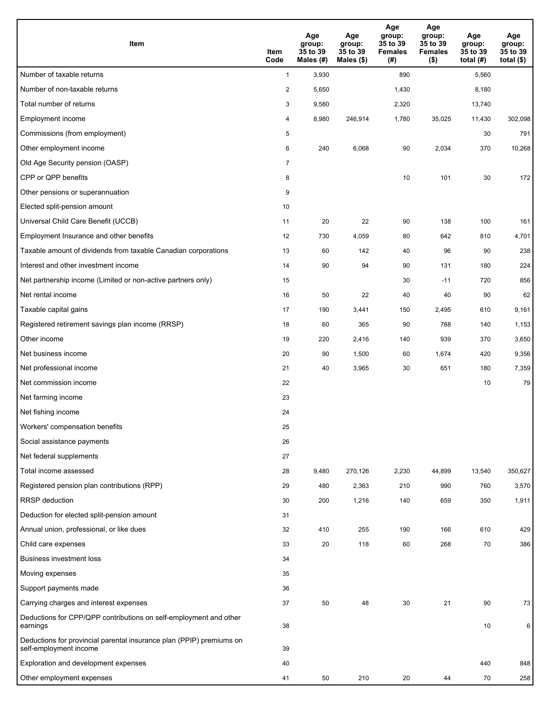| Item                                                                                           | Item<br>Code   | Age<br>group:<br>35 to 39<br>Males (#) | Age<br>group:<br>35 to 39<br>Males (\$) | Age<br>group:<br>35 to 39<br><b>Females</b><br>(#) | Age<br>group:<br>35 to 39<br><b>Females</b><br>$($ \$) | Age<br>group:<br>35 to 39<br>total $(#)$ | Age<br>group:<br>35 to 39<br>total $($)$ |
|------------------------------------------------------------------------------------------------|----------------|----------------------------------------|-----------------------------------------|----------------------------------------------------|--------------------------------------------------------|------------------------------------------|------------------------------------------|
| Number of taxable returns                                                                      | $\mathbf{1}$   | 3,930                                  |                                         | 890                                                |                                                        | 5,560                                    |                                          |
| Number of non-taxable returns                                                                  | $\overline{2}$ | 5,650                                  |                                         | 1,430                                              |                                                        | 8,180                                    |                                          |
| Total number of returns                                                                        | 3              | 9,580                                  |                                         | 2,320                                              |                                                        | 13,740                                   |                                          |
| <b>Employment income</b>                                                                       | 4              | 8,980                                  | 246,914                                 | 1,780                                              | 35,025                                                 | 11,430                                   | 302,098                                  |
| Commissions (from employment)                                                                  | 5              |                                        |                                         |                                                    |                                                        | 30                                       | 791                                      |
| Other employment income                                                                        | 6              | 240                                    | 6,068                                   | 90                                                 | 2,034                                                  | 370                                      | 10,268                                   |
| Old Age Security pension (OASP)                                                                | $\overline{7}$ |                                        |                                         |                                                    |                                                        |                                          |                                          |
| CPP or QPP benefits                                                                            | 8              |                                        |                                         | 10                                                 | 101                                                    | 30                                       | 172                                      |
| Other pensions or superannuation                                                               | 9              |                                        |                                         |                                                    |                                                        |                                          |                                          |
| Elected split-pension amount                                                                   | 10             |                                        |                                         |                                                    |                                                        |                                          |                                          |
| Universal Child Care Benefit (UCCB)                                                            | 11             | 20                                     | 22                                      | 90                                                 | 138                                                    | 100                                      | 161                                      |
| Employment Insurance and other benefits                                                        | 12             | 730                                    | 4,059                                   | 80                                                 | 642                                                    | 810                                      | 4,701                                    |
| Taxable amount of dividends from taxable Canadian corporations                                 | 13             | 60                                     | 142                                     | 40                                                 | 96                                                     | 90                                       | 238                                      |
| Interest and other investment income                                                           | 14             | 90                                     | 94                                      | 90                                                 | 131                                                    | 180                                      | 224                                      |
| Net partnership income (Limited or non-active partners only)                                   | 15             |                                        |                                         | 30                                                 | $-11$                                                  | 720                                      | 856                                      |
| Net rental income                                                                              | 16             | 50                                     | 22                                      | 40                                                 | 40                                                     | 90                                       | 62                                       |
| Taxable capital gains                                                                          | 17             | 190                                    | 3,441                                   | 150                                                | 2,495                                                  | 610                                      | 9,161                                    |
| Registered retirement savings plan income (RRSP)                                               | 18             | 60                                     | 365                                     | 90                                                 | 788                                                    | 140                                      | 1,153                                    |
| Other income                                                                                   | 19             | 220                                    | 2,416                                   | 140                                                | 939                                                    | 370                                      | 3,650                                    |
| Net business income                                                                            | 20             | 90                                     | 1,500                                   | 60                                                 | 1,674                                                  | 420                                      | 9,356                                    |
| Net professional income                                                                        | 21             | 40                                     | 3,965                                   | 30                                                 | 651                                                    | 180                                      | 7,359                                    |
| Net commission income                                                                          | 22             |                                        |                                         |                                                    |                                                        | 10                                       | 79                                       |
| Net farming income                                                                             | 23             |                                        |                                         |                                                    |                                                        |                                          |                                          |
| Net fishing income                                                                             | 24             |                                        |                                         |                                                    |                                                        |                                          |                                          |
| Workers' compensation benefits                                                                 | 25             |                                        |                                         |                                                    |                                                        |                                          |                                          |
| Social assistance payments                                                                     | 26             |                                        |                                         |                                                    |                                                        |                                          |                                          |
| Net federal supplements                                                                        | 27             |                                        |                                         |                                                    |                                                        |                                          |                                          |
| Total income assessed                                                                          | 28             | 9,480                                  | 270,126                                 | 2,230                                              | 44,899                                                 | 13,540                                   | 350,627                                  |
| Registered pension plan contributions (RPP)                                                    | 29             | 480                                    | 2,363                                   | 210                                                | 990                                                    | 760                                      | 3,570                                    |
| <b>RRSP</b> deduction                                                                          | 30             | 200                                    | 1,216                                   | 140                                                | 659                                                    | 350                                      | 1,911                                    |
| Deduction for elected split-pension amount                                                     | 31             |                                        |                                         |                                                    |                                                        |                                          |                                          |
| Annual union, professional, or like dues                                                       | 32             | 410                                    | 255                                     | 190                                                | 166                                                    | 610                                      | 429                                      |
| Child care expenses                                                                            | 33             | 20                                     | 118                                     | 60                                                 | 268                                                    | 70                                       | 386                                      |
| <b>Business investment loss</b>                                                                | 34             |                                        |                                         |                                                    |                                                        |                                          |                                          |
| Moving expenses                                                                                | 35             |                                        |                                         |                                                    |                                                        |                                          |                                          |
| Support payments made                                                                          | 36             |                                        |                                         |                                                    |                                                        |                                          |                                          |
| Carrying charges and interest expenses                                                         | 37             | 50                                     | 48                                      | 30                                                 | 21                                                     | 90                                       | 73                                       |
| Deductions for CPP/QPP contributions on self-employment and other<br>earnings                  | 38             |                                        |                                         |                                                    |                                                        | 10                                       | 6                                        |
| Deductions for provincial parental insurance plan (PPIP) premiums on<br>self-employment income | 39             |                                        |                                         |                                                    |                                                        |                                          |                                          |
| Exploration and development expenses                                                           | 40             |                                        |                                         |                                                    |                                                        | 440                                      | 848                                      |
| Other employment expenses                                                                      | 41             | 50                                     | 210                                     | 20                                                 | 44                                                     | 70                                       | 258                                      |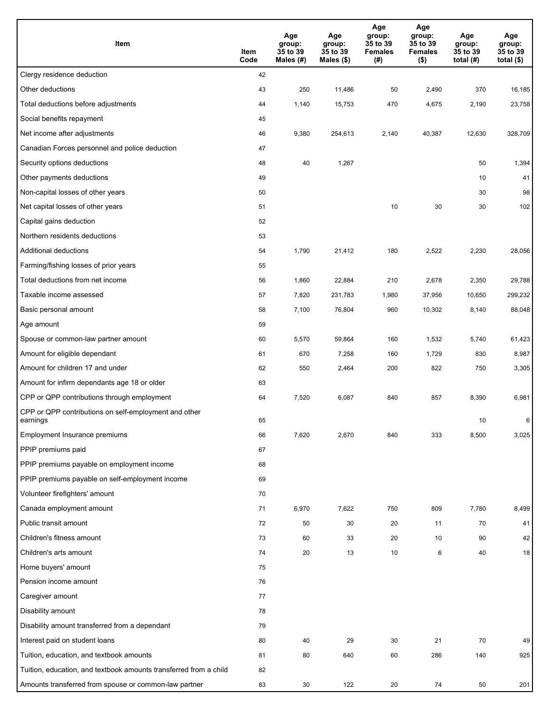| Item                                                              | Item<br>Code | Age<br>group:<br>35 to 39<br>Males (#) | Age<br>group:<br>35 to 39<br>Males (\$) | Age<br>group:<br>35 to 39<br><b>Females</b><br>(# ) | Age<br>group:<br>35 to 39<br><b>Females</b><br>$($ \$) | Age<br>group:<br>35 to 39<br>total $(H)$ | Age<br>group:<br>35 to 39<br>total $($)$ |
|-------------------------------------------------------------------|--------------|----------------------------------------|-----------------------------------------|-----------------------------------------------------|--------------------------------------------------------|------------------------------------------|------------------------------------------|
| Clergy residence deduction                                        | 42           |                                        |                                         |                                                     |                                                        |                                          |                                          |
| Other deductions                                                  | 43           | 250                                    | 11,486                                  | 50                                                  | 2,490                                                  | 370                                      | 16,185                                   |
| Total deductions before adjustments                               | 44           | 1,140                                  | 15,753                                  | 470                                                 | 4,675                                                  | 2,190                                    | 23,758                                   |
| Social benefits repayment                                         | 45           |                                        |                                         |                                                     |                                                        |                                          |                                          |
| Net income after adjustments                                      | 46           | 9,380                                  | 254,613                                 | 2,140                                               | 40,387                                                 | 12,630                                   | 328,709                                  |
| Canadian Forces personnel and police deduction                    | 47           |                                        |                                         |                                                     |                                                        |                                          |                                          |
| Security options deductions                                       | 48           | 40                                     | 1,267                                   |                                                     |                                                        | 50                                       | 1,394                                    |
| Other payments deductions                                         | 49           |                                        |                                         |                                                     |                                                        | 10                                       | 41                                       |
| Non-capital losses of other years                                 | 50           |                                        |                                         |                                                     |                                                        | 30                                       | 98                                       |
| Net capital losses of other years                                 | 51           |                                        |                                         | 10                                                  | 30                                                     | 30                                       | 102                                      |
| Capital gains deduction                                           | 52           |                                        |                                         |                                                     |                                                        |                                          |                                          |
| Northern residents deductions                                     | 53           |                                        |                                         |                                                     |                                                        |                                          |                                          |
| Additional deductions                                             | 54           | 1,790                                  | 21,412                                  | 180                                                 | 2,522                                                  | 2,230                                    | 28,056                                   |
| Farming/fishing losses of prior years                             | 55           |                                        |                                         |                                                     |                                                        |                                          |                                          |
| Total deductions from net income                                  | 56           | 1,860                                  | 22,884                                  | 210                                                 | 2,678                                                  | 2,350                                    | 29,788                                   |
| Taxable income assessed                                           | 57           | 7,820                                  | 231,783                                 | 1,980                                               | 37,956                                                 | 10,650                                   | 299,232                                  |
| Basic personal amount                                             | 58           | 7,100                                  | 76,804                                  | 960                                                 | 10,302                                                 | 8,140                                    | 88,048                                   |
| Age amount                                                        | 59           |                                        |                                         |                                                     |                                                        |                                          |                                          |
| Spouse or common-law partner amount                               | 60           | 5,570                                  | 59,864                                  | 160                                                 | 1,532                                                  | 5,740                                    | 61,423                                   |
| Amount for eligible dependant                                     | 61           | 670                                    | 7,258                                   | 160                                                 | 1,729                                                  | 830                                      | 8,987                                    |
| Amount for children 17 and under                                  | 62           | 550                                    | 2,464                                   | 200                                                 | 822                                                    | 750                                      | 3,305                                    |
| Amount for infirm dependants age 18 or older                      | 63           |                                        |                                         |                                                     |                                                        |                                          |                                          |
| CPP or QPP contributions through employment                       | 64           | 7,520                                  | 6,087                                   | 840                                                 | 857                                                    | 8,390                                    | 6,981                                    |
| CPP or QPP contributions on self-employment and other<br>earnings | 65           |                                        |                                         |                                                     |                                                        | 10                                       | 6                                        |
| Employment Insurance premiums                                     | 66           | 7,620                                  | 2,670                                   | 840                                                 | 333                                                    | 8,500                                    | 3,025                                    |
| PPIP premiums paid                                                | 67           |                                        |                                         |                                                     |                                                        |                                          |                                          |
| PPIP premiums payable on employment income                        | 68           |                                        |                                         |                                                     |                                                        |                                          |                                          |
| PPIP premiums payable on self-employment income                   | 69           |                                        |                                         |                                                     |                                                        |                                          |                                          |
| Volunteer firefighters' amount                                    | 70           |                                        |                                         |                                                     |                                                        |                                          |                                          |
| Canada employment amount                                          | 71           | 6,970                                  | 7,622                                   | 750                                                 | 809                                                    | 7,780                                    | 8,499                                    |
| Public transit amount                                             | 72           | 50                                     | 30                                      | 20                                                  | 11                                                     | 70                                       | 41                                       |
| Children's fitness amount                                         | 73           | 60                                     | 33                                      | 20                                                  | 10                                                     | 90                                       | 42                                       |
| Children's arts amount                                            | 74           | 20                                     | 13                                      | 10                                                  | 6                                                      | 40                                       | 18                                       |
| Home buyers' amount                                               | 75           |                                        |                                         |                                                     |                                                        |                                          |                                          |
| Pension income amount                                             | 76           |                                        |                                         |                                                     |                                                        |                                          |                                          |
| Caregiver amount                                                  | 77           |                                        |                                         |                                                     |                                                        |                                          |                                          |
| Disability amount                                                 | 78           |                                        |                                         |                                                     |                                                        |                                          |                                          |
| Disability amount transferred from a dependant                    | 79           |                                        |                                         |                                                     |                                                        |                                          |                                          |
| Interest paid on student loans                                    | 80           | 40                                     | 29                                      | 30                                                  | 21                                                     | 70                                       | 49                                       |
| Tuition, education, and textbook amounts                          | 81           | 80                                     | 640                                     | 60                                                  | 286                                                    | 140                                      | 925                                      |
| Tuition, education, and textbook amounts transferred from a child | 82           |                                        |                                         |                                                     |                                                        |                                          |                                          |
| Amounts transferred from spouse or common-law partner             | 83           | 30                                     | 122                                     | 20                                                  | 74                                                     | 50                                       | 201                                      |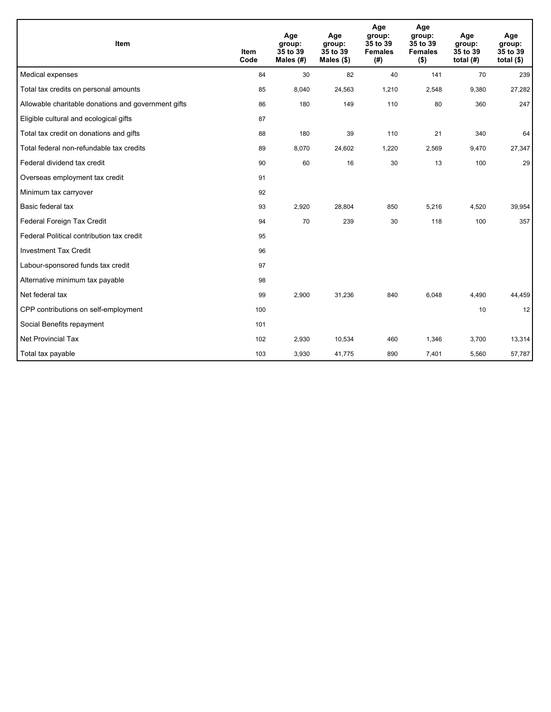| <b>Item</b>                                         | <b>Item</b><br>Code | Age<br>group:<br>35 to 39<br>Males (#) | Age<br>group:<br>35 to 39<br>Males $(\$)$ | Age<br>group:<br>35 to 39<br><b>Females</b><br>(#) | Age<br>group:<br>35 to 39<br><b>Females</b><br>$($ \$) | Age<br>group:<br>35 to 39<br>total $(H)$ | Age<br>group:<br>35 to 39<br>total $($)$ |
|-----------------------------------------------------|---------------------|----------------------------------------|-------------------------------------------|----------------------------------------------------|--------------------------------------------------------|------------------------------------------|------------------------------------------|
| Medical expenses                                    | 84                  | 30                                     | 82                                        | 40                                                 | 141                                                    | 70                                       | 239                                      |
| Total tax credits on personal amounts               | 85                  | 8,040                                  | 24,563                                    | 1,210                                              | 2,548                                                  | 9,380                                    | 27,282                                   |
| Allowable charitable donations and government gifts | 86                  | 180                                    | 149                                       | 110                                                | 80                                                     | 360                                      | 247                                      |
| Eligible cultural and ecological gifts              | 87                  |                                        |                                           |                                                    |                                                        |                                          |                                          |
| Total tax credit on donations and gifts             | 88                  | 180                                    | 39                                        | 110                                                | 21                                                     | 340                                      | 64                                       |
| Total federal non-refundable tax credits            | 89                  | 8,070                                  | 24,602                                    | 1,220                                              | 2,569                                                  | 9,470                                    | 27,347                                   |
| Federal dividend tax credit                         | 90                  | 60                                     | 16                                        | 30                                                 | 13                                                     | 100                                      | 29                                       |
| Overseas employment tax credit                      | 91                  |                                        |                                           |                                                    |                                                        |                                          |                                          |
| Minimum tax carryover                               | 92                  |                                        |                                           |                                                    |                                                        |                                          |                                          |
| Basic federal tax                                   | 93                  | 2,920                                  | 28,804                                    | 850                                                | 5,216                                                  | 4,520                                    | 39,954                                   |
| Federal Foreign Tax Credit                          | 94                  | 70                                     | 239                                       | 30                                                 | 118                                                    | 100                                      | 357                                      |
| Federal Political contribution tax credit           | 95                  |                                        |                                           |                                                    |                                                        |                                          |                                          |
| <b>Investment Tax Credit</b>                        | 96                  |                                        |                                           |                                                    |                                                        |                                          |                                          |
| Labour-sponsored funds tax credit                   | 97                  |                                        |                                           |                                                    |                                                        |                                          |                                          |
| Alternative minimum tax payable                     | 98                  |                                        |                                           |                                                    |                                                        |                                          |                                          |
| Net federal tax                                     | 99                  | 2,900                                  | 31,236                                    | 840                                                | 6,048                                                  | 4,490                                    | 44,459                                   |
| CPP contributions on self-employment                | 100                 |                                        |                                           |                                                    |                                                        | 10                                       | 12                                       |
| Social Benefits repayment                           | 101                 |                                        |                                           |                                                    |                                                        |                                          |                                          |
| Net Provincial Tax                                  | 102                 | 2,930                                  | 10,534                                    | 460                                                | 1,346                                                  | 3,700                                    | 13,314                                   |
| Total tax payable                                   | 103                 | 3,930                                  | 41,775                                    | 890                                                | 7,401                                                  | 5,560                                    | 57,787                                   |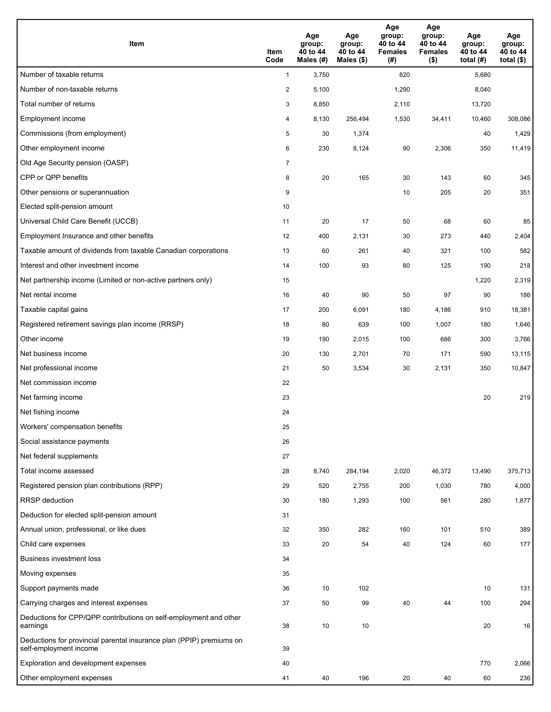| Item                                                                                           | Item<br>Code   | Age<br>group:<br>40 to 44<br>Males (#) | Age<br>group:<br>40 to 44<br>Males (\$) | Age<br>group:<br>40 to 44<br><b>Females</b><br>(# ) | Age<br>group:<br>40 to 44<br><b>Females</b><br>$($ \$) | Age<br>group:<br>40 to 44<br>total $(H)$ | Age<br>group:<br>40 to 44<br>total $($ |
|------------------------------------------------------------------------------------------------|----------------|----------------------------------------|-----------------------------------------|-----------------------------------------------------|--------------------------------------------------------|------------------------------------------|----------------------------------------|
| Number of taxable returns                                                                      | $\mathbf{1}$   | 3,750                                  |                                         | 820                                                 |                                                        | 5,680                                    |                                        |
| Number of non-taxable returns                                                                  | $\overline{2}$ | 5,100                                  |                                         | 1,290                                               |                                                        | 8,040                                    |                                        |
| Total number of returns                                                                        | 3              | 8,850                                  |                                         | 2,110                                               |                                                        | 13,720                                   |                                        |
| Employment income                                                                              | 4              | 8,130                                  | 256.494                                 | 1,530                                               | 34,411                                                 | 10,460                                   | 308,086                                |
| Commissions (from employment)                                                                  | 5              | 30                                     | 1,374                                   |                                                     |                                                        | 40                                       | 1,429                                  |
| Other employment income                                                                        | 6              | 230                                    | 8,124                                   | 90                                                  | 2,306                                                  | 350                                      | 11,419                                 |
| Old Age Security pension (OASP)                                                                | $\overline{7}$ |                                        |                                         |                                                     |                                                        |                                          |                                        |
| CPP or QPP benefits                                                                            | 8              | 20                                     | 165                                     | 30                                                  | 143                                                    | 60                                       | 345                                    |
| Other pensions or superannuation                                                               | 9              |                                        |                                         | 10                                                  | 205                                                    | 20                                       | 351                                    |
| Elected split-pension amount                                                                   | 10             |                                        |                                         |                                                     |                                                        |                                          |                                        |
| Universal Child Care Benefit (UCCB)                                                            | 11             | 20                                     | 17                                      | 50                                                  | 68                                                     | 60                                       | 85                                     |
| Employment Insurance and other benefits                                                        | 12             | 400                                    | 2,131                                   | 30                                                  | 273                                                    | 440                                      | 2,404                                  |
| Taxable amount of dividends from taxable Canadian corporations                                 | 13             | 60                                     | 261                                     | 40                                                  | 321                                                    | 100                                      | 582                                    |
| Interest and other investment income                                                           | 14             | 100                                    | 93                                      | 80                                                  | 125                                                    | 190                                      | 218                                    |
| Net partnership income (Limited or non-active partners only)                                   | 15             |                                        |                                         |                                                     |                                                        | 1,220                                    | 2,319                                  |
| Net rental income                                                                              | 16             | 40                                     | 90                                      | 50                                                  | 97                                                     | 90                                       | 186                                    |
| Taxable capital gains                                                                          | 17             | 200                                    | 6,091                                   | 180                                                 | 4,186                                                  | 910                                      | 18,381                                 |
| Registered retirement savings plan income (RRSP)                                               | 18             | 80                                     | 639                                     | 100                                                 | 1,007                                                  | 180                                      | 1,646                                  |
| Other income                                                                                   | 19             | 190                                    | 2,015                                   | 100                                                 | 686                                                    | 300                                      | 3,766                                  |
| Net business income                                                                            | 20             | 130                                    | 2,701                                   | 70                                                  | 171                                                    | 590                                      | 13,115                                 |
| Net professional income                                                                        | 21             | 50                                     | 3,534                                   | 30                                                  | 2,131                                                  | 350                                      | 10,847                                 |
| Net commission income                                                                          | 22             |                                        |                                         |                                                     |                                                        |                                          |                                        |
| Net farming income                                                                             | 23             |                                        |                                         |                                                     |                                                        | 20                                       | 219                                    |
| Net fishing income                                                                             | 24             |                                        |                                         |                                                     |                                                        |                                          |                                        |
| Workers' compensation benefits                                                                 | 25             |                                        |                                         |                                                     |                                                        |                                          |                                        |
| Social assistance payments                                                                     | 26             |                                        |                                         |                                                     |                                                        |                                          |                                        |
| Net federal supplements                                                                        | 27             |                                        |                                         |                                                     |                                                        |                                          |                                        |
| Total income assessed                                                                          | 28             | 8,740                                  | 284,194                                 | 2,020                                               | 46,372                                                 | 13,490                                   | 375,713                                |
| Registered pension plan contributions (RPP)                                                    | 29             | 520                                    | 2,755                                   | 200                                                 | 1,030                                                  | 780                                      | 4,000                                  |
| <b>RRSP</b> deduction                                                                          | 30             | 180                                    | 1,293                                   | 100                                                 | 561                                                    | 280                                      | 1,877                                  |
| Deduction for elected split-pension amount                                                     | 31             |                                        |                                         |                                                     |                                                        |                                          |                                        |
| Annual union, professional, or like dues                                                       | 32             | 350                                    | 282                                     | 160                                                 | 101                                                    | 510                                      | 389                                    |
| Child care expenses                                                                            | 33             | 20                                     | 54                                      | 40                                                  | 124                                                    | 60                                       | 177                                    |
| <b>Business investment loss</b>                                                                | 34             |                                        |                                         |                                                     |                                                        |                                          |                                        |
| Moving expenses                                                                                | 35             |                                        |                                         |                                                     |                                                        |                                          |                                        |
| Support payments made                                                                          | 36             | 10                                     | 102                                     |                                                     |                                                        | 10                                       | 131                                    |
| Carrying charges and interest expenses                                                         | 37             | 50                                     | 99                                      | 40                                                  | 44                                                     | 100                                      | 294                                    |
| Deductions for CPP/QPP contributions on self-employment and other<br>earnings                  | 38             | 10                                     | 10                                      |                                                     |                                                        | 20                                       | 16                                     |
| Deductions for provincial parental insurance plan (PPIP) premiums on<br>self-employment income | 39             |                                        |                                         |                                                     |                                                        |                                          |                                        |
| Exploration and development expenses                                                           | 40             |                                        |                                         |                                                     |                                                        | 770                                      | 2,066                                  |
| Other employment expenses                                                                      | 41             | 40                                     | 196                                     | 20                                                  | 40                                                     | 60                                       | 236                                    |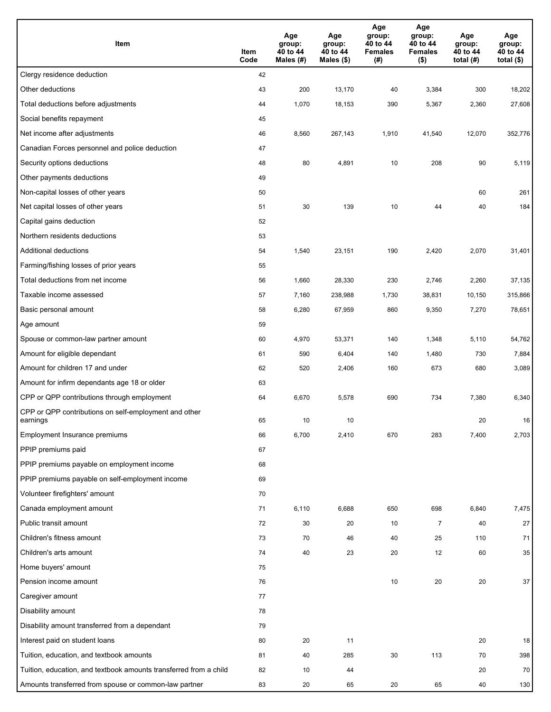| Item                                                              | Item<br>Code | Age<br>group:<br>40 to 44<br>Males (#) | Age<br>group:<br>40 to 44<br>Males (\$) | Age<br>group:<br>40 to 44<br><b>Females</b><br>(#) | Age<br>group:<br>40 to 44<br><b>Females</b><br>$($ \$) | Age<br>group:<br>40 to 44<br>total $(H)$ | Age<br>group:<br>40 to 44<br>total $($)$ |
|-------------------------------------------------------------------|--------------|----------------------------------------|-----------------------------------------|----------------------------------------------------|--------------------------------------------------------|------------------------------------------|------------------------------------------|
| Clergy residence deduction                                        | 42           |                                        |                                         |                                                    |                                                        |                                          |                                          |
| Other deductions                                                  | 43           | 200                                    | 13,170                                  | 40                                                 | 3,384                                                  | 300                                      | 18,202                                   |
| Total deductions before adjustments                               | 44           | 1,070                                  | 18,153                                  | 390                                                | 5,367                                                  | 2,360                                    | 27,608                                   |
| Social benefits repayment                                         | 45           |                                        |                                         |                                                    |                                                        |                                          |                                          |
| Net income after adjustments                                      | 46           | 8,560                                  | 267,143                                 | 1,910                                              | 41,540                                                 | 12,070                                   | 352,776                                  |
| Canadian Forces personnel and police deduction                    | 47           |                                        |                                         |                                                    |                                                        |                                          |                                          |
| Security options deductions                                       | 48           | 80                                     | 4,891                                   | 10                                                 | 208                                                    | 90                                       | 5,119                                    |
| Other payments deductions                                         | 49           |                                        |                                         |                                                    |                                                        |                                          |                                          |
| Non-capital losses of other years                                 | 50           |                                        |                                         |                                                    |                                                        | 60                                       | 261                                      |
| Net capital losses of other years                                 | 51           | 30                                     | 139                                     | 10                                                 | 44                                                     | 40                                       | 184                                      |
| Capital gains deduction                                           | 52           |                                        |                                         |                                                    |                                                        |                                          |                                          |
| Northern residents deductions                                     | 53           |                                        |                                         |                                                    |                                                        |                                          |                                          |
| Additional deductions                                             | 54           | 1,540                                  | 23,151                                  | 190                                                | 2,420                                                  | 2,070                                    | 31,401                                   |
| Farming/fishing losses of prior years                             | 55           |                                        |                                         |                                                    |                                                        |                                          |                                          |
| Total deductions from net income                                  | 56           | 1,660                                  | 28,330                                  | 230                                                | 2,746                                                  | 2,260                                    | 37,135                                   |
| Taxable income assessed                                           | 57           | 7,160                                  | 238,988                                 | 1,730                                              | 38,831                                                 | 10,150                                   | 315,866                                  |
| Basic personal amount                                             | 58           | 6,280                                  | 67,959                                  | 860                                                | 9,350                                                  | 7,270                                    | 78,651                                   |
| Age amount                                                        | 59           |                                        |                                         |                                                    |                                                        |                                          |                                          |
| Spouse or common-law partner amount                               | 60           | 4,970                                  | 53,371                                  | 140                                                | 1,348                                                  | 5,110                                    | 54,762                                   |
| Amount for eligible dependant                                     | 61           | 590                                    | 6,404                                   | 140                                                | 1,480                                                  | 730                                      | 7,884                                    |
| Amount for children 17 and under                                  | 62           | 520                                    | 2,406                                   | 160                                                | 673                                                    | 680                                      | 3,089                                    |
| Amount for infirm dependants age 18 or older                      | 63           |                                        |                                         |                                                    |                                                        |                                          |                                          |
| CPP or QPP contributions through employment                       | 64           | 6,670                                  | 5,578                                   | 690                                                | 734                                                    | 7,380                                    | 6,340                                    |
| CPP or QPP contributions on self-employment and other<br>earnings | 65           | 10                                     | 10                                      |                                                    |                                                        | 20                                       | 16                                       |
| Employment Insurance premiums                                     | 66           | 6,700                                  | 2,410                                   | 670                                                | 283                                                    | 7,400                                    | 2,703                                    |
| PPIP premiums paid                                                | 67           |                                        |                                         |                                                    |                                                        |                                          |                                          |
| PPIP premiums payable on employment income                        | 68           |                                        |                                         |                                                    |                                                        |                                          |                                          |
| PPIP premiums payable on self-employment income                   | 69           |                                        |                                         |                                                    |                                                        |                                          |                                          |
| Volunteer firefighters' amount                                    | 70           |                                        |                                         |                                                    |                                                        |                                          |                                          |
| Canada employment amount                                          | 71           | 6,110                                  | 6,688                                   | 650                                                | 698                                                    | 6,840                                    | 7,475                                    |
| Public transit amount                                             | 72           | 30                                     | 20                                      | 10                                                 | $\overline{7}$                                         | 40                                       | 27                                       |
| Children's fitness amount                                         | 73           | 70                                     | 46                                      | 40                                                 | 25                                                     | 110                                      | 71                                       |
| Children's arts amount                                            | 74           | 40                                     | 23                                      | 20                                                 | 12                                                     | 60                                       | 35                                       |
| Home buyers' amount                                               | 75           |                                        |                                         |                                                    |                                                        |                                          |                                          |
| Pension income amount                                             | 76           |                                        |                                         | 10                                                 | 20                                                     | 20                                       | 37                                       |
| Caregiver amount                                                  | 77           |                                        |                                         |                                                    |                                                        |                                          |                                          |
| Disability amount                                                 | 78           |                                        |                                         |                                                    |                                                        |                                          |                                          |
| Disability amount transferred from a dependant                    | 79           |                                        |                                         |                                                    |                                                        |                                          |                                          |
| Interest paid on student loans                                    | 80           | 20                                     | 11                                      |                                                    |                                                        | 20                                       | 18                                       |
| Tuition, education, and textbook amounts                          | 81           | 40                                     | 285                                     | 30                                                 | 113                                                    | 70                                       | 398                                      |
| Tuition, education, and textbook amounts transferred from a child | 82           | 10                                     | 44                                      |                                                    |                                                        | 20                                       | 70                                       |
| Amounts transferred from spouse or common-law partner             | 83           | 20                                     | 65                                      | 20                                                 | 65                                                     | 40                                       | 130                                      |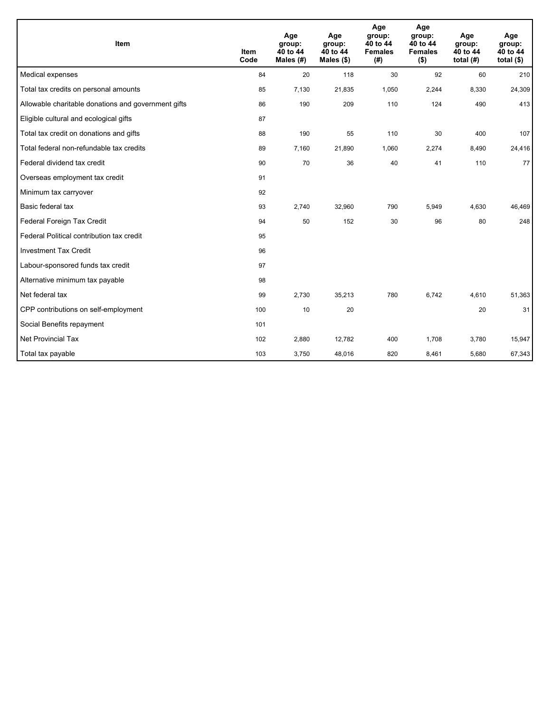| Item                                                | <b>Item</b><br>Code | Age<br>group:<br>40 to 44<br>Males (#) | Age<br>group:<br>40 to 44<br>Males $(\$)$ | Age<br>group:<br>40 to 44<br><b>Females</b><br>(# ) | Age<br>group:<br>40 to 44<br><b>Females</b><br>$($ \$) | Age<br>group:<br>40 to 44<br>total $(H)$ | Age<br>group:<br>40 to 44<br>total $($)$ |
|-----------------------------------------------------|---------------------|----------------------------------------|-------------------------------------------|-----------------------------------------------------|--------------------------------------------------------|------------------------------------------|------------------------------------------|
| Medical expenses                                    | 84                  | 20                                     | 118                                       | 30                                                  | 92                                                     | 60                                       | 210                                      |
| Total tax credits on personal amounts               | 85                  | 7,130                                  | 21,835                                    | 1,050                                               | 2,244                                                  | 8,330                                    | 24,309                                   |
| Allowable charitable donations and government gifts | 86                  | 190                                    | 209                                       | 110                                                 | 124                                                    | 490                                      | 413                                      |
| Eligible cultural and ecological gifts              | 87                  |                                        |                                           |                                                     |                                                        |                                          |                                          |
| Total tax credit on donations and gifts             | 88                  | 190                                    | 55                                        | 110                                                 | 30                                                     | 400                                      | 107                                      |
| Total federal non-refundable tax credits            | 89                  | 7,160                                  | 21,890                                    | 1,060                                               | 2,274                                                  | 8,490                                    | 24,416                                   |
| Federal dividend tax credit                         | 90                  | 70                                     | 36                                        | 40                                                  | 41                                                     | 110                                      | 77                                       |
| Overseas employment tax credit                      | 91                  |                                        |                                           |                                                     |                                                        |                                          |                                          |
| Minimum tax carryover                               | 92                  |                                        |                                           |                                                     |                                                        |                                          |                                          |
| Basic federal tax                                   | 93                  | 2,740                                  | 32,960                                    | 790                                                 | 5,949                                                  | 4,630                                    | 46,469                                   |
| Federal Foreign Tax Credit                          | 94                  | 50                                     | 152                                       | 30                                                  | 96                                                     | 80                                       | 248                                      |
| Federal Political contribution tax credit           | 95                  |                                        |                                           |                                                     |                                                        |                                          |                                          |
| <b>Investment Tax Credit</b>                        | 96                  |                                        |                                           |                                                     |                                                        |                                          |                                          |
| Labour-sponsored funds tax credit                   | 97                  |                                        |                                           |                                                     |                                                        |                                          |                                          |
| Alternative minimum tax payable                     | 98                  |                                        |                                           |                                                     |                                                        |                                          |                                          |
| Net federal tax                                     | 99                  | 2,730                                  | 35,213                                    | 780                                                 | 6,742                                                  | 4,610                                    | 51,363                                   |
| CPP contributions on self-employment                | 100                 | 10                                     | 20                                        |                                                     |                                                        | 20                                       | 31                                       |
| Social Benefits repayment                           | 101                 |                                        |                                           |                                                     |                                                        |                                          |                                          |
| <b>Net Provincial Tax</b>                           | 102                 | 2,880                                  | 12,782                                    | 400                                                 | 1,708                                                  | 3,780                                    | 15,947                                   |
| Total tax payable                                   | 103                 | 3,750                                  | 48,016                                    | 820                                                 | 8,461                                                  | 5,680                                    | 67,343                                   |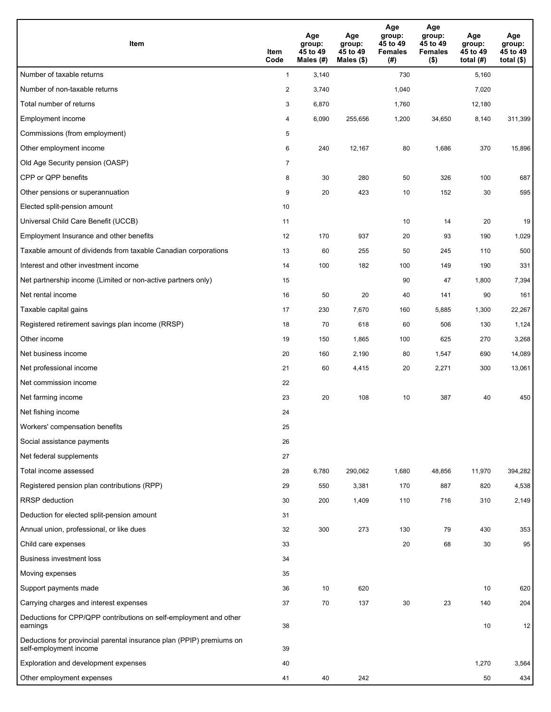| Item                                                                                           | Item<br>Code   | Age<br>group:<br>45 to 49<br>Males (#) | Age<br>group:<br>45 to 49<br>Males (\$) | Age<br>group:<br>45 to 49<br><b>Females</b><br>(# ) | Age<br>group:<br>45 to 49<br><b>Females</b><br>$($ \$) | Age<br>group:<br>45 to 49<br>total (#) | Age<br>group:<br>45 to 49<br>total $($ |
|------------------------------------------------------------------------------------------------|----------------|----------------------------------------|-----------------------------------------|-----------------------------------------------------|--------------------------------------------------------|----------------------------------------|----------------------------------------|
| Number of taxable returns                                                                      | $\mathbf{1}$   | 3,140                                  |                                         | 730                                                 |                                                        | 5,160                                  |                                        |
| Number of non-taxable returns                                                                  | $\overline{2}$ | 3,740                                  |                                         | 1,040                                               |                                                        | 7,020                                  |                                        |
| Total number of returns                                                                        | 3              | 6,870                                  |                                         | 1,760                                               |                                                        | 12,180                                 |                                        |
| Employment income                                                                              | 4              | 6,090                                  | 255.656                                 | 1,200                                               | 34,650                                                 | 8,140                                  | 311,399                                |
| Commissions (from employment)                                                                  | 5              |                                        |                                         |                                                     |                                                        |                                        |                                        |
| Other employment income                                                                        | 6              | 240                                    | 12,167                                  | 80                                                  | 1,686                                                  | 370                                    | 15,896                                 |
| Old Age Security pension (OASP)                                                                | $\overline{7}$ |                                        |                                         |                                                     |                                                        |                                        |                                        |
| CPP or QPP benefits                                                                            | 8              | 30                                     | 280                                     | 50                                                  | 326                                                    | 100                                    | 687                                    |
| Other pensions or superannuation                                                               | 9              | 20                                     | 423                                     | 10                                                  | 152                                                    | 30                                     | 595                                    |
| Elected split-pension amount                                                                   | 10             |                                        |                                         |                                                     |                                                        |                                        |                                        |
| Universal Child Care Benefit (UCCB)                                                            | 11             |                                        |                                         | 10                                                  | 14                                                     | 20                                     | 19                                     |
| Employment Insurance and other benefits                                                        | 12             | 170                                    | 937                                     | 20                                                  | 93                                                     | 190                                    | 1,029                                  |
| Taxable amount of dividends from taxable Canadian corporations                                 | 13             | 60                                     | 255                                     | 50                                                  | 245                                                    | 110                                    | 500                                    |
| Interest and other investment income                                                           | 14             | 100                                    | 182                                     | 100                                                 | 149                                                    | 190                                    | 331                                    |
| Net partnership income (Limited or non-active partners only)                                   | 15             |                                        |                                         | 90                                                  | 47                                                     | 1,800                                  | 7,394                                  |
| Net rental income                                                                              | 16             | 50                                     | 20                                      | 40                                                  | 141                                                    | 90                                     | 161                                    |
| Taxable capital gains                                                                          | 17             | 230                                    | 7,670                                   | 160                                                 | 5,885                                                  | 1,300                                  | 22,267                                 |
| Registered retirement savings plan income (RRSP)                                               | 18             | 70                                     | 618                                     | 60                                                  | 506                                                    | 130                                    | 1,124                                  |
| Other income                                                                                   | 19             | 150                                    | 1,865                                   | 100                                                 | 625                                                    | 270                                    | 3,268                                  |
| Net business income                                                                            | 20             | 160                                    | 2,190                                   | 80                                                  | 1,547                                                  | 690                                    | 14,089                                 |
| Net professional income                                                                        | 21             | 60                                     | 4,415                                   | 20                                                  | 2,271                                                  | 300                                    | 13,061                                 |
| Net commission income                                                                          | 22             |                                        |                                         |                                                     |                                                        |                                        |                                        |
| Net farming income                                                                             | 23             | 20                                     | 108                                     | 10                                                  | 387                                                    | 40                                     | 450                                    |
| Net fishing income                                                                             | 24             |                                        |                                         |                                                     |                                                        |                                        |                                        |
| Workers' compensation benefits                                                                 | 25             |                                        |                                         |                                                     |                                                        |                                        |                                        |
| Social assistance payments                                                                     | 26             |                                        |                                         |                                                     |                                                        |                                        |                                        |
| Net federal supplements                                                                        | 27             |                                        |                                         |                                                     |                                                        |                                        |                                        |
| Total income assessed                                                                          | 28             | 6,780                                  | 290,062                                 | 1,680                                               | 48,856                                                 | 11,970                                 | 394,282                                |
| Registered pension plan contributions (RPP)                                                    | 29             | 550                                    | 3,381                                   | 170                                                 | 887                                                    | 820                                    | 4,538                                  |
| <b>RRSP</b> deduction                                                                          | 30             | 200                                    | 1,409                                   | 110                                                 | 716                                                    | 310                                    | 2,149                                  |
| Deduction for elected split-pension amount                                                     | 31             |                                        |                                         |                                                     |                                                        |                                        |                                        |
| Annual union, professional, or like dues                                                       | 32             | 300                                    | 273                                     | 130                                                 | 79                                                     | 430                                    | 353                                    |
| Child care expenses                                                                            | 33             |                                        |                                         | 20                                                  | 68                                                     | 30                                     | 95                                     |
| <b>Business investment loss</b>                                                                | 34             |                                        |                                         |                                                     |                                                        |                                        |                                        |
| Moving expenses                                                                                | 35             |                                        |                                         |                                                     |                                                        |                                        |                                        |
| Support payments made                                                                          | 36             | 10                                     | 620                                     |                                                     |                                                        | 10                                     | 620                                    |
| Carrying charges and interest expenses                                                         | 37             | 70                                     | 137                                     | 30                                                  | 23                                                     | 140                                    | 204                                    |
| Deductions for CPP/QPP contributions on self-employment and other<br>earnings                  | 38             |                                        |                                         |                                                     |                                                        | 10                                     | 12                                     |
| Deductions for provincial parental insurance plan (PPIP) premiums on<br>self-employment income | 39             |                                        |                                         |                                                     |                                                        |                                        |                                        |
| Exploration and development expenses                                                           | 40             |                                        |                                         |                                                     |                                                        | 1,270                                  | 3,564                                  |
| Other employment expenses                                                                      | 41             | 40                                     | 242                                     |                                                     |                                                        | 50                                     | 434                                    |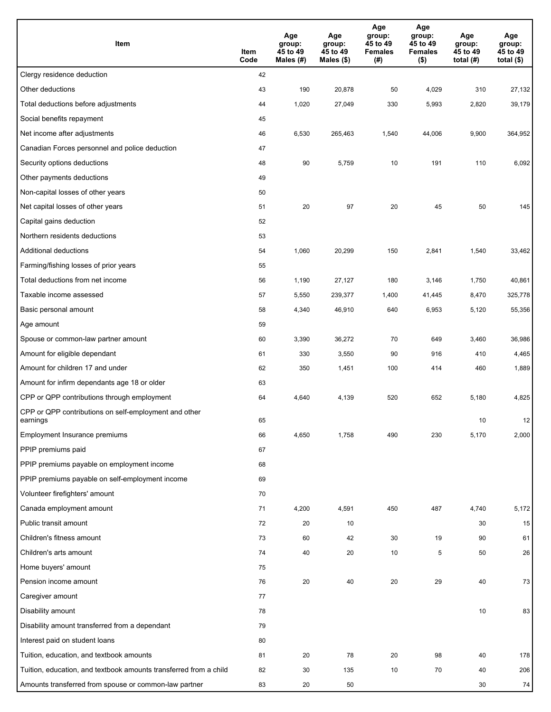| Item                                                              | Item<br>Code | Age<br>group:<br>45 to 49<br>Males $(H)$ | Age<br>group:<br>45 to 49<br>Males (\$) | Age<br>group:<br>45 to 49<br><b>Females</b><br>(#) | Age<br>group:<br>45 to 49<br><b>Females</b><br>$($ \$) | Age<br>group:<br>45 to 49<br>total $(#)$ | Age<br>group:<br>45 to 49<br>total $($)$ |
|-------------------------------------------------------------------|--------------|------------------------------------------|-----------------------------------------|----------------------------------------------------|--------------------------------------------------------|------------------------------------------|------------------------------------------|
| Clergy residence deduction                                        | 42           |                                          |                                         |                                                    |                                                        |                                          |                                          |
| Other deductions                                                  | 43           | 190                                      | 20,878                                  | 50                                                 | 4,029                                                  | 310                                      | 27,132                                   |
| Total deductions before adjustments                               | 44           | 1,020                                    | 27,049                                  | 330                                                | 5,993                                                  | 2,820                                    | 39,179                                   |
| Social benefits repayment                                         | 45           |                                          |                                         |                                                    |                                                        |                                          |                                          |
| Net income after adjustments                                      | 46           | 6,530                                    | 265,463                                 | 1,540                                              | 44,006                                                 | 9,900                                    | 364,952                                  |
| Canadian Forces personnel and police deduction                    | 47           |                                          |                                         |                                                    |                                                        |                                          |                                          |
| Security options deductions                                       | 48           | 90                                       | 5,759                                   | 10                                                 | 191                                                    | 110                                      | 6,092                                    |
| Other payments deductions                                         | 49           |                                          |                                         |                                                    |                                                        |                                          |                                          |
| Non-capital losses of other years                                 | 50           |                                          |                                         |                                                    |                                                        |                                          |                                          |
| Net capital losses of other years                                 | 51           | 20                                       | 97                                      | 20                                                 | 45                                                     | 50                                       | 145                                      |
| Capital gains deduction                                           | 52           |                                          |                                         |                                                    |                                                        |                                          |                                          |
| Northern residents deductions                                     | 53           |                                          |                                         |                                                    |                                                        |                                          |                                          |
| Additional deductions                                             | 54           | 1,060                                    | 20,299                                  | 150                                                | 2,841                                                  | 1,540                                    | 33,462                                   |
| Farming/fishing losses of prior years                             | 55           |                                          |                                         |                                                    |                                                        |                                          |                                          |
| Total deductions from net income                                  | 56           | 1,190                                    | 27,127                                  | 180                                                | 3,146                                                  | 1,750                                    | 40,861                                   |
| Taxable income assessed                                           | 57           | 5,550                                    | 239,377                                 | 1,400                                              | 41,445                                                 | 8,470                                    | 325,778                                  |
| Basic personal amount                                             | 58           | 4,340                                    | 46,910                                  | 640                                                | 6,953                                                  | 5,120                                    | 55,356                                   |
| Age amount                                                        | 59           |                                          |                                         |                                                    |                                                        |                                          |                                          |
| Spouse or common-law partner amount                               | 60           | 3,390                                    | 36,272                                  | 70                                                 | 649                                                    | 3,460                                    | 36,986                                   |
| Amount for eligible dependant                                     | 61           | 330                                      | 3,550                                   | 90                                                 | 916                                                    | 410                                      | 4,465                                    |
| Amount for children 17 and under                                  | 62           | 350                                      | 1,451                                   | 100                                                | 414                                                    | 460                                      | 1,889                                    |
| Amount for infirm dependants age 18 or older                      | 63           |                                          |                                         |                                                    |                                                        |                                          |                                          |
| CPP or QPP contributions through employment                       | 64           | 4,640                                    | 4,139                                   | 520                                                | 652                                                    | 5,180                                    | 4,825                                    |
| CPP or QPP contributions on self-employment and other<br>earnings | 65           |                                          |                                         |                                                    |                                                        | 10                                       | 12                                       |
| Employment Insurance premiums                                     | 66           | 4,650                                    | 1,758                                   | 490                                                | 230                                                    | 5,170                                    | 2,000                                    |
| PPIP premiums paid                                                | 67           |                                          |                                         |                                                    |                                                        |                                          |                                          |
| PPIP premiums payable on employment income                        | 68           |                                          |                                         |                                                    |                                                        |                                          |                                          |
| PPIP premiums payable on self-employment income                   | 69           |                                          |                                         |                                                    |                                                        |                                          |                                          |
| Volunteer firefighters' amount                                    | 70           |                                          |                                         |                                                    |                                                        |                                          |                                          |
| Canada employment amount                                          | 71           | 4,200                                    | 4,591                                   | 450                                                | 487                                                    | 4,740                                    | 5,172                                    |
| Public transit amount                                             | 72           | 20                                       | 10                                      |                                                    |                                                        | 30                                       | 15                                       |
| Children's fitness amount                                         | 73           | 60                                       | 42                                      | 30                                                 | 19                                                     | 90                                       | 61                                       |
| Children's arts amount                                            | 74           | 40                                       | 20                                      | 10                                                 | 5                                                      | 50                                       | 26                                       |
| Home buyers' amount                                               | 75           |                                          |                                         |                                                    |                                                        |                                          |                                          |
| Pension income amount                                             | 76           | 20                                       | 40                                      | 20                                                 | 29                                                     | 40                                       | 73                                       |
| Caregiver amount                                                  | 77           |                                          |                                         |                                                    |                                                        |                                          |                                          |
| Disability amount                                                 | 78           |                                          |                                         |                                                    |                                                        | 10                                       | 83                                       |
| Disability amount transferred from a dependant                    | 79           |                                          |                                         |                                                    |                                                        |                                          |                                          |
| Interest paid on student loans                                    | 80           |                                          |                                         |                                                    |                                                        |                                          |                                          |
| Tuition, education, and textbook amounts                          | 81           | 20                                       | 78                                      | 20                                                 | 98                                                     | 40                                       | 178                                      |
| Tuition, education, and textbook amounts transferred from a child | 82           | 30                                       | 135                                     | 10                                                 | 70                                                     | 40                                       | 206                                      |
| Amounts transferred from spouse or common-law partner             | 83           | 20                                       | 50                                      |                                                    |                                                        | 30                                       | 74                                       |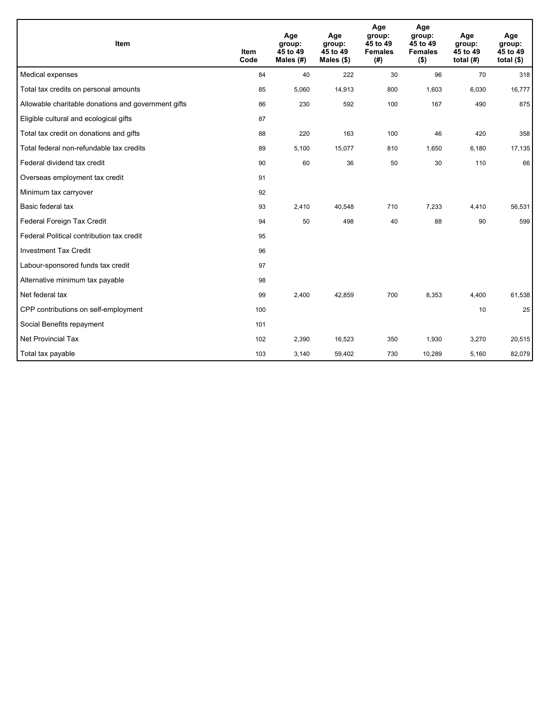| <b>Item</b>                                         | <b>Item</b><br>Code | Age<br>group:<br>45 to 49<br>Males $(H)$ | Age<br>group:<br>45 to 49<br>Males $(\$)$ | Age<br>group:<br>45 to 49<br><b>Females</b><br>(# ) | Age<br>group:<br>45 to 49<br><b>Females</b><br>$($ \$) | Age<br>group:<br>45 to 49<br>total $(H)$ | Age<br>group:<br>45 to 49<br>total $(§)$ |
|-----------------------------------------------------|---------------------|------------------------------------------|-------------------------------------------|-----------------------------------------------------|--------------------------------------------------------|------------------------------------------|------------------------------------------|
| Medical expenses                                    | 84                  | 40                                       | 222                                       | 30                                                  | 96                                                     | 70                                       | 318                                      |
| Total tax credits on personal amounts               | 85                  | 5,060                                    | 14,913                                    | 800                                                 | 1,603                                                  | 6,030                                    | 16,777                                   |
| Allowable charitable donations and government gifts | 86                  | 230                                      | 592                                       | 100                                                 | 167                                                    | 490                                      | 875                                      |
| Eligible cultural and ecological gifts              | 87                  |                                          |                                           |                                                     |                                                        |                                          |                                          |
| Total tax credit on donations and gifts             | 88                  | 220                                      | 163                                       | 100                                                 | 46                                                     | 420                                      | 358                                      |
| Total federal non-refundable tax credits            | 89                  | 5,100                                    | 15,077                                    | 810                                                 | 1,650                                                  | 6,180                                    | 17,135                                   |
| Federal dividend tax credit                         | 90                  | 60                                       | 36                                        | 50                                                  | 30                                                     | 110                                      | 66                                       |
| Overseas employment tax credit                      | 91                  |                                          |                                           |                                                     |                                                        |                                          |                                          |
| Minimum tax carryover                               | 92                  |                                          |                                           |                                                     |                                                        |                                          |                                          |
| Basic federal tax                                   | 93                  | 2,410                                    | 40,548                                    | 710                                                 | 7,233                                                  | 4,410                                    | 56,531                                   |
| Federal Foreign Tax Credit                          | 94                  | 50                                       | 498                                       | 40                                                  | 88                                                     | 90                                       | 599                                      |
| Federal Political contribution tax credit           | 95                  |                                          |                                           |                                                     |                                                        |                                          |                                          |
| <b>Investment Tax Credit</b>                        | 96                  |                                          |                                           |                                                     |                                                        |                                          |                                          |
| Labour-sponsored funds tax credit                   | 97                  |                                          |                                           |                                                     |                                                        |                                          |                                          |
| Alternative minimum tax payable                     | 98                  |                                          |                                           |                                                     |                                                        |                                          |                                          |
| Net federal tax                                     | 99                  | 2,400                                    | 42,859                                    | 700                                                 | 8,353                                                  | 4,400                                    | 61,538                                   |
| CPP contributions on self-employment                | 100                 |                                          |                                           |                                                     |                                                        | 10                                       | 25                                       |
| Social Benefits repayment                           | 101                 |                                          |                                           |                                                     |                                                        |                                          |                                          |
| Net Provincial Tax                                  | 102                 | 2,390                                    | 16,523                                    | 350                                                 | 1,930                                                  | 3,270                                    | 20,515                                   |
| Total tax payable                                   | 103                 | 3,140                                    | 59,402                                    | 730                                                 | 10,289                                                 | 5,160                                    | 82,079                                   |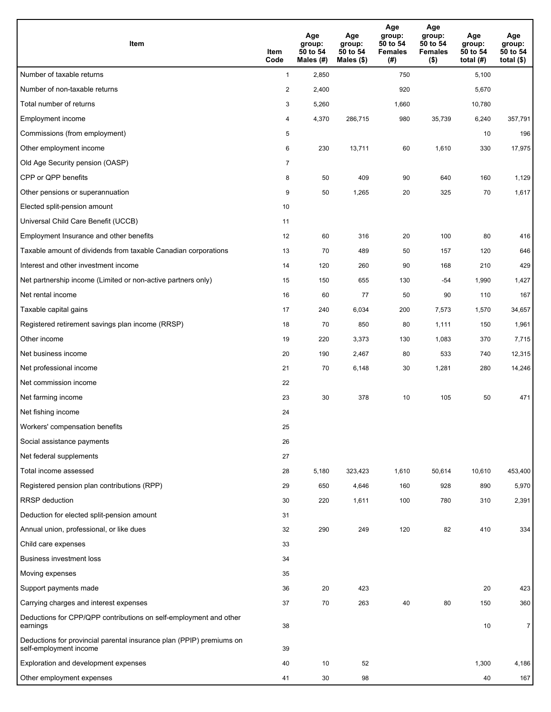| <b>Item</b>                                                                                    | Item<br>Code            | Age<br>group:<br>50 to 54<br>Males (#) | Age<br>group:<br>50 to 54<br>Males (\$) | Age<br>group:<br>50 to 54<br><b>Females</b><br>(# ) | Age<br>group:<br>50 to 54<br><b>Females</b><br>$($ \$) | Age<br>group:<br>50 to 54<br>total $(H)$ | Age<br>group:<br>50 to 54<br>total $($)$ |
|------------------------------------------------------------------------------------------------|-------------------------|----------------------------------------|-----------------------------------------|-----------------------------------------------------|--------------------------------------------------------|------------------------------------------|------------------------------------------|
| Number of taxable returns                                                                      | $\mathbf{1}$            | 2,850                                  |                                         | 750                                                 |                                                        | 5,100                                    |                                          |
| Number of non-taxable returns                                                                  | $\overline{\mathbf{c}}$ | 2,400                                  |                                         | 920                                                 |                                                        | 5,670                                    |                                          |
| Total number of returns                                                                        | 3                       | 5,260                                  |                                         | 1,660                                               |                                                        | 10,780                                   |                                          |
| Employment income                                                                              | 4                       | 4,370                                  | 286,715                                 | 980                                                 | 35,739                                                 | 6,240                                    | 357,791                                  |
| Commissions (from employment)                                                                  | 5                       |                                        |                                         |                                                     |                                                        | 10                                       | 196                                      |
| Other employment income                                                                        | 6                       | 230                                    | 13,711                                  | 60                                                  | 1,610                                                  | 330                                      | 17,975                                   |
| Old Age Security pension (OASP)                                                                | $\overline{7}$          |                                        |                                         |                                                     |                                                        |                                          |                                          |
| CPP or QPP benefits                                                                            | 8                       | 50                                     | 409                                     | 90                                                  | 640                                                    | 160                                      | 1,129                                    |
| Other pensions or superannuation                                                               | 9                       | 50                                     | 1,265                                   | 20                                                  | 325                                                    | 70                                       | 1,617                                    |
| Elected split-pension amount                                                                   | 10                      |                                        |                                         |                                                     |                                                        |                                          |                                          |
| Universal Child Care Benefit (UCCB)                                                            | 11                      |                                        |                                         |                                                     |                                                        |                                          |                                          |
| Employment Insurance and other benefits                                                        | 12                      | 60                                     | 316                                     | 20                                                  | 100                                                    | 80                                       | 416                                      |
| Taxable amount of dividends from taxable Canadian corporations                                 | 13                      | 70                                     | 489                                     | 50                                                  | 157                                                    | 120                                      | 646                                      |
| Interest and other investment income                                                           | 14                      | 120                                    | 260                                     | 90                                                  | 168                                                    | 210                                      | 429                                      |
| Net partnership income (Limited or non-active partners only)                                   | 15                      | 150                                    | 655                                     | 130                                                 | -54                                                    | 1,990                                    | 1,427                                    |
| Net rental income                                                                              | 16                      | 60                                     | 77                                      | 50                                                  | 90                                                     | 110                                      | 167                                      |
| Taxable capital gains                                                                          | 17                      | 240                                    | 6,034                                   | 200                                                 | 7,573                                                  | 1,570                                    | 34,657                                   |
| Registered retirement savings plan income (RRSP)                                               | 18                      | 70                                     | 850                                     | 80                                                  | 1,111                                                  | 150                                      | 1,961                                    |
| Other income                                                                                   | 19                      | 220                                    | 3,373                                   | 130                                                 | 1,083                                                  | 370                                      | 7,715                                    |
| Net business income                                                                            | 20                      | 190                                    | 2,467                                   | 80                                                  | 533                                                    | 740                                      | 12,315                                   |
| Net professional income                                                                        | 21                      | 70                                     | 6,148                                   | 30                                                  | 1,281                                                  | 280                                      | 14,246                                   |
| Net commission income                                                                          | 22                      |                                        |                                         |                                                     |                                                        |                                          |                                          |
| Net farming income                                                                             | 23                      | 30                                     | 378                                     | 10                                                  | 105                                                    | 50                                       | 471                                      |
| Net fishing income                                                                             | 24                      |                                        |                                         |                                                     |                                                        |                                          |                                          |
| Workers' compensation benefits                                                                 | 25                      |                                        |                                         |                                                     |                                                        |                                          |                                          |
| Social assistance payments                                                                     | 26                      |                                        |                                         |                                                     |                                                        |                                          |                                          |
| Net federal supplements                                                                        | 27                      |                                        |                                         |                                                     |                                                        |                                          |                                          |
| Total income assessed                                                                          | 28                      | 5,180                                  | 323,423                                 | 1,610                                               | 50,614                                                 | 10,610                                   | 453,400                                  |
| Registered pension plan contributions (RPP)                                                    | 29                      | 650                                    | 4,646                                   | 160                                                 | 928                                                    | 890                                      | 5,970                                    |
| RRSP deduction                                                                                 | 30                      | 220                                    | 1,611                                   | 100                                                 | 780                                                    | 310                                      | 2,391                                    |
| Deduction for elected split-pension amount                                                     | 31                      |                                        |                                         |                                                     |                                                        |                                          |                                          |
| Annual union, professional, or like dues                                                       | 32                      | 290                                    | 249                                     | 120                                                 | 82                                                     | 410                                      | 334                                      |
| Child care expenses                                                                            | 33                      |                                        |                                         |                                                     |                                                        |                                          |                                          |
| <b>Business investment loss</b>                                                                | 34                      |                                        |                                         |                                                     |                                                        |                                          |                                          |
| Moving expenses                                                                                | 35                      |                                        |                                         |                                                     |                                                        |                                          |                                          |
| Support payments made                                                                          | 36                      | 20                                     | 423                                     |                                                     |                                                        | 20                                       | 423                                      |
| Carrying charges and interest expenses                                                         | 37                      | 70                                     | 263                                     | 40                                                  | 80                                                     | 150                                      | 360                                      |
| Deductions for CPP/QPP contributions on self-employment and other<br>earnings                  | 38                      |                                        |                                         |                                                     |                                                        | 10                                       | $\overline{7}$                           |
| Deductions for provincial parental insurance plan (PPIP) premiums on<br>self-employment income | 39                      |                                        |                                         |                                                     |                                                        |                                          |                                          |
| Exploration and development expenses                                                           | 40                      | 10                                     | 52                                      |                                                     |                                                        | 1,300                                    | 4,186                                    |
| Other employment expenses                                                                      | 41                      | 30                                     | 98                                      |                                                     |                                                        | 40                                       | 167                                      |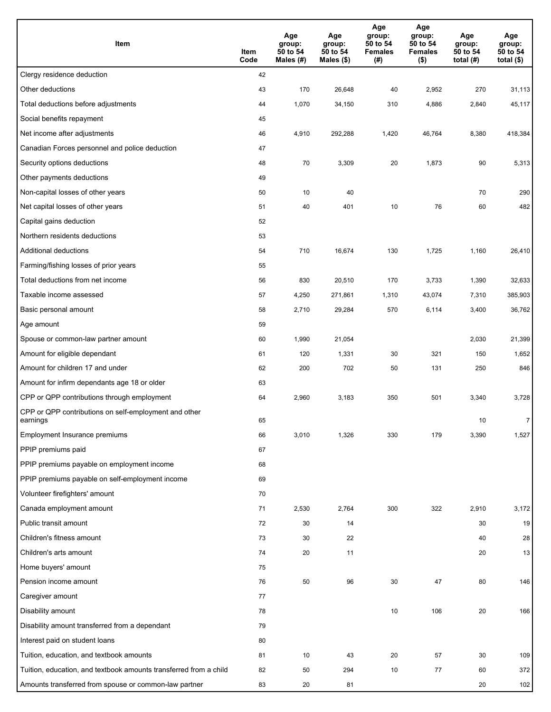| Item                                                              | Item<br>Code | Age<br>group:<br>50 to 54<br>Males (#) | Age<br>group:<br>50 to 54<br>Males (\$) | Age<br>group:<br>50 to 54<br><b>Females</b><br>(#) | Age<br>group:<br>50 to 54<br><b>Females</b><br>$($ \$) | Age<br>group:<br>50 to 54<br>total $(H)$ | Age<br>group:<br>50 to 54<br>total $($)$ |
|-------------------------------------------------------------------|--------------|----------------------------------------|-----------------------------------------|----------------------------------------------------|--------------------------------------------------------|------------------------------------------|------------------------------------------|
| Clergy residence deduction                                        | 42           |                                        |                                         |                                                    |                                                        |                                          |                                          |
| Other deductions                                                  | 43           | 170                                    | 26,648                                  | 40                                                 | 2,952                                                  | 270                                      | 31,113                                   |
| Total deductions before adjustments                               | 44           | 1,070                                  | 34,150                                  | 310                                                | 4,886                                                  | 2,840                                    | 45,117                                   |
| Social benefits repayment                                         | 45           |                                        |                                         |                                                    |                                                        |                                          |                                          |
| Net income after adjustments                                      | 46           | 4,910                                  | 292,288                                 | 1,420                                              | 46,764                                                 | 8,380                                    | 418,384                                  |
| Canadian Forces personnel and police deduction                    | 47           |                                        |                                         |                                                    |                                                        |                                          |                                          |
| Security options deductions                                       | 48           | 70                                     | 3,309                                   | 20                                                 | 1,873                                                  | 90                                       | 5,313                                    |
| Other payments deductions                                         | 49           |                                        |                                         |                                                    |                                                        |                                          |                                          |
| Non-capital losses of other years                                 | 50           | 10                                     | 40                                      |                                                    |                                                        | 70                                       | 290                                      |
| Net capital losses of other years                                 | 51           | 40                                     | 401                                     | 10                                                 | 76                                                     | 60                                       | 482                                      |
| Capital gains deduction                                           | 52           |                                        |                                         |                                                    |                                                        |                                          |                                          |
| Northern residents deductions                                     | 53           |                                        |                                         |                                                    |                                                        |                                          |                                          |
| Additional deductions                                             | 54           | 710                                    | 16,674                                  | 130                                                | 1,725                                                  | 1,160                                    | 26,410                                   |
| Farming/fishing losses of prior years                             | 55           |                                        |                                         |                                                    |                                                        |                                          |                                          |
| Total deductions from net income                                  | 56           | 830                                    | 20,510                                  | 170                                                | 3,733                                                  | 1,390                                    | 32,633                                   |
| Taxable income assessed                                           | 57           | 4,250                                  | 271,861                                 | 1,310                                              | 43,074                                                 | 7,310                                    | 385,903                                  |
| Basic personal amount                                             | 58           | 2,710                                  | 29,284                                  | 570                                                | 6,114                                                  | 3,400                                    | 36,762                                   |
| Age amount                                                        | 59           |                                        |                                         |                                                    |                                                        |                                          |                                          |
| Spouse or common-law partner amount                               | 60           | 1,990                                  | 21,054                                  |                                                    |                                                        | 2,030                                    | 21,399                                   |
| Amount for eligible dependant                                     | 61           | 120                                    | 1,331                                   | 30                                                 | 321                                                    | 150                                      | 1,652                                    |
| Amount for children 17 and under                                  | 62           | 200                                    | 702                                     | 50                                                 | 131                                                    | 250                                      | 846                                      |
| Amount for infirm dependants age 18 or older                      | 63           |                                        |                                         |                                                    |                                                        |                                          |                                          |
| CPP or QPP contributions through employment                       | 64           | 2,960                                  | 3,183                                   | 350                                                | 501                                                    | 3,340                                    | 3,728                                    |
| CPP or QPP contributions on self-employment and other<br>earnings | 65           |                                        |                                         |                                                    |                                                        | 10                                       | $\overline{7}$                           |
| Employment Insurance premiums                                     | 66           | 3,010                                  | 1,326                                   | 330                                                | 179                                                    | 3,390                                    | 1,527                                    |
| PPIP premiums paid                                                | 67           |                                        |                                         |                                                    |                                                        |                                          |                                          |
| PPIP premiums payable on employment income                        | 68           |                                        |                                         |                                                    |                                                        |                                          |                                          |
| PPIP premiums payable on self-employment income                   | 69           |                                        |                                         |                                                    |                                                        |                                          |                                          |
| Volunteer firefighters' amount                                    | 70           |                                        |                                         |                                                    |                                                        |                                          |                                          |
| Canada employment amount                                          | 71           | 2,530                                  | 2,764                                   | 300                                                | 322                                                    | 2,910                                    | 3,172                                    |
| Public transit amount                                             | 72           | 30                                     | 14                                      |                                                    |                                                        | 30                                       | 19                                       |
| Children's fitness amount                                         | 73           | 30                                     | 22                                      |                                                    |                                                        | 40                                       | 28                                       |
| Children's arts amount                                            | 74           | 20                                     | 11                                      |                                                    |                                                        | 20                                       | 13                                       |
| Home buyers' amount                                               | 75           |                                        |                                         |                                                    |                                                        |                                          |                                          |
| Pension income amount                                             | 76           | 50                                     | 96                                      | 30                                                 | 47                                                     | 80                                       | 146                                      |
| Caregiver amount                                                  | 77           |                                        |                                         |                                                    |                                                        |                                          |                                          |
| Disability amount                                                 | 78           |                                        |                                         | 10                                                 | 106                                                    | 20                                       | 166                                      |
| Disability amount transferred from a dependant                    | 79           |                                        |                                         |                                                    |                                                        |                                          |                                          |
| Interest paid on student loans                                    | 80           |                                        |                                         |                                                    |                                                        |                                          |                                          |
| Tuition, education, and textbook amounts                          | 81           | 10                                     | 43                                      | 20                                                 | 57                                                     | 30                                       | 109                                      |
| Tuition, education, and textbook amounts transferred from a child | 82           | 50                                     | 294                                     | 10                                                 | 77                                                     | 60                                       | 372                                      |
| Amounts transferred from spouse or common-law partner             | 83           | 20                                     | 81                                      |                                                    |                                                        | 20                                       | 102                                      |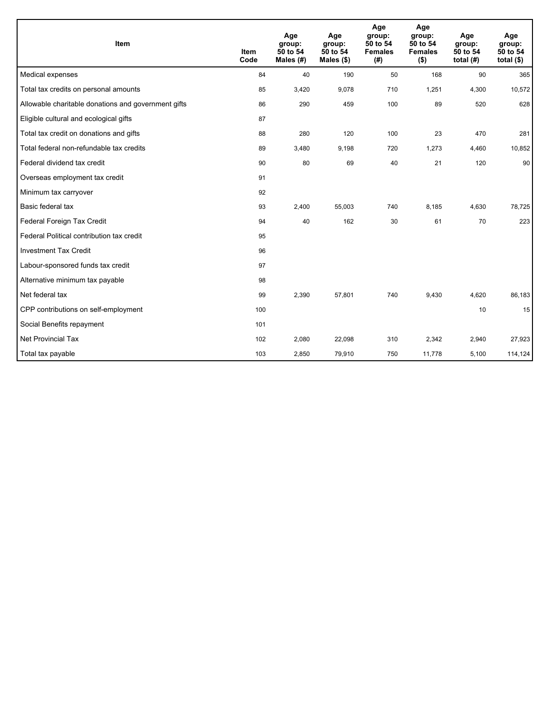| Item                                                | <b>Item</b><br>Code | Age<br>group:<br>50 to 54<br>Males (#) | Age<br>group:<br>50 to 54<br>Males $(\$)$ | Age<br>group:<br>50 to 54<br><b>Females</b><br>(# ) | Age<br>group:<br>50 to 54<br><b>Females</b><br>$($ \$) | Age<br>group:<br>50 to 54<br>total $(H)$ | Age<br>group:<br>50 to 54<br>total $($)$ |
|-----------------------------------------------------|---------------------|----------------------------------------|-------------------------------------------|-----------------------------------------------------|--------------------------------------------------------|------------------------------------------|------------------------------------------|
| Medical expenses                                    | 84                  | 40                                     | 190                                       | 50                                                  | 168                                                    | 90                                       | 365                                      |
| Total tax credits on personal amounts               | 85                  | 3,420                                  | 9,078                                     | 710                                                 | 1,251                                                  | 4,300                                    | 10,572                                   |
| Allowable charitable donations and government gifts | 86                  | 290                                    | 459                                       | 100                                                 | 89                                                     | 520                                      | 628                                      |
| Eligible cultural and ecological gifts              | 87                  |                                        |                                           |                                                     |                                                        |                                          |                                          |
| Total tax credit on donations and gifts             | 88                  | 280                                    | 120                                       | 100                                                 | 23                                                     | 470                                      | 281                                      |
| Total federal non-refundable tax credits            | 89                  | 3,480                                  | 9,198                                     | 720                                                 | 1,273                                                  | 4,460                                    | 10,852                                   |
| Federal dividend tax credit                         | 90                  | 80                                     | 69                                        | 40                                                  | 21                                                     | 120                                      | 90                                       |
| Overseas employment tax credit                      | 91                  |                                        |                                           |                                                     |                                                        |                                          |                                          |
| Minimum tax carryover                               | 92                  |                                        |                                           |                                                     |                                                        |                                          |                                          |
| Basic federal tax                                   | 93                  | 2,400                                  | 55,003                                    | 740                                                 | 8,185                                                  | 4,630                                    | 78,725                                   |
| Federal Foreign Tax Credit                          | 94                  | 40                                     | 162                                       | 30                                                  | 61                                                     | 70                                       | 223                                      |
| Federal Political contribution tax credit           | 95                  |                                        |                                           |                                                     |                                                        |                                          |                                          |
| <b>Investment Tax Credit</b>                        | 96                  |                                        |                                           |                                                     |                                                        |                                          |                                          |
| Labour-sponsored funds tax credit                   | 97                  |                                        |                                           |                                                     |                                                        |                                          |                                          |
| Alternative minimum tax payable                     | 98                  |                                        |                                           |                                                     |                                                        |                                          |                                          |
| Net federal tax                                     | 99                  | 2,390                                  | 57,801                                    | 740                                                 | 9,430                                                  | 4,620                                    | 86,183                                   |
| CPP contributions on self-employment                | 100                 |                                        |                                           |                                                     |                                                        | 10                                       | 15                                       |
| Social Benefits repayment                           | 101                 |                                        |                                           |                                                     |                                                        |                                          |                                          |
| <b>Net Provincial Tax</b>                           | 102                 | 2,080                                  | 22,098                                    | 310                                                 | 2,342                                                  | 2,940                                    | 27,923                                   |
| Total tax payable                                   | 103                 | 2,850                                  | 79,910                                    | 750                                                 | 11,778                                                 | 5,100                                    | 114,124                                  |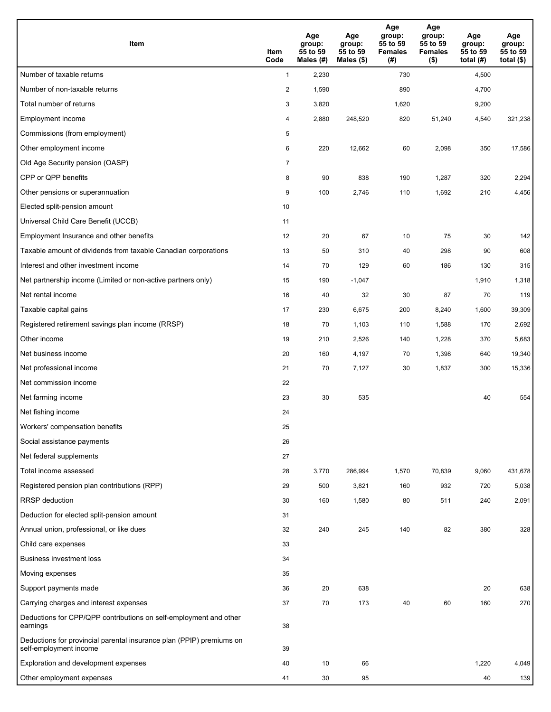| Item                                                                                           | Item<br>Code   | Age<br>group:<br>55 to 59<br>Males (#) | Age<br>group:<br>55 to 59<br>Males (\$) | Age<br>group:<br>55 to 59<br><b>Females</b><br>(# ) | Age<br>group:<br>55 to 59<br><b>Females</b><br>$($ \$) | Age<br>group:<br>55 to 59<br>total (#) | Age<br>group:<br>55 to 59<br>total $($ |
|------------------------------------------------------------------------------------------------|----------------|----------------------------------------|-----------------------------------------|-----------------------------------------------------|--------------------------------------------------------|----------------------------------------|----------------------------------------|
| Number of taxable returns                                                                      | $\mathbf{1}$   | 2,230                                  |                                         | 730                                                 |                                                        | 4,500                                  |                                        |
| Number of non-taxable returns                                                                  | $\overline{2}$ | 1,590                                  |                                         | 890                                                 |                                                        | 4,700                                  |                                        |
| Total number of returns                                                                        | 3              | 3,820                                  |                                         | 1,620                                               |                                                        | 9,200                                  |                                        |
| Employment income                                                                              | 4              | 2,880                                  | 248.520                                 | 820                                                 | 51,240                                                 | 4,540                                  | 321,238                                |
| Commissions (from employment)                                                                  | 5              |                                        |                                         |                                                     |                                                        |                                        |                                        |
| Other employment income                                                                        | 6              | 220                                    | 12,662                                  | 60                                                  | 2,098                                                  | 350                                    | 17,586                                 |
| Old Age Security pension (OASP)                                                                | $\overline{7}$ |                                        |                                         |                                                     |                                                        |                                        |                                        |
| CPP or QPP benefits                                                                            | 8              | 90                                     | 838                                     | 190                                                 | 1,287                                                  | 320                                    | 2,294                                  |
| Other pensions or superannuation                                                               | 9              | 100                                    | 2,746                                   | 110                                                 | 1,692                                                  | 210                                    | 4,456                                  |
| Elected split-pension amount                                                                   | 10             |                                        |                                         |                                                     |                                                        |                                        |                                        |
| Universal Child Care Benefit (UCCB)                                                            | 11             |                                        |                                         |                                                     |                                                        |                                        |                                        |
| Employment Insurance and other benefits                                                        | 12             | 20                                     | 67                                      | 10                                                  | 75                                                     | 30                                     | 142                                    |
| Taxable amount of dividends from taxable Canadian corporations                                 | 13             | 50                                     | 310                                     | 40                                                  | 298                                                    | 90                                     | 608                                    |
| Interest and other investment income                                                           | 14             | 70                                     | 129                                     | 60                                                  | 186                                                    | 130                                    | 315                                    |
| Net partnership income (Limited or non-active partners only)                                   | 15             | 190                                    | $-1,047$                                |                                                     |                                                        | 1,910                                  | 1,318                                  |
| Net rental income                                                                              | 16             | 40                                     | 32                                      | 30                                                  | 87                                                     | 70                                     | 119                                    |
| Taxable capital gains                                                                          | 17             | 230                                    | 6,675                                   | 200                                                 | 8,240                                                  | 1,600                                  | 39,309                                 |
| Registered retirement savings plan income (RRSP)                                               | 18             | 70                                     | 1,103                                   | 110                                                 | 1,588                                                  | 170                                    | 2,692                                  |
| Other income                                                                                   | 19             | 210                                    | 2,526                                   | 140                                                 | 1,228                                                  | 370                                    | 5,683                                  |
| Net business income                                                                            | 20             | 160                                    | 4,197                                   | 70                                                  | 1,398                                                  | 640                                    | 19,340                                 |
| Net professional income                                                                        | 21             | 70                                     | 7,127                                   | 30                                                  | 1,837                                                  | 300                                    | 15,336                                 |
| Net commission income                                                                          | 22             |                                        |                                         |                                                     |                                                        |                                        |                                        |
| Net farming income                                                                             | 23             | 30                                     | 535                                     |                                                     |                                                        | 40                                     | 554                                    |
| Net fishing income                                                                             | 24             |                                        |                                         |                                                     |                                                        |                                        |                                        |
| Workers' compensation benefits                                                                 | 25             |                                        |                                         |                                                     |                                                        |                                        |                                        |
| Social assistance payments                                                                     | 26             |                                        |                                         |                                                     |                                                        |                                        |                                        |
| Net federal supplements                                                                        | 27             |                                        |                                         |                                                     |                                                        |                                        |                                        |
| Total income assessed                                                                          | 28             | 3,770                                  | 286,994                                 | 1,570                                               | 70,839                                                 | 9,060                                  | 431,678                                |
| Registered pension plan contributions (RPP)                                                    | 29             | 500                                    | 3,821                                   | 160                                                 | 932                                                    | 720                                    | 5,038                                  |
| <b>RRSP</b> deduction                                                                          | 30             | 160                                    | 1,580                                   | 80                                                  | 511                                                    | 240                                    | 2,091                                  |
| Deduction for elected split-pension amount                                                     | 31             |                                        |                                         |                                                     |                                                        |                                        |                                        |
| Annual union, professional, or like dues                                                       | 32             | 240                                    | 245                                     | 140                                                 | 82                                                     | 380                                    | 328                                    |
| Child care expenses                                                                            | 33             |                                        |                                         |                                                     |                                                        |                                        |                                        |
| <b>Business investment loss</b>                                                                | 34             |                                        |                                         |                                                     |                                                        |                                        |                                        |
| Moving expenses                                                                                | 35             |                                        |                                         |                                                     |                                                        |                                        |                                        |
| Support payments made                                                                          | 36             | 20                                     | 638                                     |                                                     |                                                        | 20                                     | 638                                    |
| Carrying charges and interest expenses                                                         | 37             | 70                                     | 173                                     | 40                                                  | 60                                                     | 160                                    | 270                                    |
| Deductions for CPP/QPP contributions on self-employment and other<br>earnings                  | 38             |                                        |                                         |                                                     |                                                        |                                        |                                        |
| Deductions for provincial parental insurance plan (PPIP) premiums on<br>self-employment income | 39             |                                        |                                         |                                                     |                                                        |                                        |                                        |
| Exploration and development expenses                                                           | 40             | 10                                     | 66                                      |                                                     |                                                        | 1,220                                  | 4,049                                  |
| Other employment expenses                                                                      | 41             | 30                                     | 95                                      |                                                     |                                                        | 40                                     | 139                                    |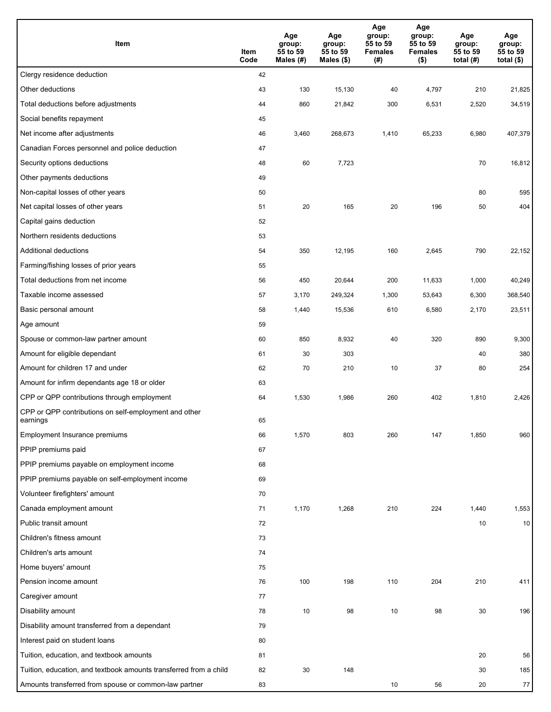| Item                                                              | Item<br>Code | Age<br>group:<br>55 to 59<br>Males (#) | Age<br>group:<br>55 to 59<br>Males (\$) | Age<br>group:<br>55 to 59<br><b>Females</b><br>(#) | Age<br>group:<br>55 to 59<br><b>Females</b><br>$($ \$) | Age<br>group:<br>55 to 59<br>total $(#)$ | Age<br>group:<br>55 to 59<br>total $($)$ |
|-------------------------------------------------------------------|--------------|----------------------------------------|-----------------------------------------|----------------------------------------------------|--------------------------------------------------------|------------------------------------------|------------------------------------------|
| Clergy residence deduction                                        | 42           |                                        |                                         |                                                    |                                                        |                                          |                                          |
| Other deductions                                                  | 43           | 130                                    | 15,130                                  | 40                                                 | 4,797                                                  | 210                                      | 21,825                                   |
| Total deductions before adjustments                               | 44           | 860                                    | 21,842                                  | 300                                                | 6,531                                                  | 2,520                                    | 34,519                                   |
| Social benefits repayment                                         | 45           |                                        |                                         |                                                    |                                                        |                                          |                                          |
| Net income after adjustments                                      | 46           | 3,460                                  | 268,673                                 | 1,410                                              | 65,233                                                 | 6,980                                    | 407,379                                  |
| Canadian Forces personnel and police deduction                    | 47           |                                        |                                         |                                                    |                                                        |                                          |                                          |
| Security options deductions                                       | 48           | 60                                     | 7,723                                   |                                                    |                                                        | 70                                       | 16,812                                   |
| Other payments deductions                                         | 49           |                                        |                                         |                                                    |                                                        |                                          |                                          |
| Non-capital losses of other years                                 | 50           |                                        |                                         |                                                    |                                                        | 80                                       | 595                                      |
| Net capital losses of other years                                 | 51           | 20                                     | 165                                     | 20                                                 | 196                                                    | 50                                       | 404                                      |
| Capital gains deduction                                           | 52           |                                        |                                         |                                                    |                                                        |                                          |                                          |
| Northern residents deductions                                     | 53           |                                        |                                         |                                                    |                                                        |                                          |                                          |
| Additional deductions                                             | 54           | 350                                    | 12,195                                  | 160                                                | 2,645                                                  | 790                                      | 22,152                                   |
| Farming/fishing losses of prior years                             | 55           |                                        |                                         |                                                    |                                                        |                                          |                                          |
| Total deductions from net income                                  | 56           | 450                                    | 20,644                                  | 200                                                | 11,633                                                 | 1,000                                    | 40,249                                   |
| Taxable income assessed                                           | 57           | 3,170                                  | 249,324                                 | 1,300                                              | 53,643                                                 | 6,300                                    | 368,540                                  |
| Basic personal amount                                             | 58           | 1,440                                  | 15,536                                  | 610                                                | 6,580                                                  | 2,170                                    | 23,511                                   |
| Age amount                                                        | 59           |                                        |                                         |                                                    |                                                        |                                          |                                          |
| Spouse or common-law partner amount                               | 60           | 850                                    | 8,932                                   | 40                                                 | 320                                                    | 890                                      | 9,300                                    |
| Amount for eligible dependant                                     | 61           | 30                                     | 303                                     |                                                    |                                                        | 40                                       | 380                                      |
| Amount for children 17 and under                                  | 62           | 70                                     | 210                                     | 10                                                 | 37                                                     | 80                                       | 254                                      |
| Amount for infirm dependants age 18 or older                      | 63           |                                        |                                         |                                                    |                                                        |                                          |                                          |
| CPP or QPP contributions through employment                       | 64           | 1,530                                  | 1,986                                   | 260                                                | 402                                                    | 1,810                                    | 2,426                                    |
| CPP or QPP contributions on self-employment and other<br>earnings | 65           |                                        |                                         |                                                    |                                                        |                                          |                                          |
| Employment Insurance premiums                                     | 66           | 1,570                                  | 803                                     | 260                                                | 147                                                    | 1,850                                    | 960                                      |
| PPIP premiums paid                                                | 67           |                                        |                                         |                                                    |                                                        |                                          |                                          |
| PPIP premiums payable on employment income                        | 68           |                                        |                                         |                                                    |                                                        |                                          |                                          |
| PPIP premiums payable on self-employment income                   | 69           |                                        |                                         |                                                    |                                                        |                                          |                                          |
| Volunteer firefighters' amount                                    | 70           |                                        |                                         |                                                    |                                                        |                                          |                                          |
| Canada employment amount                                          | 71           | 1,170                                  | 1,268                                   | 210                                                | 224                                                    | 1,440                                    | 1,553                                    |
| Public transit amount                                             | 72           |                                        |                                         |                                                    |                                                        | 10                                       | 10                                       |
| Children's fitness amount                                         | 73           |                                        |                                         |                                                    |                                                        |                                          |                                          |
| Children's arts amount                                            | 74           |                                        |                                         |                                                    |                                                        |                                          |                                          |
| Home buyers' amount                                               | 75           |                                        |                                         |                                                    |                                                        |                                          |                                          |
| Pension income amount                                             | 76           | 100                                    | 198                                     | 110                                                | 204                                                    | 210                                      | 411                                      |
| Caregiver amount                                                  | 77           |                                        |                                         |                                                    |                                                        |                                          |                                          |
| Disability amount                                                 | 78           | 10                                     | 98                                      | 10                                                 | 98                                                     | 30                                       | 196                                      |
| Disability amount transferred from a dependant                    | 79           |                                        |                                         |                                                    |                                                        |                                          |                                          |
| Interest paid on student loans                                    | 80           |                                        |                                         |                                                    |                                                        |                                          |                                          |
| Tuition, education, and textbook amounts                          | 81           |                                        |                                         |                                                    |                                                        | 20                                       | 56                                       |
| Tuition, education, and textbook amounts transferred from a child | 82           | 30                                     | 148                                     |                                                    |                                                        | 30                                       | 185                                      |
| Amounts transferred from spouse or common-law partner             | 83           |                                        |                                         | 10                                                 | 56                                                     | 20                                       | $77\,$                                   |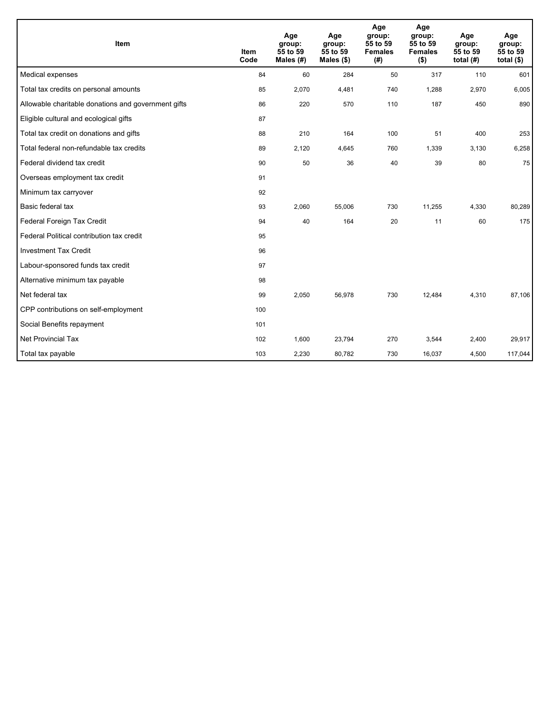| <b>Item</b>                                         | <b>Item</b><br>Code | Age<br>group:<br>55 to 59<br>Males $(H)$ | Age<br>group:<br>55 to 59<br>Males $(\$)$ | Age<br>group:<br>55 to 59<br><b>Females</b><br>(# ) | Age<br>group:<br>55 to 59<br><b>Females</b><br>$($ \$) | Age<br>group:<br>55 to 59<br>total $(H)$ | Age<br>group:<br>55 to 59<br>total $(§)$ |
|-----------------------------------------------------|---------------------|------------------------------------------|-------------------------------------------|-----------------------------------------------------|--------------------------------------------------------|------------------------------------------|------------------------------------------|
| Medical expenses                                    | 84                  | 60                                       | 284                                       | 50                                                  | 317                                                    | 110                                      | 601                                      |
| Total tax credits on personal amounts               | 85                  | 2,070                                    | 4,481                                     | 740                                                 | 1,288                                                  | 2,970                                    | 6,005                                    |
| Allowable charitable donations and government gifts | 86                  | 220                                      | 570                                       | 110                                                 | 187                                                    | 450                                      | 890                                      |
| Eligible cultural and ecological gifts              | 87                  |                                          |                                           |                                                     |                                                        |                                          |                                          |
| Total tax credit on donations and gifts             | 88                  | 210                                      | 164                                       | 100                                                 | 51                                                     | 400                                      | 253                                      |
| Total federal non-refundable tax credits            | 89                  | 2,120                                    | 4,645                                     | 760                                                 | 1,339                                                  | 3,130                                    | 6,258                                    |
| Federal dividend tax credit                         | 90                  | 50                                       | 36                                        | 40                                                  | 39                                                     | 80                                       | 75                                       |
| Overseas employment tax credit                      | 91                  |                                          |                                           |                                                     |                                                        |                                          |                                          |
| Minimum tax carryover                               | 92                  |                                          |                                           |                                                     |                                                        |                                          |                                          |
| Basic federal tax                                   | 93                  | 2,060                                    | 55,006                                    | 730                                                 | 11,255                                                 | 4,330                                    | 80,289                                   |
| Federal Foreign Tax Credit                          | 94                  | 40                                       | 164                                       | 20                                                  | 11                                                     | 60                                       | 175                                      |
| Federal Political contribution tax credit           | 95                  |                                          |                                           |                                                     |                                                        |                                          |                                          |
| <b>Investment Tax Credit</b>                        | 96                  |                                          |                                           |                                                     |                                                        |                                          |                                          |
| Labour-sponsored funds tax credit                   | 97                  |                                          |                                           |                                                     |                                                        |                                          |                                          |
| Alternative minimum tax payable                     | 98                  |                                          |                                           |                                                     |                                                        |                                          |                                          |
| Net federal tax                                     | 99                  | 2,050                                    | 56,978                                    | 730                                                 | 12,484                                                 | 4,310                                    | 87,106                                   |
| CPP contributions on self-employment                | 100                 |                                          |                                           |                                                     |                                                        |                                          |                                          |
| Social Benefits repayment                           | 101                 |                                          |                                           |                                                     |                                                        |                                          |                                          |
| Net Provincial Tax                                  | 102                 | 1,600                                    | 23,794                                    | 270                                                 | 3,544                                                  | 2,400                                    | 29,917                                   |
| Total tax payable                                   | 103                 | 2,230                                    | 80,782                                    | 730                                                 | 16,037                                                 | 4,500                                    | 117,044                                  |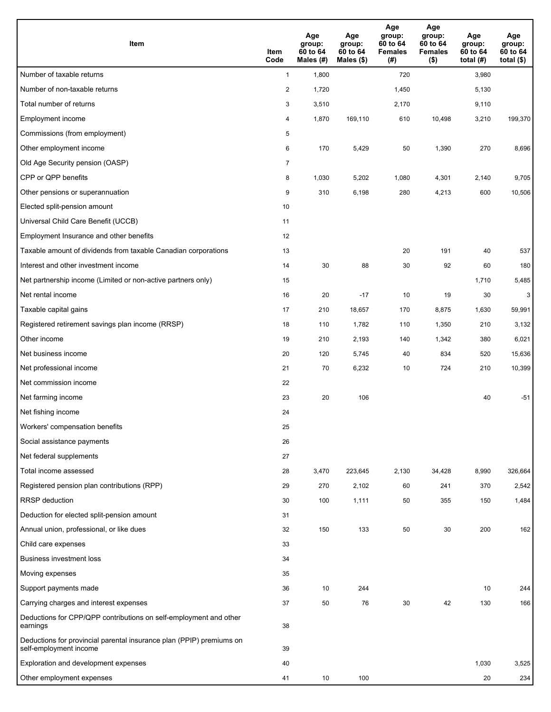| Item                                                                                           | Item<br>Code   | Age<br>group:<br>60 to 64<br>Males (#) | Age<br>group:<br>60 to 64<br>Males (\$) | Age<br>group:<br>60 to 64<br><b>Females</b><br>(#) | Age<br>group:<br>60 to 64<br><b>Females</b><br>$($ \$) | Age<br>group:<br>60 to 64<br>total $(H)$ | Age<br>group:<br>60 to 64<br>total $($)$ |
|------------------------------------------------------------------------------------------------|----------------|----------------------------------------|-----------------------------------------|----------------------------------------------------|--------------------------------------------------------|------------------------------------------|------------------------------------------|
| Number of taxable returns                                                                      | $\mathbf{1}$   | 1,800                                  |                                         | 720                                                |                                                        | 3,980                                    |                                          |
| Number of non-taxable returns                                                                  | $\overline{c}$ | 1,720                                  |                                         | 1,450                                              |                                                        | 5,130                                    |                                          |
| Total number of returns                                                                        | 3              | 3,510                                  |                                         | 2,170                                              |                                                        | 9,110                                    |                                          |
| Employment income                                                                              | 4              | 1,870                                  | 169,110                                 | 610                                                | 10,498                                                 | 3,210                                    | 199,370                                  |
| Commissions (from employment)                                                                  | 5              |                                        |                                         |                                                    |                                                        |                                          |                                          |
| Other employment income                                                                        | 6              | 170                                    | 5,429                                   | 50                                                 | 1,390                                                  | 270                                      | 8,696                                    |
| Old Age Security pension (OASP)                                                                | $\overline{7}$ |                                        |                                         |                                                    |                                                        |                                          |                                          |
| CPP or QPP benefits                                                                            | 8              | 1,030                                  | 5,202                                   | 1,080                                              | 4,301                                                  | 2,140                                    | 9,705                                    |
| Other pensions or superannuation                                                               | 9              | 310                                    | 6,198                                   | 280                                                | 4,213                                                  | 600                                      | 10,506                                   |
| Elected split-pension amount                                                                   | 10             |                                        |                                         |                                                    |                                                        |                                          |                                          |
| Universal Child Care Benefit (UCCB)                                                            | 11             |                                        |                                         |                                                    |                                                        |                                          |                                          |
| Employment Insurance and other benefits                                                        | 12             |                                        |                                         |                                                    |                                                        |                                          |                                          |
| Taxable amount of dividends from taxable Canadian corporations                                 | 13             |                                        |                                         | 20                                                 | 191                                                    | 40                                       | 537                                      |
| Interest and other investment income                                                           | 14             | 30                                     | 88                                      | 30                                                 | 92                                                     | 60                                       | 180                                      |
| Net partnership income (Limited or non-active partners only)                                   | 15             |                                        |                                         |                                                    |                                                        | 1,710                                    | 5,485                                    |
| Net rental income                                                                              | 16             | 20                                     | $-17$                                   | 10                                                 | 19                                                     | 30                                       | 3                                        |
| Taxable capital gains                                                                          | 17             | 210                                    | 18,657                                  | 170                                                | 8,875                                                  | 1,630                                    | 59,991                                   |
| Registered retirement savings plan income (RRSP)                                               | 18             | 110                                    | 1,782                                   | 110                                                | 1,350                                                  | 210                                      | 3,132                                    |
| Other income                                                                                   | 19             | 210                                    | 2,193                                   | 140                                                | 1,342                                                  | 380                                      | 6,021                                    |
| Net business income                                                                            | 20             | 120                                    | 5,745                                   | 40                                                 | 834                                                    | 520                                      | 15,636                                   |
| Net professional income                                                                        | 21             | 70                                     | 6,232                                   | 10                                                 | 724                                                    | 210                                      | 10,399                                   |
| Net commission income                                                                          | 22             |                                        |                                         |                                                    |                                                        |                                          |                                          |
| Net farming income                                                                             | 23             | 20                                     | 106                                     |                                                    |                                                        | 40                                       | $-51$                                    |
| Net fishing income                                                                             | 24             |                                        |                                         |                                                    |                                                        |                                          |                                          |
| Workers' compensation benefits                                                                 | 25             |                                        |                                         |                                                    |                                                        |                                          |                                          |
| Social assistance payments                                                                     | 26             |                                        |                                         |                                                    |                                                        |                                          |                                          |
| Net federal supplements                                                                        | 27             |                                        |                                         |                                                    |                                                        |                                          |                                          |
| Total income assessed                                                                          | 28             | 3,470                                  | 223,645                                 | 2,130                                              | 34,428                                                 | 8,990                                    | 326,664                                  |
| Registered pension plan contributions (RPP)                                                    | 29             | 270                                    | 2,102                                   | 60                                                 | 241                                                    | 370                                      | 2,542                                    |
| <b>RRSP</b> deduction                                                                          | 30             | 100                                    | 1,111                                   | 50                                                 | 355                                                    | 150                                      | 1,484                                    |
| Deduction for elected split-pension amount                                                     | 31             |                                        |                                         |                                                    |                                                        |                                          |                                          |
| Annual union, professional, or like dues                                                       | 32             | 150                                    | 133                                     | 50                                                 | 30                                                     | 200                                      | 162                                      |
| Child care expenses                                                                            | 33             |                                        |                                         |                                                    |                                                        |                                          |                                          |
| <b>Business investment loss</b>                                                                | 34             |                                        |                                         |                                                    |                                                        |                                          |                                          |
| Moving expenses                                                                                | 35             |                                        |                                         |                                                    |                                                        |                                          |                                          |
| Support payments made                                                                          | 36             | 10                                     | 244                                     |                                                    |                                                        | 10                                       | 244                                      |
| Carrying charges and interest expenses                                                         | 37             | 50                                     | 76                                      | 30                                                 | 42                                                     | 130                                      | 166                                      |
| Deductions for CPP/QPP contributions on self-employment and other<br>earnings                  | 38             |                                        |                                         |                                                    |                                                        |                                          |                                          |
| Deductions for provincial parental insurance plan (PPIP) premiums on<br>self-employment income | 39             |                                        |                                         |                                                    |                                                        |                                          |                                          |
| Exploration and development expenses                                                           | 40             |                                        |                                         |                                                    |                                                        | 1,030                                    | 3,525                                    |
| Other employment expenses                                                                      | 41             | 10                                     | 100                                     |                                                    |                                                        | 20                                       | 234                                      |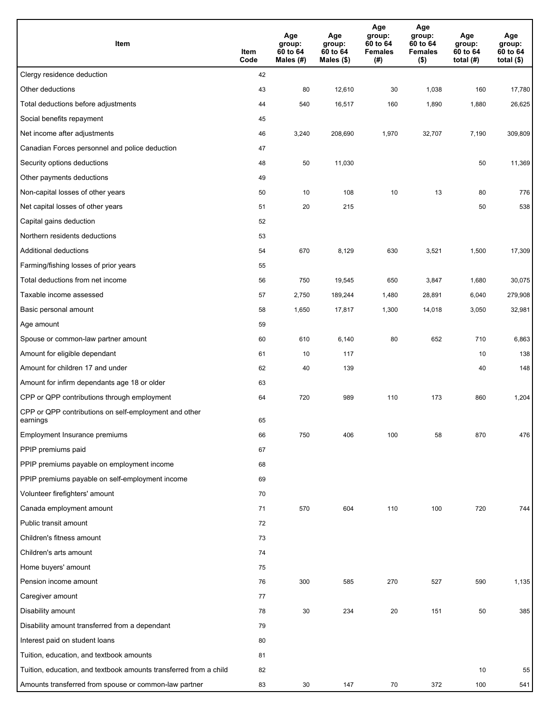| Item                                                              | Item<br>Code | Age<br>group:<br>60 to 64<br>Males (#) | Age<br>group:<br>60 to 64<br>Males (\$) | Age<br>group:<br>60 to 64<br><b>Females</b><br>(# ) | Age<br>group:<br>60 to 64<br><b>Females</b><br>$($ \$) | Age<br>group:<br>60 to 64<br>total $(H)$ | Age<br>group:<br>60 to 64<br>total $($)$ |
|-------------------------------------------------------------------|--------------|----------------------------------------|-----------------------------------------|-----------------------------------------------------|--------------------------------------------------------|------------------------------------------|------------------------------------------|
| Clergy residence deduction                                        | 42           |                                        |                                         |                                                     |                                                        |                                          |                                          |
| Other deductions                                                  | 43           | 80                                     | 12,610                                  | 30                                                  | 1,038                                                  | 160                                      | 17,780                                   |
| Total deductions before adjustments                               | 44           | 540                                    | 16,517                                  | 160                                                 | 1,890                                                  | 1,880                                    | 26,625                                   |
| Social benefits repayment                                         | 45           |                                        |                                         |                                                     |                                                        |                                          |                                          |
| Net income after adjustments                                      | 46           | 3,240                                  | 208,690                                 | 1,970                                               | 32,707                                                 | 7,190                                    | 309,809                                  |
| Canadian Forces personnel and police deduction                    | 47           |                                        |                                         |                                                     |                                                        |                                          |                                          |
| Security options deductions                                       | 48           | 50                                     | 11,030                                  |                                                     |                                                        | 50                                       | 11,369                                   |
| Other payments deductions                                         | 49           |                                        |                                         |                                                     |                                                        |                                          |                                          |
| Non-capital losses of other years                                 | 50           | 10                                     | 108                                     | 10                                                  | 13                                                     | 80                                       | 776                                      |
| Net capital losses of other years                                 | 51           | 20                                     | 215                                     |                                                     |                                                        | 50                                       | 538                                      |
| Capital gains deduction                                           | 52           |                                        |                                         |                                                     |                                                        |                                          |                                          |
| Northern residents deductions                                     | 53           |                                        |                                         |                                                     |                                                        |                                          |                                          |
| Additional deductions                                             | 54           | 670                                    | 8,129                                   | 630                                                 | 3,521                                                  | 1,500                                    | 17,309                                   |
| Farming/fishing losses of prior years                             | 55           |                                        |                                         |                                                     |                                                        |                                          |                                          |
| Total deductions from net income                                  | 56           | 750                                    | 19,545                                  | 650                                                 | 3,847                                                  | 1,680                                    | 30,075                                   |
| Taxable income assessed                                           | 57           | 2,750                                  | 189,244                                 | 1,480                                               | 28,891                                                 | 6,040                                    | 279,908                                  |
| Basic personal amount                                             | 58           | 1,650                                  | 17,817                                  | 1,300                                               | 14,018                                                 | 3,050                                    | 32,981                                   |
| Age amount                                                        | 59           |                                        |                                         |                                                     |                                                        |                                          |                                          |
| Spouse or common-law partner amount                               | 60           | 610                                    | 6,140                                   | 80                                                  | 652                                                    | 710                                      | 6,863                                    |
| Amount for eligible dependant                                     | 61           | 10                                     | 117                                     |                                                     |                                                        | 10                                       | 138                                      |
| Amount for children 17 and under                                  | 62           | 40                                     | 139                                     |                                                     |                                                        | 40                                       | 148                                      |
| Amount for infirm dependants age 18 or older                      | 63           |                                        |                                         |                                                     |                                                        |                                          |                                          |
| CPP or QPP contributions through employment                       | 64           | 720                                    | 989                                     | 110                                                 | 173                                                    | 860                                      | 1,204                                    |
| CPP or QPP contributions on self-employment and other<br>earnings | 65           |                                        |                                         |                                                     |                                                        |                                          |                                          |
| Employment Insurance premiums                                     | 66           | 750                                    | 406                                     | 100                                                 | 58                                                     | 870                                      | 476                                      |
| PPIP premiums paid                                                | 67           |                                        |                                         |                                                     |                                                        |                                          |                                          |
| PPIP premiums payable on employment income                        | 68           |                                        |                                         |                                                     |                                                        |                                          |                                          |
| PPIP premiums payable on self-employment income                   | 69           |                                        |                                         |                                                     |                                                        |                                          |                                          |
| Volunteer firefighters' amount                                    | 70           |                                        |                                         |                                                     |                                                        |                                          |                                          |
| Canada employment amount                                          | 71           | 570                                    | 604                                     | 110                                                 | 100                                                    | 720                                      | 744                                      |
| Public transit amount                                             | 72           |                                        |                                         |                                                     |                                                        |                                          |                                          |
| Children's fitness amount                                         | 73           |                                        |                                         |                                                     |                                                        |                                          |                                          |
| Children's arts amount                                            | 74           |                                        |                                         |                                                     |                                                        |                                          |                                          |
| Home buyers' amount                                               | 75           |                                        |                                         |                                                     |                                                        |                                          |                                          |
| Pension income amount                                             | 76           | 300                                    | 585                                     | 270                                                 | 527                                                    | 590                                      | 1,135                                    |
| Caregiver amount                                                  | 77           |                                        |                                         |                                                     |                                                        |                                          |                                          |
| Disability amount                                                 | 78           | 30                                     | 234                                     | 20                                                  | 151                                                    | 50                                       | 385                                      |
| Disability amount transferred from a dependant                    | 79           |                                        |                                         |                                                     |                                                        |                                          |                                          |
| Interest paid on student loans                                    | 80           |                                        |                                         |                                                     |                                                        |                                          |                                          |
| Tuition, education, and textbook amounts                          | 81           |                                        |                                         |                                                     |                                                        |                                          |                                          |
| Tuition, education, and textbook amounts transferred from a child | 82           |                                        |                                         |                                                     |                                                        | 10                                       | 55                                       |
| Amounts transferred from spouse or common-law partner             | 83           | 30                                     | 147                                     | 70                                                  | 372                                                    | 100                                      | 541                                      |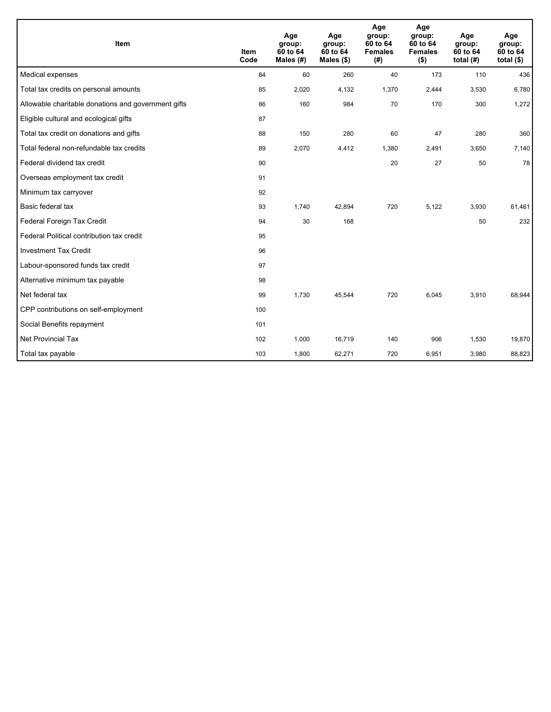| <b>Item</b>                                         | <b>Item</b><br>Code | Age<br>group:<br>60 to 64<br>Males $(H)$ | Age<br>group:<br>60 to 64<br>Males $(\$)$ | Age<br>group:<br>60 to 64<br><b>Females</b><br>(# ) | Age<br>group:<br>60 to 64<br><b>Females</b><br>$($ \$) | Age<br>group:<br>60 to 64<br>total $(H)$ | Age<br>group:<br>60 to 64<br>total $($)$ |
|-----------------------------------------------------|---------------------|------------------------------------------|-------------------------------------------|-----------------------------------------------------|--------------------------------------------------------|------------------------------------------|------------------------------------------|
| Medical expenses                                    | 84                  | 60                                       | 260                                       | 40                                                  | 173                                                    | 110                                      | 436                                      |
| Total tax credits on personal amounts               | 85                  | 2,020                                    | 4,132                                     | 1,370                                               | 2,444                                                  | 3,530                                    | 6,780                                    |
| Allowable charitable donations and government gifts | 86                  | 160                                      | 984                                       | 70                                                  | 170                                                    | 300                                      | 1,272                                    |
| Eligible cultural and ecological gifts              | 87                  |                                          |                                           |                                                     |                                                        |                                          |                                          |
| Total tax credit on donations and gifts             | 88                  | 150                                      | 280                                       | 60                                                  | 47                                                     | 280                                      | 360                                      |
| Total federal non-refundable tax credits            | 89                  | 2,070                                    | 4,412                                     | 1,380                                               | 2,491                                                  | 3,650                                    | 7,140                                    |
| Federal dividend tax credit                         | 90                  |                                          |                                           | 20                                                  | 27                                                     | 50                                       | 78                                       |
| Overseas employment tax credit                      | 91                  |                                          |                                           |                                                     |                                                        |                                          |                                          |
| Minimum tax carryover                               | 92                  |                                          |                                           |                                                     |                                                        |                                          |                                          |
| Basic federal tax                                   | 93                  | 1,740                                    | 42,894                                    | 720                                                 | 5,122                                                  | 3,930                                    | 61,461                                   |
| Federal Foreign Tax Credit                          | 94                  | 30                                       | 168                                       |                                                     |                                                        | 50                                       | 232                                      |
| Federal Political contribution tax credit           | 95                  |                                          |                                           |                                                     |                                                        |                                          |                                          |
| <b>Investment Tax Credit</b>                        | 96                  |                                          |                                           |                                                     |                                                        |                                          |                                          |
| Labour-sponsored funds tax credit                   | 97                  |                                          |                                           |                                                     |                                                        |                                          |                                          |
| Alternative minimum tax payable                     | 98                  |                                          |                                           |                                                     |                                                        |                                          |                                          |
| Net federal tax                                     | 99                  | 1.730                                    | 45.544                                    | 720                                                 | 6.045                                                  | 3,910                                    | 68.944                                   |
| CPP contributions on self-employment                | 100                 |                                          |                                           |                                                     |                                                        |                                          |                                          |
| Social Benefits repayment                           | 101                 |                                          |                                           |                                                     |                                                        |                                          |                                          |
| <b>Net Provincial Tax</b>                           | 102                 | 1,000                                    | 16,719                                    | 140                                                 | 906                                                    | 1,530                                    | 19,870                                   |
| Total tax payable                                   | 103                 | 1,800                                    | 62,271                                    | 720                                                 | 6,951                                                  | 3,980                                    | 88,823                                   |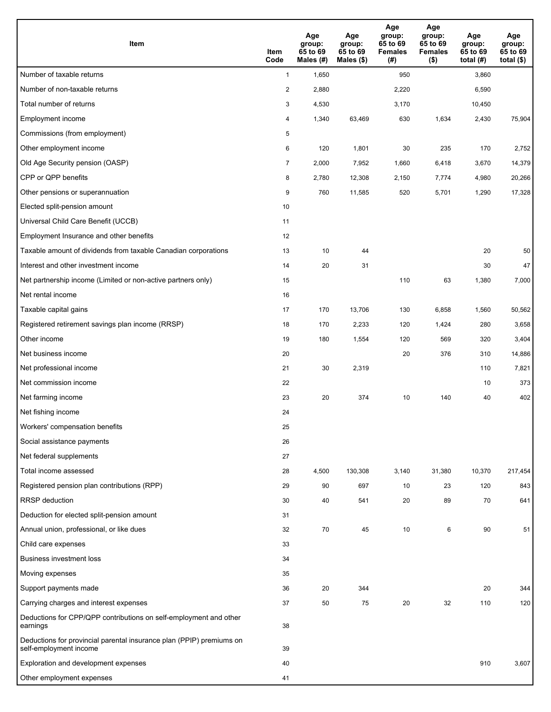| <b>Item</b>                                                                                    | Item<br>Code     | Age<br>group:<br>65 to 69<br>Males (#) | Age<br>group:<br>65 to 69<br>Males (\$) | Age<br>group:<br>65 to 69<br><b>Females</b><br>(# ) | Age<br>group:<br>65 to 69<br><b>Females</b><br>$($ \$) | Age<br>group:<br>65 to 69<br>total $(#)$ | Age<br>group:<br>65 to 69<br>total $($)$ |
|------------------------------------------------------------------------------------------------|------------------|----------------------------------------|-----------------------------------------|-----------------------------------------------------|--------------------------------------------------------|------------------------------------------|------------------------------------------|
| Number of taxable returns                                                                      | $\mathbf{1}$     | 1,650                                  |                                         | 950                                                 |                                                        | 3,860                                    |                                          |
| Number of non-taxable returns                                                                  | $\boldsymbol{2}$ | 2,880                                  |                                         | 2,220                                               |                                                        | 6,590                                    |                                          |
| Total number of returns                                                                        | 3                | 4,530                                  |                                         | 3,170                                               |                                                        | 10,450                                   |                                          |
| Employment income                                                                              | 4                | 1,340                                  | 63,469                                  | 630                                                 | 1,634                                                  | 2,430                                    | 75,904                                   |
| Commissions (from employment)                                                                  | 5                |                                        |                                         |                                                     |                                                        |                                          |                                          |
| Other employment income                                                                        | 6                | 120                                    | 1,801                                   | 30                                                  | 235                                                    | 170                                      | 2,752                                    |
| Old Age Security pension (OASP)                                                                | $\overline{7}$   | 2,000                                  | 7,952                                   | 1,660                                               | 6,418                                                  | 3,670                                    | 14,379                                   |
| CPP or QPP benefits                                                                            | 8                | 2,780                                  | 12,308                                  | 2,150                                               | 7,774                                                  | 4,980                                    | 20,266                                   |
| Other pensions or superannuation                                                               | 9                | 760                                    | 11,585                                  | 520                                                 | 5,701                                                  | 1,290                                    | 17,328                                   |
| Elected split-pension amount                                                                   | 10               |                                        |                                         |                                                     |                                                        |                                          |                                          |
| Universal Child Care Benefit (UCCB)                                                            | 11               |                                        |                                         |                                                     |                                                        |                                          |                                          |
| Employment Insurance and other benefits                                                        | 12               |                                        |                                         |                                                     |                                                        |                                          |                                          |
| Taxable amount of dividends from taxable Canadian corporations                                 | 13               | 10                                     | 44                                      |                                                     |                                                        | 20                                       | 50                                       |
| Interest and other investment income                                                           | 14               | 20                                     | 31                                      |                                                     |                                                        | 30                                       | 47                                       |
| Net partnership income (Limited or non-active partners only)                                   | 15               |                                        |                                         | 110                                                 | 63                                                     | 1,380                                    | 7,000                                    |
| Net rental income                                                                              | 16               |                                        |                                         |                                                     |                                                        |                                          |                                          |
| Taxable capital gains                                                                          | 17               | 170                                    | 13,706                                  | 130                                                 | 6,858                                                  | 1,560                                    | 50,562                                   |
| Registered retirement savings plan income (RRSP)                                               | 18               | 170                                    | 2,233                                   | 120                                                 | 1,424                                                  | 280                                      | 3,658                                    |
| Other income                                                                                   | 19               | 180                                    | 1,554                                   | 120                                                 | 569                                                    | 320                                      | 3,404                                    |
| Net business income                                                                            | 20               |                                        |                                         | 20                                                  | 376                                                    | 310                                      | 14,886                                   |
| Net professional income                                                                        | 21               | 30                                     | 2,319                                   |                                                     |                                                        | 110                                      | 7,821                                    |
| Net commission income                                                                          | 22               |                                        |                                         |                                                     |                                                        | 10                                       | 373                                      |
| Net farming income                                                                             | 23               | 20                                     | 374                                     | 10                                                  | 140                                                    | 40                                       | 402                                      |
| Net fishing income                                                                             | 24               |                                        |                                         |                                                     |                                                        |                                          |                                          |
| Workers' compensation benefits                                                                 | 25               |                                        |                                         |                                                     |                                                        |                                          |                                          |
| Social assistance payments                                                                     | 26               |                                        |                                         |                                                     |                                                        |                                          |                                          |
| Net federal supplements                                                                        | 27               |                                        |                                         |                                                     |                                                        |                                          |                                          |
| Total income assessed                                                                          | 28               | 4,500                                  | 130,308                                 | 3,140                                               | 31,380                                                 | 10,370                                   | 217,454                                  |
| Registered pension plan contributions (RPP)                                                    | 29               | 90                                     | 697                                     | 10                                                  | 23                                                     | 120                                      | 843                                      |
| <b>RRSP</b> deduction                                                                          | 30               | 40                                     | 541                                     | 20                                                  | 89                                                     | 70                                       | 641                                      |
| Deduction for elected split-pension amount                                                     | 31               |                                        |                                         |                                                     |                                                        |                                          |                                          |
| Annual union, professional, or like dues                                                       | 32               | 70                                     | 45                                      | 10                                                  | 6                                                      | 90                                       | 51                                       |
| Child care expenses                                                                            | 33               |                                        |                                         |                                                     |                                                        |                                          |                                          |
| <b>Business investment loss</b>                                                                | 34               |                                        |                                         |                                                     |                                                        |                                          |                                          |
| Moving expenses                                                                                | 35               |                                        |                                         |                                                     |                                                        |                                          |                                          |
| Support payments made                                                                          | 36               | 20                                     | 344                                     |                                                     |                                                        | 20                                       | 344                                      |
| Carrying charges and interest expenses                                                         | 37               | 50                                     | 75                                      | 20                                                  | 32                                                     | 110                                      | 120                                      |
| Deductions for CPP/QPP contributions on self-employment and other<br>earnings                  | 38               |                                        |                                         |                                                     |                                                        |                                          |                                          |
| Deductions for provincial parental insurance plan (PPIP) premiums on<br>self-employment income | 39               |                                        |                                         |                                                     |                                                        |                                          |                                          |
| Exploration and development expenses                                                           | 40               |                                        |                                         |                                                     |                                                        | 910                                      | 3,607                                    |
| Other employment expenses                                                                      | 41               |                                        |                                         |                                                     |                                                        |                                          |                                          |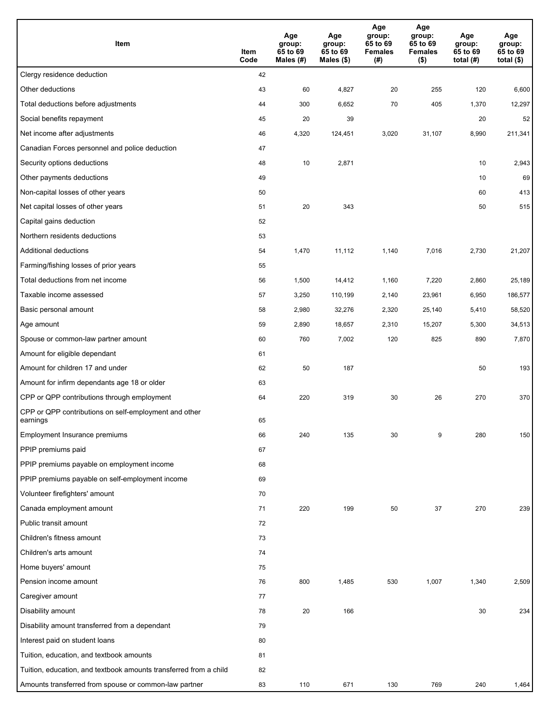| Item                                                              | Item<br>Code | Age<br>group:<br>65 to 69<br>Males (#) | Age<br>group:<br>65 to 69<br>Males (\$) | Age<br>group:<br>65 to 69<br><b>Females</b><br>(# ) | Age<br>group:<br>65 to 69<br><b>Females</b><br>$($ \$) | Age<br>group:<br>65 to 69<br>total $(H)$ | Age<br>group:<br>65 to 69<br>total $($)$ |
|-------------------------------------------------------------------|--------------|----------------------------------------|-----------------------------------------|-----------------------------------------------------|--------------------------------------------------------|------------------------------------------|------------------------------------------|
| Clergy residence deduction                                        | 42           |                                        |                                         |                                                     |                                                        |                                          |                                          |
| Other deductions                                                  | 43           | 60                                     | 4,827                                   | 20                                                  | 255                                                    | 120                                      | 6,600                                    |
| Total deductions before adjustments                               | 44           | 300                                    | 6,652                                   | 70                                                  | 405                                                    | 1,370                                    | 12,297                                   |
| Social benefits repayment                                         | 45           | 20                                     | 39                                      |                                                     |                                                        | 20                                       | 52                                       |
| Net income after adjustments                                      | 46           | 4,320                                  | 124,451                                 | 3,020                                               | 31,107                                                 | 8,990                                    | 211,341                                  |
| Canadian Forces personnel and police deduction                    | 47           |                                        |                                         |                                                     |                                                        |                                          |                                          |
| Security options deductions                                       | 48           | 10                                     | 2,871                                   |                                                     |                                                        | 10                                       | 2,943                                    |
| Other payments deductions                                         | 49           |                                        |                                         |                                                     |                                                        | 10                                       | 69                                       |
| Non-capital losses of other years                                 | 50           |                                        |                                         |                                                     |                                                        | 60                                       | 413                                      |
| Net capital losses of other years                                 | 51           | 20                                     | 343                                     |                                                     |                                                        | 50                                       | 515                                      |
| Capital gains deduction                                           | 52           |                                        |                                         |                                                     |                                                        |                                          |                                          |
| Northern residents deductions                                     | 53           |                                        |                                         |                                                     |                                                        |                                          |                                          |
| Additional deductions                                             | 54           | 1,470                                  | 11,112                                  | 1,140                                               | 7,016                                                  | 2,730                                    | 21,207                                   |
| Farming/fishing losses of prior years                             | 55           |                                        |                                         |                                                     |                                                        |                                          |                                          |
| Total deductions from net income                                  | 56           | 1,500                                  | 14,412                                  | 1,160                                               | 7,220                                                  | 2,860                                    | 25,189                                   |
| Taxable income assessed                                           | 57           | 3,250                                  | 110,199                                 | 2,140                                               | 23,961                                                 | 6,950                                    | 186,577                                  |
| Basic personal amount                                             | 58           | 2,980                                  | 32,276                                  | 2,320                                               | 25,140                                                 | 5,410                                    | 58,520                                   |
| Age amount                                                        | 59           | 2,890                                  | 18,657                                  | 2,310                                               | 15,207                                                 | 5,300                                    | 34,513                                   |
| Spouse or common-law partner amount                               | 60           | 760                                    | 7,002                                   | 120                                                 | 825                                                    | 890                                      | 7,870                                    |
| Amount for eligible dependant                                     | 61           |                                        |                                         |                                                     |                                                        |                                          |                                          |
| Amount for children 17 and under                                  | 62           | 50                                     | 187                                     |                                                     |                                                        | 50                                       | 193                                      |
| Amount for infirm dependants age 18 or older                      | 63           |                                        |                                         |                                                     |                                                        |                                          |                                          |
| CPP or QPP contributions through employment                       | 64           | 220                                    | 319                                     | 30                                                  | 26                                                     | 270                                      | 370                                      |
| CPP or QPP contributions on self-employment and other<br>earnings | 65           |                                        |                                         |                                                     |                                                        |                                          |                                          |
| Employment Insurance premiums                                     | 66           | 240                                    | 135                                     | 30                                                  | 9                                                      | 280                                      | 150                                      |
| PPIP premiums paid                                                | 67           |                                        |                                         |                                                     |                                                        |                                          |                                          |
| PPIP premiums payable on employment income                        | 68           |                                        |                                         |                                                     |                                                        |                                          |                                          |
| PPIP premiums payable on self-employment income                   | 69           |                                        |                                         |                                                     |                                                        |                                          |                                          |
| Volunteer firefighters' amount                                    | 70           |                                        |                                         |                                                     |                                                        |                                          |                                          |
| Canada employment amount                                          | 71           | 220                                    | 199                                     | 50                                                  | 37                                                     | 270                                      | 239                                      |
| Public transit amount                                             | 72           |                                        |                                         |                                                     |                                                        |                                          |                                          |
| Children's fitness amount                                         | 73           |                                        |                                         |                                                     |                                                        |                                          |                                          |
| Children's arts amount                                            | 74           |                                        |                                         |                                                     |                                                        |                                          |                                          |
| Home buyers' amount                                               | 75           |                                        |                                         |                                                     |                                                        |                                          |                                          |
| Pension income amount                                             | 76           | 800                                    | 1,485                                   | 530                                                 | 1,007                                                  | 1,340                                    | 2,509                                    |
| Caregiver amount                                                  | 77           |                                        |                                         |                                                     |                                                        |                                          |                                          |
| Disability amount                                                 | 78           | 20                                     | 166                                     |                                                     |                                                        | 30                                       | 234                                      |
| Disability amount transferred from a dependant                    | 79           |                                        |                                         |                                                     |                                                        |                                          |                                          |
| Interest paid on student loans                                    | 80           |                                        |                                         |                                                     |                                                        |                                          |                                          |
| Tuition, education, and textbook amounts                          | 81           |                                        |                                         |                                                     |                                                        |                                          |                                          |
| Tuition, education, and textbook amounts transferred from a child | 82           |                                        |                                         |                                                     |                                                        |                                          |                                          |
| Amounts transferred from spouse or common-law partner             | 83           | 110                                    | 671                                     | 130                                                 | 769                                                    | 240                                      | 1,464                                    |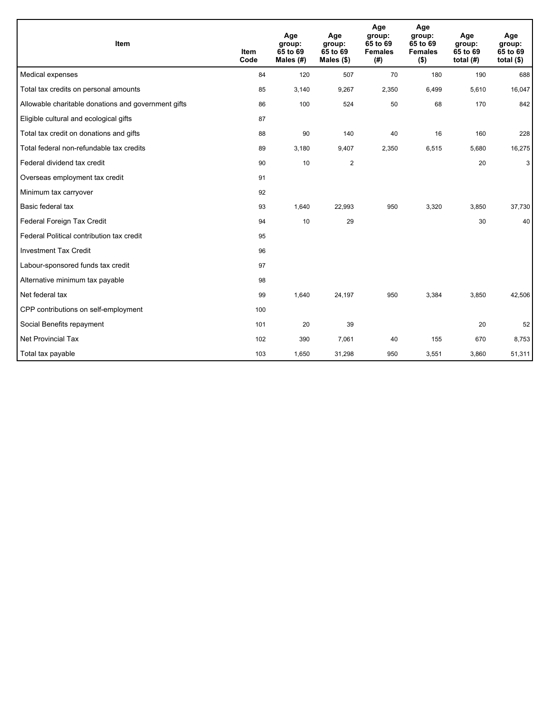| Item                                                | <b>Item</b><br>Code | Age<br>group:<br>65 to 69<br>Males $(H)$ | Age<br>group:<br>65 to 69<br>Males $(\$)$ | Age<br>group:<br>65 to 69<br><b>Females</b><br>(#) | Age<br>group:<br>65 to 69<br><b>Females</b><br>$($ \$) | Age<br>group:<br>65 to 69<br>total $(H)$ | Age<br>group:<br>65 to 69<br>total $(§)$ |
|-----------------------------------------------------|---------------------|------------------------------------------|-------------------------------------------|----------------------------------------------------|--------------------------------------------------------|------------------------------------------|------------------------------------------|
| Medical expenses                                    | 84                  | 120                                      | 507                                       | 70                                                 | 180                                                    | 190                                      | 688                                      |
| Total tax credits on personal amounts               | 85                  | 3,140                                    | 9,267                                     | 2,350                                              | 6,499                                                  | 5,610                                    | 16,047                                   |
| Allowable charitable donations and government gifts | 86                  | 100                                      | 524                                       | 50                                                 | 68                                                     | 170                                      | 842                                      |
| Eligible cultural and ecological gifts              | 87                  |                                          |                                           |                                                    |                                                        |                                          |                                          |
| Total tax credit on donations and gifts             | 88                  | 90                                       | 140                                       | 40                                                 | 16                                                     | 160                                      | 228                                      |
| Total federal non-refundable tax credits            | 89                  | 3,180                                    | 9,407                                     | 2,350                                              | 6,515                                                  | 5,680                                    | 16,275                                   |
| Federal dividend tax credit                         | 90                  | 10                                       | $\overline{2}$                            |                                                    |                                                        | 20                                       | 3                                        |
| Overseas employment tax credit                      | 91                  |                                          |                                           |                                                    |                                                        |                                          |                                          |
| Minimum tax carryover                               | 92                  |                                          |                                           |                                                    |                                                        |                                          |                                          |
| Basic federal tax                                   | 93                  | 1,640                                    | 22,993                                    | 950                                                | 3,320                                                  | 3,850                                    | 37,730                                   |
| Federal Foreign Tax Credit                          | 94                  | 10                                       | 29                                        |                                                    |                                                        | 30                                       | 40                                       |
| Federal Political contribution tax credit           | 95                  |                                          |                                           |                                                    |                                                        |                                          |                                          |
| <b>Investment Tax Credit</b>                        | 96                  |                                          |                                           |                                                    |                                                        |                                          |                                          |
| Labour-sponsored funds tax credit                   | 97                  |                                          |                                           |                                                    |                                                        |                                          |                                          |
| Alternative minimum tax payable                     | 98                  |                                          |                                           |                                                    |                                                        |                                          |                                          |
| Net federal tax                                     | 99                  | 1,640                                    | 24,197                                    | 950                                                | 3,384                                                  | 3,850                                    | 42,506                                   |
| CPP contributions on self-employment                | 100                 |                                          |                                           |                                                    |                                                        |                                          |                                          |
| Social Benefits repayment                           | 101                 | 20                                       | 39                                        |                                                    |                                                        | 20                                       | 52                                       |
| Net Provincial Tax                                  | 102                 | 390                                      | 7,061                                     | 40                                                 | 155                                                    | 670                                      | 8,753                                    |
| Total tax payable                                   | 103                 | 1,650                                    | 31,298                                    | 950                                                | 3,551                                                  | 3,860                                    | 51,311                                   |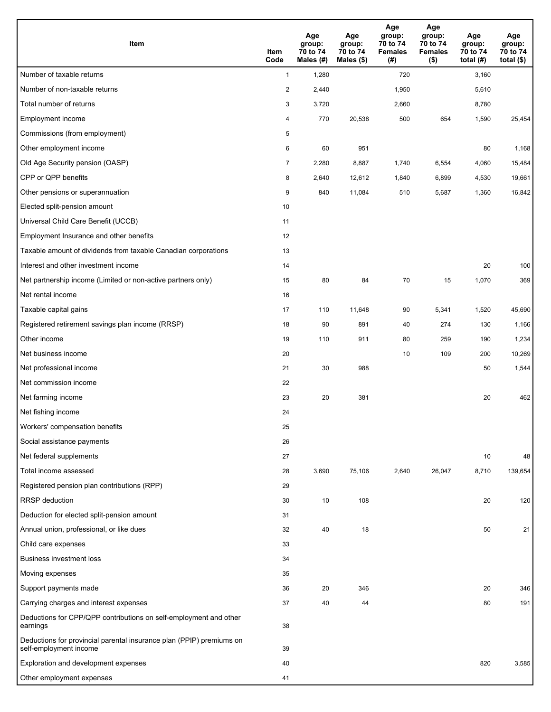| Item                                                                                           | Item<br>Code   | Age<br>group:<br>70 to 74<br>Males (#) | Age<br>group:<br>70 to 74<br>Males $(\$)$ | Age<br>group:<br>70 to 74<br><b>Females</b><br>(#) | Age<br>group:<br>70 to 74<br><b>Females</b><br>$($ \$) | Age<br>group:<br>70 to 74<br>total $(H)$ | Age<br>group:<br>70 to 74<br>total $(\$)$ |
|------------------------------------------------------------------------------------------------|----------------|----------------------------------------|-------------------------------------------|----------------------------------------------------|--------------------------------------------------------|------------------------------------------|-------------------------------------------|
| Number of taxable returns                                                                      | $\mathbf{1}$   | 1,280                                  |                                           | 720                                                |                                                        | 3,160                                    |                                           |
| Number of non-taxable returns                                                                  | 2              | 2,440                                  |                                           | 1,950                                              |                                                        | 5,610                                    |                                           |
| Total number of returns                                                                        | 3              | 3,720                                  |                                           | 2,660                                              |                                                        | 8,780                                    |                                           |
| Employment income                                                                              | 4              | 770                                    | 20,538                                    | 500                                                | 654                                                    | 1,590                                    | 25,454                                    |
| Commissions (from employment)                                                                  | 5              |                                        |                                           |                                                    |                                                        |                                          |                                           |
| Other employment income                                                                        | 6              | 60                                     | 951                                       |                                                    |                                                        | 80                                       | 1,168                                     |
| Old Age Security pension (OASP)                                                                | $\overline{7}$ | 2,280                                  | 8,887                                     | 1,740                                              | 6,554                                                  | 4,060                                    | 15,484                                    |
| CPP or QPP benefits                                                                            | 8              | 2,640                                  | 12,612                                    | 1,840                                              | 6,899                                                  | 4,530                                    | 19,661                                    |
| Other pensions or superannuation                                                               | 9              | 840                                    | 11,084                                    | 510                                                | 5,687                                                  | 1,360                                    | 16,842                                    |
| Elected split-pension amount                                                                   | 10             |                                        |                                           |                                                    |                                                        |                                          |                                           |
| Universal Child Care Benefit (UCCB)                                                            | 11             |                                        |                                           |                                                    |                                                        |                                          |                                           |
| Employment Insurance and other benefits                                                        | 12             |                                        |                                           |                                                    |                                                        |                                          |                                           |
| Taxable amount of dividends from taxable Canadian corporations                                 | 13             |                                        |                                           |                                                    |                                                        |                                          |                                           |
| Interest and other investment income                                                           | 14             |                                        |                                           |                                                    |                                                        | 20                                       | 100                                       |
| Net partnership income (Limited or non-active partners only)                                   | 15             | 80                                     | 84                                        | 70                                                 | 15                                                     | 1,070                                    | 369                                       |
| Net rental income                                                                              | 16             |                                        |                                           |                                                    |                                                        |                                          |                                           |
| Taxable capital gains                                                                          | 17             | 110                                    | 11,648                                    | 90                                                 | 5,341                                                  | 1,520                                    | 45,690                                    |
| Registered retirement savings plan income (RRSP)                                               | 18             | 90                                     | 891                                       | 40                                                 | 274                                                    | 130                                      | 1,166                                     |
| Other income                                                                                   | 19             | 110                                    | 911                                       | 80                                                 | 259                                                    | 190                                      | 1,234                                     |
| Net business income                                                                            | 20             |                                        |                                           | 10                                                 | 109                                                    | 200                                      | 10,269                                    |
| Net professional income                                                                        | 21             | 30                                     | 988                                       |                                                    |                                                        | 50                                       | 1,544                                     |
| Net commission income                                                                          | 22             |                                        |                                           |                                                    |                                                        |                                          |                                           |
| Net farming income                                                                             | 23             | 20                                     | 381                                       |                                                    |                                                        | 20                                       | 462                                       |
| Net fishing income                                                                             | 24             |                                        |                                           |                                                    |                                                        |                                          |                                           |
| Workers' compensation benefits                                                                 | 25             |                                        |                                           |                                                    |                                                        |                                          |                                           |
| Social assistance payments                                                                     | 26             |                                        |                                           |                                                    |                                                        |                                          |                                           |
| Net federal supplements                                                                        | 27             |                                        |                                           |                                                    |                                                        | 10                                       | 48                                        |
| Total income assessed                                                                          | 28             | 3,690                                  | 75,106                                    | 2,640                                              | 26,047                                                 | 8,710                                    | 139,654                                   |
| Registered pension plan contributions (RPP)                                                    | 29             |                                        |                                           |                                                    |                                                        |                                          |                                           |
| <b>RRSP</b> deduction                                                                          | 30             | 10                                     | 108                                       |                                                    |                                                        | 20                                       | 120                                       |
| Deduction for elected split-pension amount                                                     | 31             |                                        |                                           |                                                    |                                                        |                                          |                                           |
| Annual union, professional, or like dues                                                       | 32             | 40                                     | 18                                        |                                                    |                                                        | 50                                       | 21                                        |
| Child care expenses                                                                            | 33             |                                        |                                           |                                                    |                                                        |                                          |                                           |
| <b>Business investment loss</b>                                                                | 34             |                                        |                                           |                                                    |                                                        |                                          |                                           |
| Moving expenses                                                                                | 35             |                                        |                                           |                                                    |                                                        |                                          |                                           |
| Support payments made                                                                          | 36             | 20                                     | 346                                       |                                                    |                                                        | 20                                       | 346                                       |
| Carrying charges and interest expenses                                                         | 37             | 40                                     | 44                                        |                                                    |                                                        | 80                                       | 191                                       |
| Deductions for CPP/QPP contributions on self-employment and other<br>earnings                  | 38             |                                        |                                           |                                                    |                                                        |                                          |                                           |
| Deductions for provincial parental insurance plan (PPIP) premiums on<br>self-employment income | 39             |                                        |                                           |                                                    |                                                        |                                          |                                           |
| Exploration and development expenses                                                           | 40             |                                        |                                           |                                                    |                                                        | 820                                      | 3,585                                     |
| Other employment expenses                                                                      | 41             |                                        |                                           |                                                    |                                                        |                                          |                                           |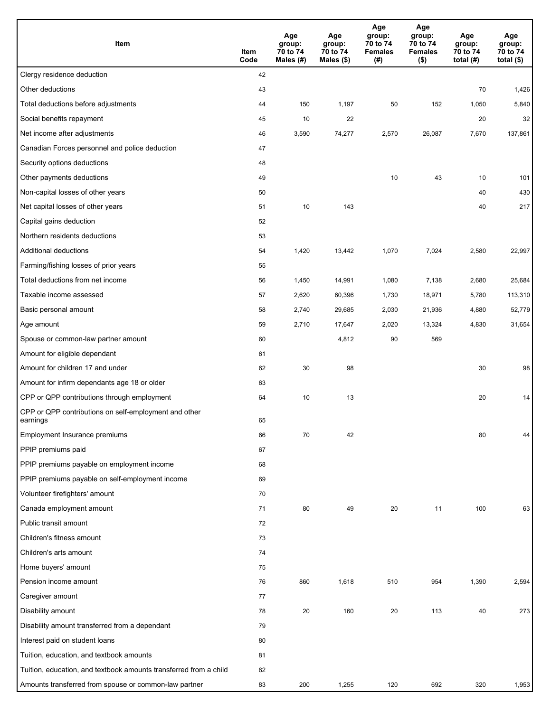| Item                                                              | Item<br>Code | Age<br>group:<br>70 to 74<br>Males $(H)$ | Age<br>group:<br>70 to 74<br>Males (\$) | Age<br>group:<br>70 to 74<br><b>Females</b><br>(#) | Age<br>group:<br>70 to 74<br><b>Females</b><br>$($ \$) | Age<br>group:<br>70 to 74<br>total $(H)$ | Age<br>group:<br>70 to 74<br>total $($)$ |
|-------------------------------------------------------------------|--------------|------------------------------------------|-----------------------------------------|----------------------------------------------------|--------------------------------------------------------|------------------------------------------|------------------------------------------|
| Clergy residence deduction                                        | 42           |                                          |                                         |                                                    |                                                        |                                          |                                          |
| Other deductions                                                  | 43           |                                          |                                         |                                                    |                                                        | 70                                       | 1,426                                    |
| Total deductions before adjustments                               | 44           | 150                                      | 1,197                                   | 50                                                 | 152                                                    | 1,050                                    | 5,840                                    |
| Social benefits repayment                                         | 45           | 10                                       | 22                                      |                                                    |                                                        | 20                                       | 32                                       |
| Net income after adjustments                                      | 46           | 3,590                                    | 74,277                                  | 2,570                                              | 26,087                                                 | 7,670                                    | 137,861                                  |
| Canadian Forces personnel and police deduction                    | 47           |                                          |                                         |                                                    |                                                        |                                          |                                          |
| Security options deductions                                       | 48           |                                          |                                         |                                                    |                                                        |                                          |                                          |
| Other payments deductions                                         | 49           |                                          |                                         | 10                                                 | 43                                                     | 10                                       | 101                                      |
| Non-capital losses of other years                                 | 50           |                                          |                                         |                                                    |                                                        | 40                                       | 430                                      |
| Net capital losses of other years                                 | 51           | 10                                       | 143                                     |                                                    |                                                        | 40                                       | 217                                      |
| Capital gains deduction                                           | 52           |                                          |                                         |                                                    |                                                        |                                          |                                          |
| Northern residents deductions                                     | 53           |                                          |                                         |                                                    |                                                        |                                          |                                          |
| Additional deductions                                             | 54           | 1,420                                    | 13,442                                  | 1,070                                              | 7,024                                                  | 2,580                                    | 22,997                                   |
| Farming/fishing losses of prior years                             | 55           |                                          |                                         |                                                    |                                                        |                                          |                                          |
| Total deductions from net income                                  | 56           | 1,450                                    | 14,991                                  | 1,080                                              | 7,138                                                  | 2,680                                    | 25,684                                   |
| Taxable income assessed                                           | 57           | 2,620                                    | 60,396                                  | 1,730                                              | 18,971                                                 | 5,780                                    | 113,310                                  |
| Basic personal amount                                             | 58           | 2,740                                    | 29,685                                  | 2,030                                              | 21,936                                                 | 4,880                                    | 52,779                                   |
| Age amount                                                        | 59           | 2,710                                    | 17,647                                  | 2,020                                              | 13,324                                                 | 4,830                                    | 31,654                                   |
| Spouse or common-law partner amount                               | 60           |                                          | 4,812                                   | 90                                                 | 569                                                    |                                          |                                          |
| Amount for eligible dependant                                     | 61           |                                          |                                         |                                                    |                                                        |                                          |                                          |
| Amount for children 17 and under                                  | 62           | 30                                       | 98                                      |                                                    |                                                        | 30                                       | 98                                       |
| Amount for infirm dependants age 18 or older                      | 63           |                                          |                                         |                                                    |                                                        |                                          |                                          |
| CPP or QPP contributions through employment                       | 64           | 10                                       | 13                                      |                                                    |                                                        | 20                                       | 14                                       |
| CPP or QPP contributions on self-employment and other<br>earnings | 65           |                                          |                                         |                                                    |                                                        |                                          |                                          |
| Employment Insurance premiums                                     | 66           | 70                                       | 42                                      |                                                    |                                                        | 80                                       | 44                                       |
| PPIP premiums paid                                                | 67           |                                          |                                         |                                                    |                                                        |                                          |                                          |
| PPIP premiums payable on employment income                        | 68           |                                          |                                         |                                                    |                                                        |                                          |                                          |
| PPIP premiums payable on self-employment income                   | 69           |                                          |                                         |                                                    |                                                        |                                          |                                          |
| Volunteer firefighters' amount                                    | 70           |                                          |                                         |                                                    |                                                        |                                          |                                          |
| Canada employment amount                                          | 71           | 80                                       | 49                                      | 20                                                 | 11                                                     | 100                                      | 63                                       |
| Public transit amount                                             | 72           |                                          |                                         |                                                    |                                                        |                                          |                                          |
| Children's fitness amount                                         | 73           |                                          |                                         |                                                    |                                                        |                                          |                                          |
| Children's arts amount                                            | 74           |                                          |                                         |                                                    |                                                        |                                          |                                          |
| Home buyers' amount                                               | 75           |                                          |                                         |                                                    |                                                        |                                          |                                          |
| Pension income amount                                             | 76           | 860                                      | 1,618                                   | 510                                                | 954                                                    | 1,390                                    | 2,594                                    |
| Caregiver amount                                                  | 77           |                                          |                                         |                                                    |                                                        |                                          |                                          |
| Disability amount                                                 | 78           | 20                                       | 160                                     | 20                                                 | 113                                                    | 40                                       | 273                                      |
| Disability amount transferred from a dependant                    | 79           |                                          |                                         |                                                    |                                                        |                                          |                                          |
| Interest paid on student loans                                    | 80           |                                          |                                         |                                                    |                                                        |                                          |                                          |
| Tuition, education, and textbook amounts                          | 81           |                                          |                                         |                                                    |                                                        |                                          |                                          |
| Tuition, education, and textbook amounts transferred from a child | 82           |                                          |                                         |                                                    |                                                        |                                          |                                          |
| Amounts transferred from spouse or common-law partner             | 83           | 200                                      | 1,255                                   | 120                                                | 692                                                    | 320                                      | 1,953                                    |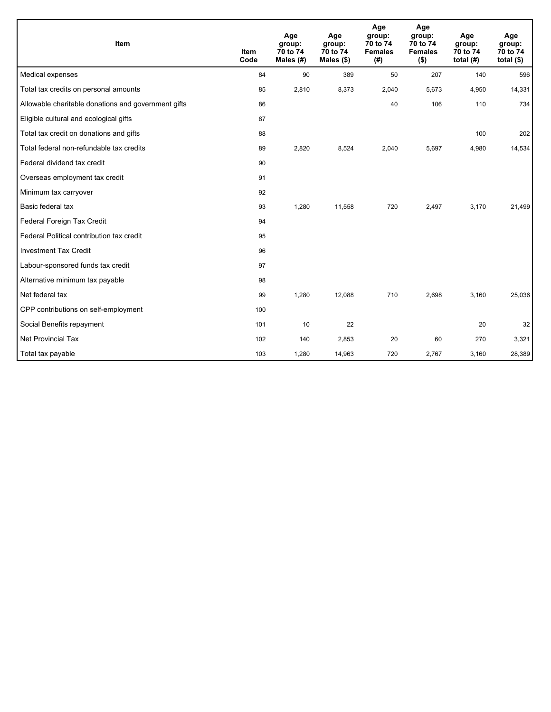| Item                                                | <b>Item</b><br>Code | Age<br>group:<br>70 to 74<br>Males $(H)$ | Age<br>group:<br>70 to 74<br>Males (\$) | Age<br>group:<br>70 to 74<br><b>Females</b><br>(#) | Age<br>group:<br>70 to 74<br><b>Females</b><br>$($ \$) | Age<br>group:<br>70 to 74<br>total $(H)$ | Age<br>group:<br>70 to 74<br>total $($ \$) |
|-----------------------------------------------------|---------------------|------------------------------------------|-----------------------------------------|----------------------------------------------------|--------------------------------------------------------|------------------------------------------|--------------------------------------------|
| Medical expenses                                    | 84                  | 90                                       | 389                                     | 50                                                 | 207                                                    | 140                                      | 596                                        |
| Total tax credits on personal amounts               | 85                  | 2,810                                    | 8,373                                   | 2,040                                              | 5,673                                                  | 4,950                                    | 14,331                                     |
| Allowable charitable donations and government gifts | 86                  |                                          |                                         | 40                                                 | 106                                                    | 110                                      | 734                                        |
| Eligible cultural and ecological gifts              | 87                  |                                          |                                         |                                                    |                                                        |                                          |                                            |
| Total tax credit on donations and gifts             | 88                  |                                          |                                         |                                                    |                                                        | 100                                      | 202                                        |
| Total federal non-refundable tax credits            | 89                  | 2,820                                    | 8,524                                   | 2,040                                              | 5,697                                                  | 4,980                                    | 14,534                                     |
| Federal dividend tax credit                         | 90                  |                                          |                                         |                                                    |                                                        |                                          |                                            |
| Overseas employment tax credit                      | 91                  |                                          |                                         |                                                    |                                                        |                                          |                                            |
| Minimum tax carryover                               | 92                  |                                          |                                         |                                                    |                                                        |                                          |                                            |
| Basic federal tax                                   | 93                  | 1,280                                    | 11,558                                  | 720                                                | 2,497                                                  | 3,170                                    | 21,499                                     |
| Federal Foreign Tax Credit                          | 94                  |                                          |                                         |                                                    |                                                        |                                          |                                            |
| Federal Political contribution tax credit           | 95                  |                                          |                                         |                                                    |                                                        |                                          |                                            |
| <b>Investment Tax Credit</b>                        | 96                  |                                          |                                         |                                                    |                                                        |                                          |                                            |
| Labour-sponsored funds tax credit                   | 97                  |                                          |                                         |                                                    |                                                        |                                          |                                            |
| Alternative minimum tax payable                     | 98                  |                                          |                                         |                                                    |                                                        |                                          |                                            |
| Net federal tax                                     | 99                  | 1,280                                    | 12.088                                  | 710                                                | 2.698                                                  | 3.160                                    | 25,036                                     |
| CPP contributions on self-employment                | 100                 |                                          |                                         |                                                    |                                                        |                                          |                                            |
| Social Benefits repayment                           | 101                 | 10                                       | 22                                      |                                                    |                                                        | 20                                       | 32                                         |
| <b>Net Provincial Tax</b>                           | 102                 | 140                                      | 2,853                                   | 20                                                 | 60                                                     | 270                                      | 3,321                                      |
| Total tax payable                                   | 103                 | 1,280                                    | 14,963                                  | 720                                                | 2,767                                                  | 3,160                                    | 28,389                                     |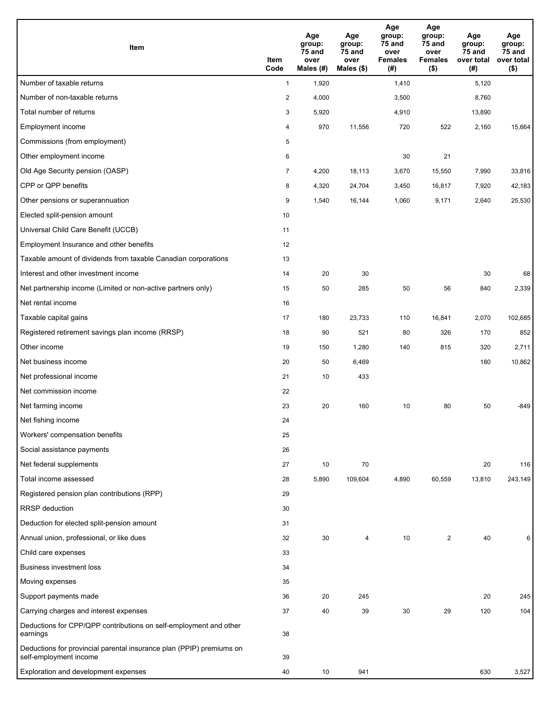| Item                                                                                           | Item<br>Code   | Age<br>group:<br>75 and<br>over<br>Males (#) | Age<br>group:<br>75 and<br>over<br>Males (\$) | Age<br>group:<br>75 and<br>over<br><b>Females</b><br>(#) | Age<br>group:<br>75 and<br>over<br><b>Females</b><br>$($ \$) | Age<br>group:<br>75 and<br>over total<br>(# ) | Age<br>group:<br>75 and<br>over total<br>$($ \$) |
|------------------------------------------------------------------------------------------------|----------------|----------------------------------------------|-----------------------------------------------|----------------------------------------------------------|--------------------------------------------------------------|-----------------------------------------------|--------------------------------------------------|
| Number of taxable returns                                                                      | $\mathbf{1}$   | 1,920                                        |                                               | 1,410                                                    |                                                              | 5,120                                         |                                                  |
| Number of non-taxable returns                                                                  | $\overline{c}$ | 4,000                                        |                                               | 3,500                                                    |                                                              | 8,760                                         |                                                  |
| Total number of returns                                                                        | 3              | 5,920                                        |                                               | 4,910                                                    |                                                              | 13,890                                        |                                                  |
| Employment income                                                                              | 4              | 970                                          | 11,556                                        | 720                                                      | 522                                                          | 2,160                                         | 15,664                                           |
| Commissions (from employment)                                                                  | 5              |                                              |                                               |                                                          |                                                              |                                               |                                                  |
| Other employment income                                                                        | 6              |                                              |                                               | 30                                                       | 21                                                           |                                               |                                                  |
| Old Age Security pension (OASP)                                                                | $\overline{7}$ | 4,200                                        | 18,113                                        | 3,670                                                    | 15,550                                                       | 7,990                                         | 33,816                                           |
| CPP or QPP benefits                                                                            | 8              | 4,320                                        | 24,704                                        | 3,450                                                    | 16,817                                                       | 7,920                                         | 42,183                                           |
| Other pensions or superannuation                                                               | 9              | 1,540                                        | 16,144                                        | 1,060                                                    | 9,171                                                        | 2,640                                         | 25,530                                           |
| Elected split-pension amount                                                                   | 10             |                                              |                                               |                                                          |                                                              |                                               |                                                  |
| Universal Child Care Benefit (UCCB)                                                            | 11             |                                              |                                               |                                                          |                                                              |                                               |                                                  |
| Employment Insurance and other benefits                                                        | 12             |                                              |                                               |                                                          |                                                              |                                               |                                                  |
| Taxable amount of dividends from taxable Canadian corporations                                 | 13             |                                              |                                               |                                                          |                                                              |                                               |                                                  |
| Interest and other investment income                                                           | 14             | 20                                           | 30                                            |                                                          |                                                              | 30                                            | 68                                               |
| Net partnership income (Limited or non-active partners only)                                   | 15             | 50                                           | 285                                           | 50                                                       | 56                                                           | 840                                           | 2,339                                            |
| Net rental income                                                                              | 16             |                                              |                                               |                                                          |                                                              |                                               |                                                  |
| Taxable capital gains                                                                          | 17             | 180                                          | 23,733                                        | 110                                                      | 16,841                                                       | 2,070                                         | 102,685                                          |
| Registered retirement savings plan income (RRSP)                                               | 18             | 90                                           | 521                                           | 80                                                       | 326                                                          | 170                                           | 852                                              |
| Other income                                                                                   | 19             | 150                                          | 1,280                                         | 140                                                      | 815                                                          | 320                                           | 2,711                                            |
| Net business income                                                                            | 20             | 50                                           | 6,469                                         |                                                          |                                                              | 180                                           | 10,862                                           |
| Net professional income                                                                        | 21             | 10                                           | 433                                           |                                                          |                                                              |                                               |                                                  |
| Net commission income                                                                          | 22             |                                              |                                               |                                                          |                                                              |                                               |                                                  |
| Net farming income                                                                             | 23             | 20                                           | 160                                           | 10                                                       | 80                                                           | 50                                            | $-849$                                           |
| Net fishing income                                                                             | 24             |                                              |                                               |                                                          |                                                              |                                               |                                                  |
| Workers' compensation benefits                                                                 | 25             |                                              |                                               |                                                          |                                                              |                                               |                                                  |
| Social assistance payments                                                                     | 26             |                                              |                                               |                                                          |                                                              |                                               |                                                  |
| Net federal supplements                                                                        | 27             | 10                                           | 70                                            |                                                          |                                                              | 20                                            | 116                                              |
| Total income assessed                                                                          | 28             | 5,890                                        | 109,604                                       | 4,890                                                    | 60,559                                                       | 13,810                                        | 243,149                                          |
| Registered pension plan contributions (RPP)                                                    | 29             |                                              |                                               |                                                          |                                                              |                                               |                                                  |
| <b>RRSP</b> deduction                                                                          | 30             |                                              |                                               |                                                          |                                                              |                                               |                                                  |
| Deduction for elected split-pension amount                                                     | 31             |                                              |                                               |                                                          |                                                              |                                               |                                                  |
| Annual union, professional, or like dues                                                       | 32             | 30                                           | 4                                             | 10                                                       | 2                                                            | 40                                            | 6                                                |
| Child care expenses                                                                            | 33             |                                              |                                               |                                                          |                                                              |                                               |                                                  |
| <b>Business investment loss</b>                                                                | 34             |                                              |                                               |                                                          |                                                              |                                               |                                                  |
| Moving expenses                                                                                | 35             |                                              |                                               |                                                          |                                                              |                                               |                                                  |
| Support payments made                                                                          | 36             | 20                                           | 245                                           |                                                          |                                                              | 20                                            | 245                                              |
| Carrying charges and interest expenses                                                         | 37             | 40                                           | 39                                            | 30                                                       | 29                                                           | 120                                           | 104                                              |
| Deductions for CPP/QPP contributions on self-employment and other<br>earnings                  | 38             |                                              |                                               |                                                          |                                                              |                                               |                                                  |
| Deductions for provincial parental insurance plan (PPIP) premiums on<br>self-employment income | 39             |                                              |                                               |                                                          |                                                              |                                               |                                                  |
| Exploration and development expenses                                                           | 40             | 10                                           | 941                                           |                                                          |                                                              | 630                                           | 3,527                                            |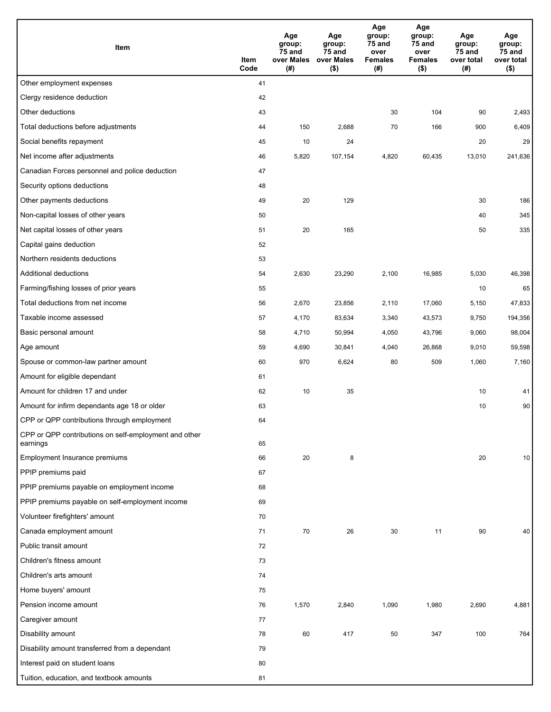| Item                                                              | Item<br>Code | Age<br>group:<br>75 and<br>over Males<br>(#) | Age<br>group:<br>75 and<br>over Males<br>$($ \$) | Age<br>group:<br>75 and<br>over<br><b>Females</b><br>(#) | Age<br>group:<br>75 and<br>over<br><b>Females</b><br>$($ \$) | Age<br>group:<br>75 and<br>over total<br>(#) | Age<br>group:<br><b>75 and</b><br>over total<br>$($ \$) |
|-------------------------------------------------------------------|--------------|----------------------------------------------|--------------------------------------------------|----------------------------------------------------------|--------------------------------------------------------------|----------------------------------------------|---------------------------------------------------------|
| Other employment expenses                                         | 41           |                                              |                                                  |                                                          |                                                              |                                              |                                                         |
| Clergy residence deduction                                        | 42           |                                              |                                                  |                                                          |                                                              |                                              |                                                         |
| Other deductions                                                  | 43           |                                              |                                                  | 30                                                       | 104                                                          | 90                                           | 2,493                                                   |
| Total deductions before adjustments                               | 44           | 150                                          | 2,688                                            | 70                                                       | 166                                                          | 900                                          | 6,409                                                   |
| Social benefits repayment                                         | 45           | 10                                           | 24                                               |                                                          |                                                              | 20                                           | 29                                                      |
| Net income after adjustments                                      | 46           | 5,820                                        | 107,154                                          | 4,820                                                    | 60,435                                                       | 13,010                                       | 241,636                                                 |
| Canadian Forces personnel and police deduction                    | 47           |                                              |                                                  |                                                          |                                                              |                                              |                                                         |
| Security options deductions                                       | 48           |                                              |                                                  |                                                          |                                                              |                                              |                                                         |
| Other payments deductions                                         | 49           | 20                                           | 129                                              |                                                          |                                                              | 30                                           | 186                                                     |
| Non-capital losses of other years                                 | 50           |                                              |                                                  |                                                          |                                                              | 40                                           | 345                                                     |
| Net capital losses of other years                                 | 51           | 20                                           | 165                                              |                                                          |                                                              | 50                                           | 335                                                     |
| Capital gains deduction                                           | 52           |                                              |                                                  |                                                          |                                                              |                                              |                                                         |
| Northern residents deductions                                     | 53           |                                              |                                                  |                                                          |                                                              |                                              |                                                         |
| Additional deductions                                             | 54           | 2,630                                        | 23,290                                           | 2,100                                                    | 16,985                                                       | 5,030                                        | 46,398                                                  |
| Farming/fishing losses of prior years                             | 55           |                                              |                                                  |                                                          |                                                              | 10                                           | 65                                                      |
| Total deductions from net income                                  | 56           | 2,670                                        | 23,856                                           | 2,110                                                    | 17,060                                                       | 5,150                                        | 47,833                                                  |
| Taxable income assessed                                           | 57           | 4,170                                        | 83,634                                           | 3,340                                                    | 43,573                                                       | 9,750                                        | 194,356                                                 |
| Basic personal amount                                             | 58           | 4,710                                        | 50,994                                           | 4,050                                                    | 43,796                                                       | 9,060                                        | 98,004                                                  |
| Age amount                                                        | 59           | 4,690                                        | 30,841                                           | 4,040                                                    | 26,868                                                       | 9,010                                        | 59,598                                                  |
| Spouse or common-law partner amount                               | 60           | 970                                          | 6,624                                            | 80                                                       | 509                                                          | 1,060                                        | 7,160                                                   |
| Amount for eligible dependant                                     | 61           |                                              |                                                  |                                                          |                                                              |                                              |                                                         |
| Amount for children 17 and under                                  | 62           | 10                                           | 35                                               |                                                          |                                                              | 10                                           | 41                                                      |
| Amount for infirm dependants age 18 or older                      | 63           |                                              |                                                  |                                                          |                                                              | 10                                           | 90                                                      |
| CPP or QPP contributions through employment                       | 64           |                                              |                                                  |                                                          |                                                              |                                              |                                                         |
| CPP or QPP contributions on self-employment and other<br>earnings | 65           |                                              |                                                  |                                                          |                                                              |                                              |                                                         |
| Employment Insurance premiums                                     | 66           | 20                                           | 8                                                |                                                          |                                                              | 20                                           | 10                                                      |
| PPIP premiums paid                                                | 67           |                                              |                                                  |                                                          |                                                              |                                              |                                                         |
| PPIP premiums payable on employment income                        | 68           |                                              |                                                  |                                                          |                                                              |                                              |                                                         |
| PPIP premiums payable on self-employment income                   | 69           |                                              |                                                  |                                                          |                                                              |                                              |                                                         |
| Volunteer firefighters' amount                                    | 70           |                                              |                                                  |                                                          |                                                              |                                              |                                                         |
| Canada employment amount                                          | 71           | 70                                           | 26                                               | 30                                                       | 11                                                           | 90                                           | 40                                                      |
| Public transit amount                                             | 72           |                                              |                                                  |                                                          |                                                              |                                              |                                                         |
| Children's fitness amount                                         | 73           |                                              |                                                  |                                                          |                                                              |                                              |                                                         |
| Children's arts amount                                            | 74           |                                              |                                                  |                                                          |                                                              |                                              |                                                         |
| Home buyers' amount                                               | 75           |                                              |                                                  |                                                          |                                                              |                                              |                                                         |
| Pension income amount                                             | 76           | 1,570                                        | 2,840                                            | 1,090                                                    | 1,980                                                        | 2,690                                        | 4,881                                                   |
| Caregiver amount                                                  | 77           |                                              |                                                  |                                                          |                                                              |                                              |                                                         |
| Disability amount                                                 | 78           | 60                                           | 417                                              | 50                                                       | 347                                                          | 100                                          | 764                                                     |
| Disability amount transferred from a dependant                    | 79           |                                              |                                                  |                                                          |                                                              |                                              |                                                         |
| Interest paid on student loans                                    | 80           |                                              |                                                  |                                                          |                                                              |                                              |                                                         |
| Tuition, education, and textbook amounts                          | 81           |                                              |                                                  |                                                          |                                                              |                                              |                                                         |